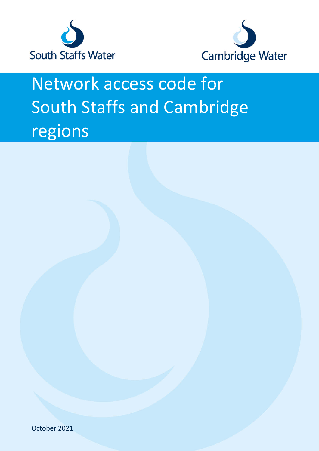



# Network access code for South Staffs and Cambridge regions

October 2021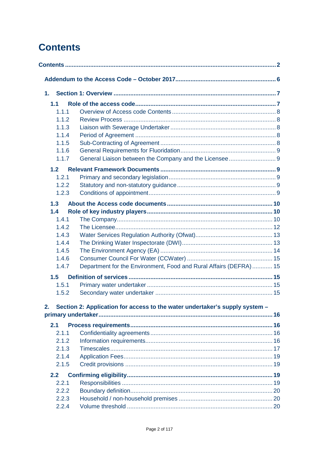# <span id="page-1-0"></span>**Contents**

| 1. |       |                                                                             |  |
|----|-------|-----------------------------------------------------------------------------|--|
|    | 1.1   |                                                                             |  |
|    | 1.1.1 |                                                                             |  |
|    | 1.1.2 |                                                                             |  |
|    | 1.1.3 |                                                                             |  |
|    | 1.1.4 |                                                                             |  |
|    | 1.1.5 |                                                                             |  |
|    | 1.1.6 |                                                                             |  |
|    | 1.1.7 |                                                                             |  |
|    | 1.2   |                                                                             |  |
|    | 1.2.1 |                                                                             |  |
|    | 1.2.2 |                                                                             |  |
|    | 1.2.3 |                                                                             |  |
|    | 1.3   |                                                                             |  |
|    | 1.4   |                                                                             |  |
|    | 1.4.1 |                                                                             |  |
|    | 1.4.2 |                                                                             |  |
|    | 1.4.3 |                                                                             |  |
|    | 1.4.4 |                                                                             |  |
|    | 1.4.5 |                                                                             |  |
|    | 1.4.6 |                                                                             |  |
|    | 1.4.7 | Department for the Environment, Food and Rural Affairs (DEFRA) 15           |  |
|    | 1.5   |                                                                             |  |
|    | 1.5.1 |                                                                             |  |
|    | 1.5.2 |                                                                             |  |
| 2. |       | Section 2: Application for access to the water undertaker's supply system - |  |
|    |       |                                                                             |  |
|    | 2.1   |                                                                             |  |
|    | 2.1.1 |                                                                             |  |
|    | 2.1.2 |                                                                             |  |
|    | 2.1.3 |                                                                             |  |
|    | 2.1.4 |                                                                             |  |
|    | 2.1.5 |                                                                             |  |
|    | 2.2   |                                                                             |  |
|    | 2.2.1 |                                                                             |  |
|    | 2.2.2 |                                                                             |  |
|    | 2.2.3 |                                                                             |  |
|    | 2.2.4 |                                                                             |  |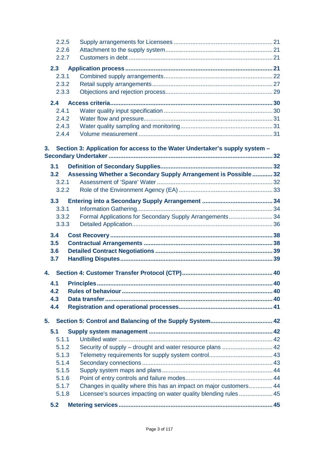| 2.2.5          |                                                                             |  |
|----------------|-----------------------------------------------------------------------------|--|
| 2.2.6          |                                                                             |  |
| 2.2.7          |                                                                             |  |
| 2.3            |                                                                             |  |
| 2.3.1          |                                                                             |  |
| 2.3.2          |                                                                             |  |
| 2.3.3          |                                                                             |  |
| 2.4            |                                                                             |  |
| 2.4.1          |                                                                             |  |
| 2.4.2          |                                                                             |  |
| 2.4.3          |                                                                             |  |
| 2.4.4          |                                                                             |  |
|                |                                                                             |  |
| 3 <sub>1</sub> | Section 3: Application for access to the Water Undertaker's supply system - |  |
|                |                                                                             |  |
| 3.1            |                                                                             |  |
| 3.2            | Assessing Whether a Secondary Supply Arrangement is Possible  32            |  |
| 3.2.1          |                                                                             |  |
| 3.2.2          |                                                                             |  |
| 3.3            |                                                                             |  |
| 3.3.1          |                                                                             |  |
| 3.3.2          | Formal Applications for Secondary Supply Arrangements 34                    |  |
| 3.3.3          |                                                                             |  |
| 3.4            |                                                                             |  |
| 3.5            |                                                                             |  |
| 3.6            |                                                                             |  |
| 3.7            |                                                                             |  |
|                |                                                                             |  |
| 4.             |                                                                             |  |
| 4.1            |                                                                             |  |
| 4.2            |                                                                             |  |
| 4.3            |                                                                             |  |
| 4.4            |                                                                             |  |
|                |                                                                             |  |
| 5.             |                                                                             |  |
| 5.1            |                                                                             |  |
| 5.1.1          |                                                                             |  |
| 5.1.2          |                                                                             |  |
| 5.1.3          |                                                                             |  |
| 5.1.4          |                                                                             |  |
| 5.1.5<br>5.1.6 |                                                                             |  |
| 5.1.7          | Changes in quality where this has an impact on major customers 44           |  |
| 5.1.8          | Licensee's sources impacting on water quality blending rules 45             |  |
|                |                                                                             |  |
| 5.2            |                                                                             |  |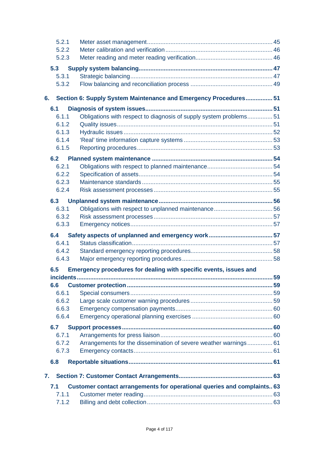| 5.2.1     |                                                                         |     |
|-----------|-------------------------------------------------------------------------|-----|
| 5.2.2     |                                                                         |     |
| 5.2.3     |                                                                         |     |
| 5.3       |                                                                         |     |
| 5.3.1     |                                                                         |     |
| 5.3.2     |                                                                         |     |
| 6.        | Section 6: Supply System Maintenance and Emergency Procedures 51        |     |
| 6.1       |                                                                         |     |
| 6.1.1     | Obligations with respect to diagnosis of supply system problems 51      |     |
| 6.1.2     |                                                                         |     |
| 6.1.3     |                                                                         |     |
| 6.1.4     |                                                                         |     |
| 6.1.5     |                                                                         |     |
| 6.2       |                                                                         |     |
| 6.2.1     |                                                                         |     |
| 6.2.2     |                                                                         |     |
| 6.2.3     |                                                                         |     |
| 6.2.4     |                                                                         |     |
| 6.3       |                                                                         |     |
| 6.3.1     |                                                                         |     |
| 6.3.2     |                                                                         |     |
| 6.3.3     |                                                                         |     |
| 6.4       |                                                                         |     |
| 6.4.1     |                                                                         |     |
| 6.4.2     |                                                                         |     |
| 6.4.3     |                                                                         |     |
| 6.5       | Emergency procedures for dealing with specific events, issues and       |     |
| incidents |                                                                         | .59 |
| 6.6       |                                                                         |     |
| 6.6.1     |                                                                         |     |
| 6.6.2     |                                                                         |     |
| 6.6.3     |                                                                         |     |
| 6.6.4     |                                                                         |     |
| 6.7       |                                                                         |     |
| 6.7.1     |                                                                         |     |
| 6.7.2     | Arrangements for the dissemination of severe weather warnings 61        |     |
| 6.7.3     |                                                                         |     |
| 6.8       |                                                                         |     |
| 7.        |                                                                         |     |
| 7.1       | Customer contact arrangements for operational queries and complaints 63 |     |
| 7.1.1     |                                                                         |     |
| 7.1.2     |                                                                         |     |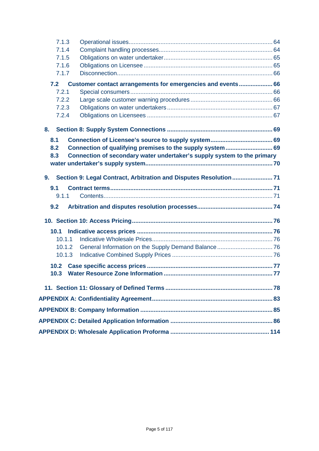| 7.1.3             |                                                                         |  |
|-------------------|-------------------------------------------------------------------------|--|
| 7.1.4             |                                                                         |  |
| 7.1.5             |                                                                         |  |
| 7.1.6             |                                                                         |  |
| 7.1.7             |                                                                         |  |
| 7.2               | Customer contact arrangements for emergencies and events 66             |  |
| 7.2.1             |                                                                         |  |
| 7.2.2             |                                                                         |  |
| 7.2.3             |                                                                         |  |
| 7.2.4             |                                                                         |  |
| 8.                |                                                                         |  |
| 8.1               |                                                                         |  |
| 8.2               | Connection of qualifying premises to the supply system 69               |  |
| 8.3               | Connection of secondary water undertaker's supply system to the primary |  |
|                   |                                                                         |  |
| 9.                |                                                                         |  |
| 9.1               |                                                                         |  |
| 9.1.1             |                                                                         |  |
| 9.2               |                                                                         |  |
|                   |                                                                         |  |
| 10.1              |                                                                         |  |
| 10.1.1            |                                                                         |  |
| 10.1.2            |                                                                         |  |
| 10.1.3            |                                                                         |  |
| 10.2 <sub>1</sub> |                                                                         |  |
| 10.3              |                                                                         |  |
|                   |                                                                         |  |
|                   |                                                                         |  |
|                   |                                                                         |  |
|                   |                                                                         |  |
|                   |                                                                         |  |
|                   |                                                                         |  |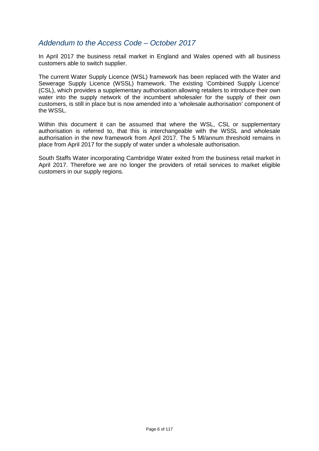# <span id="page-5-0"></span>*Addendum to the Access Code – October 2017*

In April 2017 the business retail market in England and Wales opened with all business customers able to switch supplier.

The current Water Supply Licence (WSL) framework has been replaced with the Water and Sewerage Supply Licence (WSSL) framework. The existing 'Combined Supply Licence' (CSL), which provides a supplementary authorisation allowing retailers to introduce their own water into the supply network of the incumbent wholesaler for the supply of their own customers, is still in place but is now amended into a 'wholesale authorisation' component of the WSSL.

Within this document it can be assumed that where the WSL, CSL or supplementary authorisation is referred to, that this is interchangeable with the WSSL and wholesale authorisation in the new framework from April 2017. The 5 Ml/annum threshold remains in place from April 2017 for the supply of water under a wholesale authorisation.

South Staffs Water incorporating Cambridge Water exited from the business retail market in April 2017. Therefore we are no longer the providers of retail services to market eligible customers in our supply regions.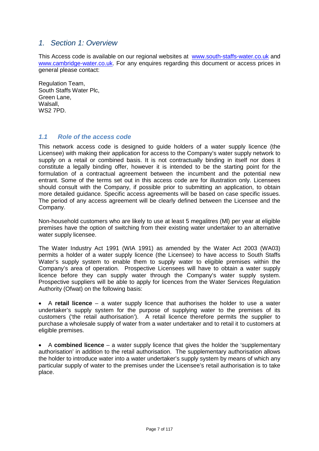# <span id="page-6-0"></span>*1. Section 1: Overview*

This Access code is available on our regional websites at [www.south-staffs-water.co.uk](http://www.south-staffs-water.co.uk/) and [www.cambridge-water.co.uk.](http://www.cambridge-water.co.uk/) For any enquires regarding this document or access prices in general please contact:

Regulation Team, South Staffs Water Plc, Green Lane, Walsall, WS2 7PD.

# <span id="page-6-1"></span>*1.1 Role of the access code*

This network access code is designed to guide holders of a water supply licence (the Licensee) with making their application for access to the Company's water supply network to supply on a retail or combined basis. It is not contractually binding in itself nor does it constitute a legally binding offer, however it is intended to be the starting point for the formulation of a contractual agreement between the incumbent and the potential new entrant. Some of the terms set out in this access code are for illustration only. Licensees should consult with the Company, if possible prior to submitting an application, to obtain more detailed guidance. Specific access agreements will be based on case specific issues. The period of any access agreement will be clearly defined between the Licensee and the Company.

Non-household customers who are likely to use at least 5 megalitres (Ml) per year at eligible premises have the option of switching from their existing water undertaker to an alternative water supply licensee.

The Water Industry Act 1991 (WIA 1991) as amended by the Water Act 2003 (WA03) permits a holder of a water supply licence (the Licensee) to have access to South Staffs Water's supply system to enable them to supply water to eligible premises within the Company's area of operation. Prospective Licensees will have to obtain a water supply licence before they can supply water through the Company's water supply system. Prospective suppliers will be able to apply for licences from the Water Services Regulation Authority (Ofwat) on the following basis:

• A **retail licence** – a water supply licence that authorises the holder to use a water undertaker's supply system for the purpose of supplying water to the premises of its customers ('the retail authorisation'). A retail licence therefore permits the supplier to purchase a wholesale supply of water from a water undertaker and to retail it to customers at eligible premises.

• A **combined licence** – a water supply licence that gives the holder the 'supplementary authorisation' in addition to the retail authorisation. The supplementary authorisation allows the holder to introduce water into a water undertaker's supply system by means of which any particular supply of water to the premises under the Licensee's retail authorisation is to take place.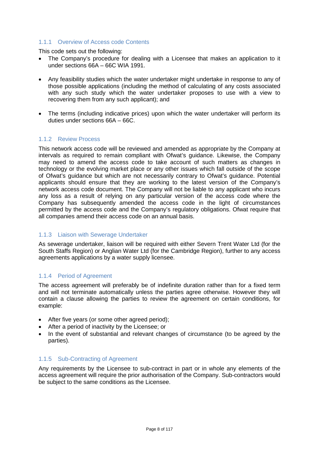# <span id="page-7-0"></span>1.1.1 Overview of Access code Contents

This code sets out the following:

- The Company's procedure for dealing with a Licensee that makes an application to it under sections 66A – 66C WIA 1991.
- Any feasibility studies which the water undertaker might undertake in response to any of those possible applications (including the method of calculating of any costs associated with any such study which the water undertaker proposes to use with a view to recovering them from any such applicant); and
- The terms (including indicative prices) upon which the water undertaker will perform its duties under sections 66A – 66C.

#### <span id="page-7-1"></span>1.1.2 Review Process

This network access code will be reviewed and amended as appropriate by the Company at intervals as required to remain compliant with Ofwat's guidance. Likewise, the Company may need to amend the access code to take account of such matters as changes in technology or the evolving market place or any other issues which fall outside of the scope of Ofwat's guidance but which are not necessarily contrary to Ofwat's guidance. Potential applicants should ensure that they are working to the latest version of the Company's network access code document. The Company will not be liable to any applicant who incurs any loss as a result of relying on any particular version of the access code where the Company has subsequently amended the access code in the light of circumstances permitted by the access code and the Company's regulatory obligations. Ofwat require that all companies amend their access code on an annual basis.

# <span id="page-7-2"></span>1.1.3 Liaison with Sewerage Undertaker

As sewerage undertaker, liaison will be required with either Severn Trent Water Ltd (for the South Staffs Region) or Anglian Water Ltd (for the Cambridge Region), further to any access agreements applications by a water supply licensee.

#### <span id="page-7-3"></span>1.1.4 Period of Agreement

The access agreement will preferably be of indefinite duration rather than for a fixed term and will not terminate automatically unless the parties agree otherwise. However they will contain a clause allowing the parties to review the agreement on certain conditions, for example:

- After five years (or some other agreed period);
- After a period of inactivity by the Licensee; or
- In the event of substantial and relevant changes of circumstance (to be agreed by the parties).

#### <span id="page-7-4"></span>1.1.5 Sub-Contracting of Agreement

Any requirements by the Licensee to sub-contract in part or in whole any elements of the access agreement will require the prior authorisation of the Company. Sub-contractors would be subject to the same conditions as the Licensee.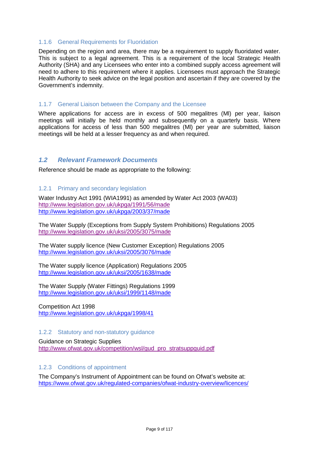#### <span id="page-8-0"></span>1.1.6 General Requirements for Fluoridation

Depending on the region and area, there may be a requirement to supply fluoridated water. This is subject to a legal agreement. This is a requirement of the local Strategic Health Authority (SHA) and any Licensees who enter into a combined supply access agreement will need to adhere to this requirement where it applies. Licensees must approach the Strategic Health Authority to seek advice on the legal position and ascertain if they are covered by the Government's indemnity.

#### <span id="page-8-1"></span>1.1.7 General Liaison between the Company and the Licensee

Where applications for access are in excess of 500 megalitres (Ml) per year, liaison meetings will initially be held monthly and subsequently on a quarterly basis. Where applications for access of less than 500 megalitres (Ml) per year are submitted, liaison meetings will be held at a lesser frequency as and when required.

# <span id="page-8-2"></span>*1.2 Relevant Framework Documents*

Reference should be made as appropriate to the following:

#### <span id="page-8-3"></span>1.2.1 Primary and secondary legislation

Water Industry Act 1991 (WIA1991) as amended by Water Act 2003 (WA03) <http://www.legislation.gov.uk/ukpga/1991/56/made> <http://www.legislation.gov.uk/ukpga/2003/37/made>

The Water Supply (Exceptions from Supply System Prohibitions) Regulations 2005 <http://www.legislation.gov.uk/uksi/2005/3075/made>

The Water supply licence (New Customer Exception) Regulations 2005 <http://www.legislation.gov.uk/uksi/2005/3076/made>

The Water supply licence (Application) Regulations 2005 <http://www.legislation.gov.uk/uksi/2005/1638/made>

The Water Supply (Water Fittings) Regulations 1999 <http://www.legislation.gov.uk/uksi/1999/1148/made>

Competition Act 1998 <http://www.legislation.gov.uk/ukpga/1998/41>

# <span id="page-8-4"></span>1.2.2 Statutory and non-statutory guidance

Guidance on Strategic Supplies [http://www.ofwat.gov.uk/competition/wsl/gud\\_pro\\_stratsuppguid.pdf](http://www.ofwat.gov.uk/competition/wsl/gud_pro_stratsuppguid.pdf)

#### <span id="page-8-5"></span>1.2.3 Conditions of appointment

The Company's Instrument of Appointment can be found on Ofwat's website at: <https://www.ofwat.gov.uk/regulated-companies/ofwat-industry-overview/licences/>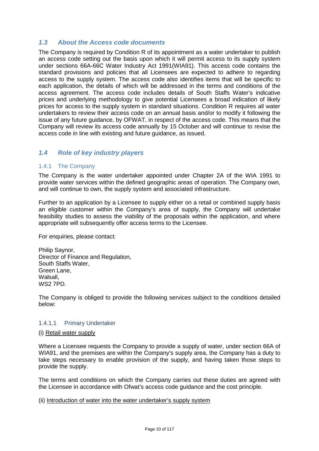# <span id="page-9-0"></span>*1.3 About the Access code documents*

The Company is required by Condition R of its appointment as a water undertaker to publish an access code setting out the basis upon which it will permit access to its supply system under sections 66A-66C Water Industry Act 1991(WIA91). This access code contains the standard provisions and policies that all Licensees are expected to adhere to regarding access to the supply system. The access code also identifies items that will be specific to each application, the details of which will be addressed in the terms and conditions of the access agreement. The access code includes details of South Staffs Water's indicative prices and underlying methodology to give potential Licensees a broad indication of likely prices for access to the supply system in standard situations. Condition R requires all water undertakers to review their access code on an annual basis and/or to modify it following the issue of any future guidance, by OFWAT, in respect of the access code. This means that the Company will review its access code annually by 15 October and will continue to revise the access code in line with existing and future guidance, as issued.

# <span id="page-9-1"></span>*1.4 Role of key industry players*

# <span id="page-9-2"></span>1.4.1 The Company

The Company is the water undertaker appointed under Chapter 2A of the WIA 1991 to provide water services within the defined geographic areas of operation. The Company own, and will continue to own, the supply system and associated infrastructure.

Further to an application by a Licensee to supply either on a retail or combined supply basis an eligible customer within the Company's area of supply, the Company will undertake feasibility studies to assess the viability of the proposals within the application, and where appropriate will subsequently offer access terms to the Licensee.

For enquiries, please contact:

Philip Saynor, Director of Finance and Regulation, South Staffs Water, Green Lane, Walsall, WS2 7PD.

The Company is obliged to provide the following services subject to the conditions detailed below:

#### 1.4.1.1 Primary Undertaker

#### (i) Retail water supply

Where a Licensee requests the Company to provide a supply of water, under section 66A of WIA91, and the premises are within the Company's supply area, the Company has a duty to take steps necessary to enable provision of the supply, and having taken those steps to provide the supply.

The terms and conditions on which the Company carries out these duties are agreed with the Licensee in accordance with Ofwat's access code guidance and the cost principle.

#### (ii) Introduction of water into the water undertaker's supply system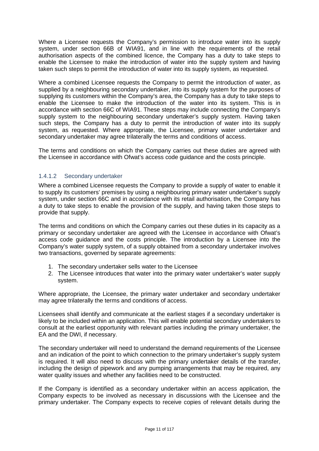Where a Licensee requests the Company's permission to introduce water into its supply system, under section 66B of WIA91, and in line with the requirements of the retail authorisation aspects of the combined licence, the Company has a duty to take steps to enable the Licensee to make the introduction of water into the supply system and having taken such steps to permit the introduction of water into its supply system, as requested.

Where a combined Licensee requests the Company to permit the introduction of water, as supplied by a neighbouring secondary undertaker, into its supply system for the purposes of supplying its customers within the Company's area, the Company has a duty to take steps to enable the Licensee to make the introduction of the water into its system. This is in accordance with section 66C of WIA91. These steps may include connecting the Company's supply system to the neighbouring secondary undertaker's supply system. Having taken such steps, the Company has a duty to permit the introduction of water into its supply system, as requested. Where appropriate, the Licensee, primary water undertaker and secondary undertaker may agree trilaterally the terms and conditions of access.

The terms and conditions on which the Company carries out these duties are agreed with the Licensee in accordance with Ofwat's access code guidance and the costs principle.

# 1.4.1.2 Secondary undertaker

Where a combined Licensee requests the Company to provide a supply of water to enable it to supply its customers' premises by using a neighbouring primary water undertaker's supply system, under section 66C and in accordance with its retail authorisation, the Company has a duty to take steps to enable the provision of the supply, and having taken those steps to provide that supply.

The terms and conditions on which the Company carries out these duties in its capacity as a primary or secondary undertaker are agreed with the Licensee in accordance with Ofwat's access code guidance and the costs principle. The introduction by a Licensee into the Company's water supply system, of a supply obtained from a secondary undertaker involves two transactions, governed by separate agreements:

- 1. The secondary undertaker sells water to the Licensee
- 2. The Licensee introduces that water into the primary water undertaker's water supply system.

Where appropriate, the Licensee, the primary water undertaker and secondary undertaker may agree trilaterally the terms and conditions of access.

Licensees shall identify and communicate at the earliest stages if a secondary undertaker is likely to be included within an application. This will enable potential secondary undertakers to consult at the earliest opportunity with relevant parties including the primary undertaker, the EA and the DWI, if necessary.

The secondary undertaker will need to understand the demand requirements of the Licensee and an indication of the point to which connection to the primary undertaker's supply system is required. It will also need to discuss with the primary undertaker details of the transfer, including the design of pipework and any pumping arrangements that may be required, any water quality issues and whether any facilities need to be constructed.

If the Company is identified as a secondary undertaker within an access application, the Company expects to be involved as necessary in discussions with the Licensee and the primary undertaker. The Company expects to receive copies of relevant details during the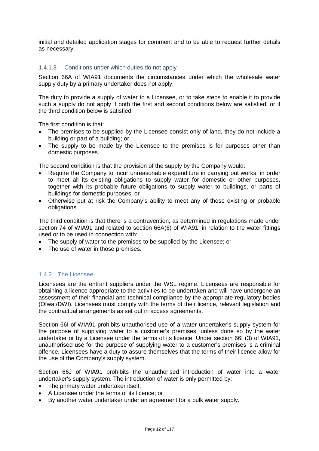initial and detailed application stages for comment and to be able to request further details as necessary.

# 1.4.1.3 Conditions under which duties do not apply

Section 66A of WIA91 documents the circumstances under which the wholesale water supply duty by a primary undertaker does not apply.

The duty to provide a supply of water to a Licensee, or to take steps to enable it to provide such a supply do not apply if both the first and second conditions below are satisfied, or if the third condition below is satisfied.

The first condition is that:

- The premises to be supplied by the Licensee consist only of land, they do not include a building or part of a building; or
- The supply to be made by the Licensee to the premises is for purposes other than domestic purposes.

The second condition is that the provision of the supply by the Company would:

- Require the Company to incur unreasonable expenditure in carrying out works, in order to meet all its existing obligations to supply water for domestic or other purposes, together with its probable future obligations to supply water to buildings, or parts of buildings for domestic purposes; or
- Otherwise put at risk the Company's ability to meet any of those existing or probable obligations.

The third condition is that there is a contravention, as determined in regulations made under section 74 of WIA91 and related to section 66A(6) of WIA91, in relation to the water fittings used or to be used in connection with:

- The supply of water to the premises to be supplied by the Licensee; or
- The use of water in those premises.

# <span id="page-11-0"></span>1.4.2 The Licensee

Licensees are the entrant suppliers under the WSL regime. Licensees are responsible for obtaining a licence appropriate to the activities to be undertaken and will have undergone an assessment of their financial and technical compliance by the appropriate regulatory bodies (Ofwat/DWI). Licensees must comply with the terms of their licence, relevant legislation and the contractual arrangements as set out in access agreements.

Section 66I of WIA91 prohibits unauthorised use of a water undertaker's supply system for the purpose of supplying water to a customer's premises, unless done so by the water undertaker or by a Licensee under the terms of its licence. Under section 66I (3) of WIA91, unauthorised use for the purpose of supplying water to a customer's premises is a criminal offence. Licensees have a duty to assure themselves that the terms of their licence allow for the use of the Company's supply system.

Section 66J of WIA91 prohibits the unauthorised introduction of water into a water undertaker's supply system. The introduction of water is only permitted by:

- The primary water undertaker itself;
- A Licensee under the terms of its licence; or
- By another water undertaker under an agreement for a bulk water supply.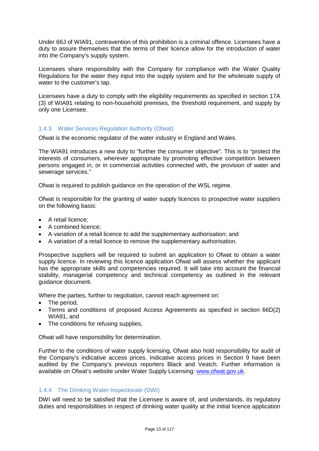Under 66J of WIA91, contravention of this prohibition is a criminal offence. Licensees have a duty to assure themselves that the terms of their licence allow for the introduction of water into the Company's supply system.

Licensees share responsibility with the Company for compliance with the Water Quality Regulations for the water they input into the supply system and for the wholesale supply of water to the customer's tap.

Licensees have a duty to comply with the eligibility requirements as specified in section 17A (3) of WIA91 relating to non-household premises, the threshold requirement, and supply by only one Licensee.

# <span id="page-12-0"></span>1.4.3 Water Services Regulation Authority (Ofwat)

Ofwat is the economic regulator of the water industry in England and Wales.

The WIA91 introduces a new duty to "further the consumer objective". This is to "protect the interests of consumers, wherever appropriate by promoting effective competition between persons engaged in, or in commercial activities connected with, the provision of water and sewerage services."

Ofwat is required to publish guidance on the operation of the WSL regime.

Ofwat is responsible for the granting of water supply licences to prospective water suppliers on the following basis:

- A retail licence;
- A combined licence;
- A variation of a retail licence to add the supplementary authorisation; and
- A variation of a retail licence to remove the supplementary authorisation.

Prospective suppliers will be required to submit an application to Ofwat to obtain a water supply licence. In reviewing this licence application Ofwat will assess whether the applicant has the appropriate skills and competencies required. It will take into account the financial stability, managerial competency and technical competency as outlined in the relevant guidance document.

Where the parties, further to negotiation, cannot reach agreement on:

- The period,
- Terms and conditions of proposed Access Agreements as specified in section 66D(2) WIA91, and
- The conditions for refusing supplies,

Ofwat will have responsibility for determination.

Further to the conditions of water supply licensing, Ofwat also hold responsibility for audit of the Company's indicative access prices. Indicative access prices in Section 9 have been audited by the Company's previous reporters Black and Veatch. Further information is available on Ofwat's website under Water Supply Licensing: [www.ofwat.gov.uk.](http://www.ofwat.gov.uk/)

# <span id="page-12-1"></span>1.4.4 The Drinking Water Inspectorate (DWI)

DWI will need to be satisfied that the Licensee is aware of, and understands, its regulatory duties and responsibilities in respect of drinking water quality at the initial licence application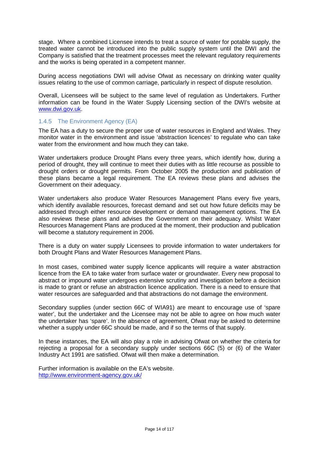stage. Where a combined Licensee intends to treat a source of water for potable supply, the treated water cannot be introduced into the public supply system until the DWI and the Company is satisfied that the treatment processes meet the relevant regulatory requirements and the works is being operated in a competent manner.

During access negotiations DWI will advise Ofwat as necessary on drinking water quality issues relating to the use of common carriage, particularly in respect of dispute resolution.

Overall, Licensees will be subject to the same level of regulation as Undertakers. Further information can be found in the Water Supply Licensing section of the DWI's website at [www.dwi.gov.uk.](http://www.dwi.gov.uk/)

# <span id="page-13-0"></span>1.4.5 The Environment Agency (EA)

The EA has a duty to secure the proper use of water resources in England and Wales. They monitor water in the environment and issue 'abstraction licences' to regulate who can take water from the environment and how much they can take.

Water undertakers produce Drought Plans every three years, which identify how, during a period of drought, they will continue to meet their duties with as little recourse as possible to drought orders or drought permits. From October 2005 the production and publication of these plans became a legal requirement. The EA reviews these plans and advises the Government on their adequacy.

Water undertakers also produce Water Resources Management Plans every five years, which identify available resources, forecast demand and set out how future deficits may be addressed through either resource development or demand management options. The EA also reviews these plans and advises the Government on their adequacy. Whilst Water Resources Management Plans are produced at the moment, their production and publication will become a statutory requirement in 2006.

There is a duty on water supply Licensees to provide information to water undertakers for both Drought Plans and Water Resources Management Plans.

In most cases, combined water supply licence applicants will require a water abstraction licence from the EA to take water from surface water or groundwater. Every new proposal to abstract or impound water undergoes extensive scrutiny and investigation before a decision is made to grant or refuse an abstraction licence application. There is a need to ensure that water resources are safeguarded and that abstractions do not damage the environment.

Secondary supplies (under section 66C of WIA91) are meant to encourage use of 'spare water', but the undertaker and the Licensee may not be able to agree on how much water the undertaker has 'spare'. In the absence of agreement, Ofwat may be asked to determine whether a supply under 66C should be made, and if so the terms of that supply.

In these instances, the EA will also play a role in advising Ofwat on whether the criteria for rejecting a proposal for a secondary supply under sections 66C (5) or (6) of the Water Industry Act 1991 are satisfied. Ofwat will then make a determination.

Further information is available on the EA's website. <http://www.environment-agency.gov.uk/>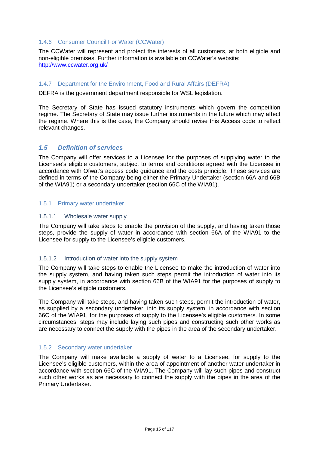#### <span id="page-14-0"></span>1.4.6 Consumer Council For Water (CCWater)

The CCWater will represent and protect the interests of all customers, at both eligible and non-eligible premises. Further information is available on CCWater's website: <http://www.ccwater.org.uk/>

#### <span id="page-14-1"></span>1.4.7 Department for the Environment, Food and Rural Affairs (DEFRA)

DEFRA is the government department responsible for WSL legislation.

The Secretary of State has issued statutory instruments which govern the competition regime. The Secretary of State may issue further instruments in the future which may affect the regime. Where this is the case, the Company should revise this Access code to reflect relevant changes.

# <span id="page-14-2"></span>*1.5 Definition of services*

The Company will offer services to a Licensee for the purposes of supplying water to the Licensee's eligible customers, subject to terms and conditions agreed with the Licensee in accordance with Ofwat's access code guidance and the costs principle. These services are defined in terms of the Company being either the Primary Undertaker (section 66A and 66B of the WIA91) or a secondary undertaker (section 66C of the WIA91).

#### <span id="page-14-3"></span>1.5.1 Primary water undertaker

#### 1.5.1.1 Wholesale water supply

The Company will take steps to enable the provision of the supply, and having taken those steps, provide the supply of water in accordance with section 66A of the WIA91 to the Licensee for supply to the Licensee's eligible customers.

#### 1.5.1.2 Introduction of water into the supply system

The Company will take steps to enable the Licensee to make the introduction of water into the supply system, and having taken such steps permit the introduction of water into its supply system, in accordance with section 66B of the WIA91 for the purposes of supply to the Licensee's eligible customers.

The Company will take steps, and having taken such steps, permit the introduction of water, as supplied by a secondary undertaker, into its supply system, in accordance with section 66C of the WIA91, for the purposes of supply to the Licensee's eligible customers. In some circumstances, steps may include laying such pipes and constructing such other works as are necessary to connect the supply with the pipes in the area of the secondary undertaker.

# <span id="page-14-4"></span>1.5.2 Secondary water undertaker

The Company will make available a supply of water to a Licensee, for supply to the Licensee's eligible customers, within the area of appointment of another water undertaker in accordance with section 66C of the WIA91. The Company will lay such pipes and construct such other works as are necessary to connect the supply with the pipes in the area of the Primary Undertaker.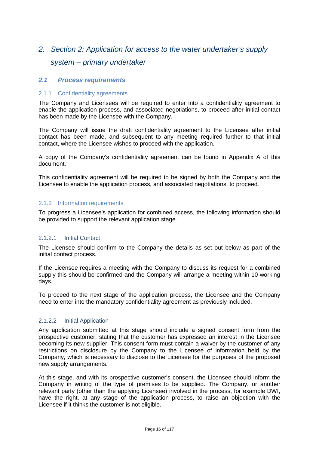# <span id="page-15-0"></span>*2. Section 2: Application for access to the water undertaker's supply system – primary undertaker*

# <span id="page-15-1"></span>*2.1 Process requirements*

#### <span id="page-15-2"></span>2.1.1 Confidentiality agreements

The Company and Licensees will be required to enter into a confidentiality agreement to enable the application process, and associated negotiations, to proceed after initial contact has been made by the Licensee with the Company.

The Company will issue the draft confidentiality agreement to the Licensee after initial contact has been made, and subsequent to any meeting required further to that initial contact, where the Licensee wishes to proceed with the application.

A copy of the Company's confidentiality agreement can be found in Appendix A of this document.

This confidentiality agreement will be required to be signed by both the Company and the Licensee to enable the application process, and associated negotiations, to proceed.

#### <span id="page-15-3"></span>2.1.2 Information requirements

To progress a Licensee's application for combined access, the following information should be provided to support the relevant application stage.

#### 2.1.2.1 Initial Contact

The Licensee should confirm to the Company the details as set out below as part of the initial contact process.

If the Licensee requires a meeting with the Company to discuss its request for a combined supply this should be confirmed and the Company will arrange a meeting within 10 working days.

To proceed to the next stage of the application process, the Licensee and the Company need to enter into the mandatory confidentiality agreement as previously included.

#### 2.1.2.2 Initial Application

Any application submitted at this stage should include a signed consent form from the prospective customer, stating that the customer has expressed an interest in the Licensee becoming its new supplier. This consent form must contain a waiver by the customer of any restrictions on disclosure by the Company to the Licensee of information held by the Company, which is necessary to disclose to the Licensee for the purposes of the proposed new supply arrangements.

At this stage, and with its prospective customer's consent, the Licensee should inform the Company in writing of the type of premises to be supplied. The Company, or another relevant party (other than the applying Licensee) involved in the process, for example DWI, have the right, at any stage of the application process, to raise an objection with the Licensee if it thinks the customer is not eligible.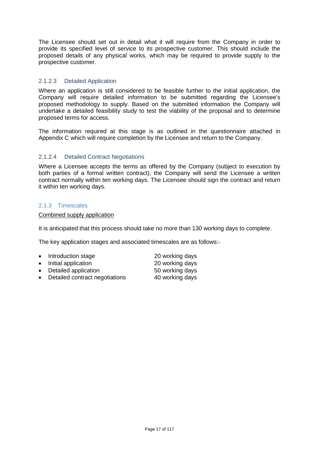The Licensee should set out in detail what it will require from the Company in order to provide its specified level of service to its prospective customer. This should include the proposed details of any physical works, which may be required to provide supply to the prospective customer.

# 2.1.2.3 Detailed Application

Where an application is still considered to be feasible further to the initial application, the Company will require detailed information to be submitted regarding the Licensee's proposed methodology to supply. Based on the submitted information the Company will undertake a detailed feasibility study to test the viability of the proposal and to determine proposed terms for access.

The information required at this stage is as outlined in the questionnaire attached in Appendix C which will require completion by the Licensee and return to the Company.

# 2.1.2.4 Detailed Contract Negotiations

Where a Licensee accepts the terms as offered by the Company (subject to execution by both parties of a formal written contract), the Company will send the Licensee a written contract normally within ten working days. The Licensee should sign the contract and return it within ten working days.

# <span id="page-16-0"></span>2.1.3 Timescales

Combined supply application

It is anticipated that this process should take no more than 130 working days to complete.

The key application stages and associated timescales are as follows:-

- Introduction stage 20 working days • Initial application 20 working days • Detailed application 60 working days
- Detailed contract negotiations 40 working days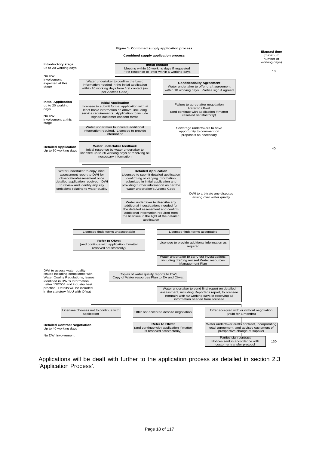

Applications will be dealt with further to the application process as detailed in section 2.3 'Application Process'.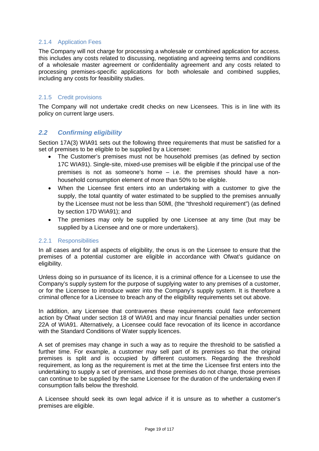# <span id="page-18-0"></span>2.1.4 Application Fees

The Company will not charge for processing a wholesale or combined application for access. this includes any costs related to discussing, negotiating and agreeing terms and conditions of a wholesale master agreement or confidentiality agreement and any costs related to processing premises-specific applications for both wholesale and combined supplies, including any costs for feasibility studies.

# <span id="page-18-1"></span>2.1.5 Credit provisions

The Company will not undertake credit checks on new Licensees. This is in line with its policy on current large users.

# <span id="page-18-2"></span>*2.2 Confirming eligibility*

Section 17A(3) WIA91 sets out the following three requirements that must be satisfied for a set of premises to be eligible to be supplied by a Licensee:

- The Customer's premises must not be household premises (as defined by section 17C WIA91). Single-site, mixed-use premises will be eligible if the principal use of the premises is not as someone's home – i.e. the premises should have a nonhousehold consumption element of more than 50% to be eligible.
- When the Licensee first enters into an undertaking with a customer to give the supply, the total quantity of water estimated to be supplied to the premises annually by the Licensee must not be less than 50Ml, (the "threshold requirement") (as defined by section 17D WIA91); and
- The premises may only be supplied by one Licensee at any time (but may be supplied by a Licensee and one or more undertakers).

# <span id="page-18-3"></span>2.2.1 Responsibilities

In all cases and for all aspects of eligibility, the onus is on the Licensee to ensure that the premises of a potential customer are eligible in accordance with Ofwat's guidance on eligibility.

Unless doing so in pursuance of its licence, it is a criminal offence for a Licensee to use the Company's supply system for the purpose of supplying water to any premises of a customer, or for the Licensee to introduce water into the Company's supply system. It is therefore a criminal offence for a Licensee to breach any of the eligibility requirements set out above.

In addition, any Licensee that contravenes these requirements could face enforcement action by Ofwat under section 18 of WIA91 and may incur financial penalties under section 22A of WIA91. Alternatively, a Licensee could face revocation of its licence in accordance with the Standard Conditions of Water supply licences.

A set of premises may change in such a way as to require the threshold to be satisfied a further time. For example, a customer may sell part of its premises so that the original premises is split and is occupied by different customers. Regarding the threshold requirement, as long as the requirement is met at the time the Licensee first enters into the undertaking to supply a set of premises, and those premises do not change, those premises can continue to be supplied by the same Licensee for the duration of the undertaking even if consumption falls below the threshold.

A Licensee should seek its own legal advice if it is unsure as to whether a customer's premises are eligible.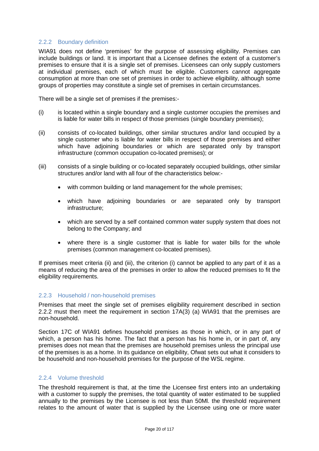#### <span id="page-19-0"></span>2.2.2 Boundary definition

WIA91 does not define 'premises' for the purpose of assessing eligibility. Premises can include buildings or land. It is important that a Licensee defines the extent of a customer's premises to ensure that it is a single set of premises. Licensees can only supply customers at individual premises, each of which must be eligible. Customers cannot aggregate consumption at more than one set of premises in order to achieve eligibility, although some groups of properties may constitute a single set of premises in certain circumstances.

There will be a single set of premises if the premises:-

- (i) is located within a single boundary and a single customer occupies the premises and is liable for water bills in respect of those premises (single boundary premises);
- (ii) consists of co-located buildings, other similar structures and/or land occupied by a single customer who is liable for water bills in respect of those premises and either which have adjoining boundaries or which are separated only by transport infrastructure (common occupation co-located premises); or
- (iii) consists of a single building or co-located separately occupied buildings, other similar structures and/or land with all four of the characteristics below:
	- with common building or land management for the whole premises:
	- which have adjoining boundaries or are separated only by transport infrastructure;
	- which are served by a self contained common water supply system that does not belong to the Company; and
	- where there is a single customer that is liable for water bills for the whole premises (common management co-located premises).

If premises meet criteria (ii) and (iii), the criterion (i) cannot be applied to any part of it as a means of reducing the area of the premises in order to allow the reduced premises to fit the eligibility requirements.

#### <span id="page-19-1"></span>2.2.3 Household / non-household premises

Premises that meet the single set of premises eligibility requirement described in section 2.2.2 must then meet the requirement in section 17A(3) (a) WIA91 that the premises are non-household.

Section 17C of WIA91 defines household premises as those in which, or in any part of which, a person has his home. The fact that a person has his home in, or in part of, any premises does not mean that the premises are household premises unless the principal use of the premises is as a home. In its guidance on eligibility, Ofwat sets out what it considers to be household and non-household premises for the purpose of the WSL regime.

# <span id="page-19-2"></span>2.2.4 Volume threshold

The threshold requirement is that, at the time the Licensee first enters into an undertaking with a customer to supply the premises, the total quantity of water estimated to be supplied annually to the premises by the Licensee is not less than 50Ml. the threshold requirement relates to the amount of water that is supplied by the Licensee using one or more water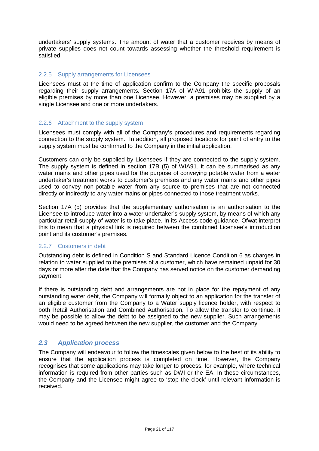undertakers' supply systems. The amount of water that a customer receives by means of private supplies does not count towards assessing whether the threshold requirement is satisfied.

#### <span id="page-20-0"></span>2.2.5 Supply arrangements for Licensees

Licensees must at the time of application confirm to the Company the specific proposals regarding their supply arrangements*.* Section 17A of WIA91 prohibits the supply of an eligible premises by more than one Licensee. However, a premises may be supplied by a single Licensee and one or more undertakers.

#### <span id="page-20-1"></span>2.2.6 Attachment to the supply system

Licensees must comply with all of the Company's procedures and requirements regarding connection to the supply system. In addition, all proposed locations for point of entry to the supply system must be confirmed to the Company in the initial application.

Customers can only be supplied by Licensees if they are connected to the supply system. The supply system is defined in section 17B (5) of WIA91. it can be summarised as any water mains and other pipes used for the purpose of conveying potable water from a water undertaker's treatment works to customer's premises and any water mains and other pipes used to convey non-potable water from any source to premises that are not connected directly or indirectly to any water mains or pipes connected to those treatment works.

Section 17A (5) provides that the supplementary authorisation is an authorisation to the Licensee to introduce water into a water undertaker's supply system, by means of which any particular retail supply of water is to take place. In its Access code guidance, Ofwat interpret this to mean that a physical link is required between the combined Licensee's introduction point and its customer's premises.

#### <span id="page-20-2"></span>2.2.7 Customers in debt

Outstanding debt is defined in Condition S and Standard Licence Condition 6 as charges in relation to water supplied to the premises of a customer, which have remained unpaid for 30 days or more after the date that the Company has served notice on the customer demanding payment.

If there is outstanding debt and arrangements are not in place for the repayment of any outstanding water debt, the Company will formally object to an application for the transfer of an eligible customer from the Company to a Water supply licence holder, with respect to both Retail Authorisation and Combined Authorisation. To allow the transfer to continue, it may be possible to allow the debt to be assigned to the new supplier. Such arrangements would need to be agreed between the new supplier, the customer and the Company.

# <span id="page-20-3"></span>*2.3 Application process*

The Company will endeavour to follow the timescales given below to the best of its ability to ensure that the application process is completed on time. However, the Company recognises that some applications may take longer to process, for example, where technical information is required from other parties such as DWI or the EA. In these circumstances, the Company and the Licensee might agree to 'stop the clock' until relevant information is received.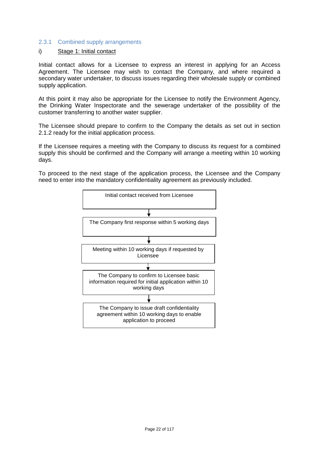#### <span id="page-21-0"></span>2.3.1 Combined supply arrangements

#### i) Stage 1: Initial contact

Initial contact allows for a Licensee to express an interest in applying for an Access Agreement. The Licensee may wish to contact the Company, and where required a secondary water undertaker, to discuss issues regarding their wholesale supply or combined supply application.

At this point it may also be appropriate for the Licensee to notify the Environment Agency, the Drinking Water Inspectorate and the sewerage undertaker of the possibility of the customer transferring to another water supplier.

The Licensee should prepare to confirm to the Company the details as set out in section 2.1.2 ready for the initial application process.

If the Licensee requires a meeting with the Company to discuss its request for a combined supply this should be confirmed and the Company will arrange a meeting within 10 working days.

To proceed to the next stage of the application process, the Licensee and the Company need to enter into the mandatory confidentiality agreement as previously included.

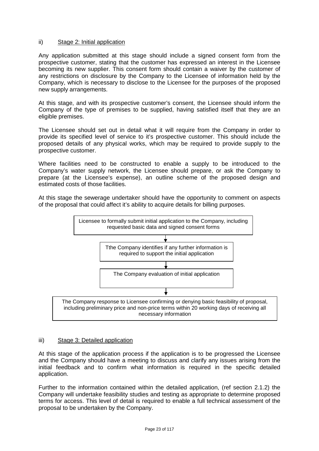#### ii) Stage 2: Initial application

Any application submitted at this stage should include a signed consent form from the prospective customer, stating that the customer has expressed an interest in the Licensee becoming its new supplier. This consent form should contain a waiver by the customer of any restrictions on disclosure by the Company to the Licensee of information held by the Company, which is necessary to disclose to the Licensee for the purposes of the proposed new supply arrangements.

At this stage, and with its prospective customer's consent, the Licensee should inform the Company of the type of premises to be supplied, having satisfied itself that they are an eligible premises.

The Licensee should set out in detail what it will require from the Company in order to provide its specified level of service to it's prospective customer. This should include the proposed details of any physical works, which may be required to provide supply to the prospective customer.

Where facilities need to be constructed to enable a supply to be introduced to the Company's water supply network, the Licensee should prepare, or ask the Company to prepare (at the Licensee's expense), an outline scheme of the proposed design and estimated costs of those facilities.

At this stage the sewerage undertaker should have the opportunity to comment on aspects of the proposal that could affect it's ability to acquire details for billing purposes.



#### iii) Stage 3: Detailed application

At this stage of the application process if the application is to be progressed the Licensee and the Company should have a meeting to discuss and clarify any issues arising from the initial feedback and to confirm what information is required in the specific detailed application.

Further to the information contained within the detailed application, (ref section 2.1.2) the Company will undertake feasibility studies and testing as appropriate to determine proposed terms for access. This level of detail is required to enable a full technical assessment of the proposal to be undertaken by the Company.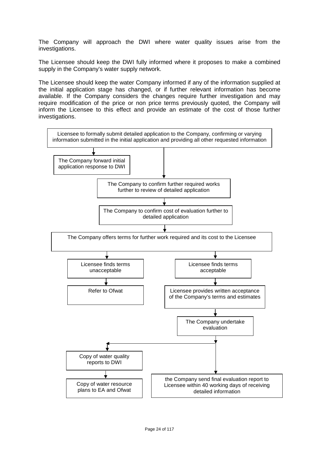The Company will approach the DWI where water quality issues arise from the investigations.

The Licensee should keep the DWI fully informed where it proposes to make a combined supply in the Company's water supply network.

The Licensee should keep the water Company informed if any of the information supplied at the initial application stage has changed, or if further relevant information has become available. If the Company considers the changes require further investigation and may require modification of the price or non price terms previously quoted, the Company will inform the Licensee to this effect and provide an estimate of the cost of those further investigations.

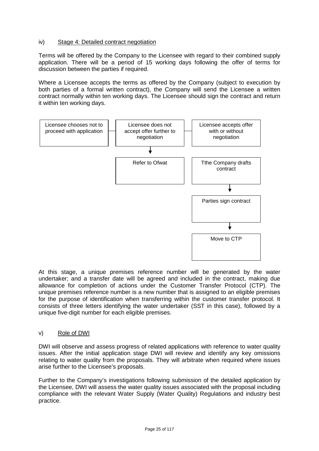# iv) Stage 4: Detailed contract negotiation

Terms will be offered by the Company to the Licensee with regard to their combined supply application. There will be a period of 15 working days following the offer of terms for discussion between the parties if required.

Where a Licensee accepts the terms as offered by the Company (subject to execution by both parties of a formal written contract), the Company will send the Licensee a written contract normally within ten working days. The Licensee should sign the contract and return it within ten working days.



At this stage, a unique premises reference number will be generated by the water undertaker; and a transfer date will be agreed and included in the contract, making due allowance for completion of actions under the Customer Transfer Protocol (CTP). The unique premises reference number is a new number that is assigned to an eligible premises for the purpose of identification when transferring within the customer transfer protocol. It consists of three letters identifying the water undertaker (SST in this case), followed by a unique five-digit number for each eligible premises.

# v) Role of DWI

DWI will observe and assess progress of related applications with reference to water quality issues. After the initial application stage DWI will review and identify any key omissions relating to water quality from the proposals. They will arbitrate when required where issues arise further to the Licensee's proposals.

Further to the Company's investigations following submission of the detailed application by the Licensee, DWI will assess the water quality issues associated with the proposal including compliance with the relevant Water Supply (Water Quality) Regulations and industry best practice.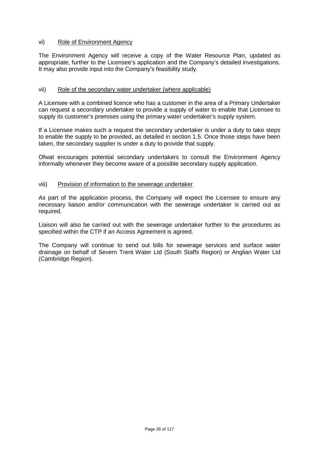#### vi) Role of Environment Agency

The Environment Agency will receive a copy of the Water Resource Plan, updated as appropriate, further to the Licensee's application and the Company's detailed investigations. It may also provide input into the Company's feasibility study.

#### vii) Role of the secondary water undertaker (where applicable)

A Licensee with a combined licence who has a customer in the area of a Primary Undertaker can request a secondary undertaker to provide a supply of water to enable that Licensee to supply its customer's premises using the primary water undertaker's supply system.

If a Licensee makes such a request the secondary undertaker is under a duty to take steps to enable the supply to be provided, as detailed in section 1.5. Once those steps have been taken, the secondary supplier is under a duty to provide that supply.

Ofwat encourages potential secondary undertakers to consult the Environment Agency informally whenever they become aware of a possible secondary supply application.

#### viii) Provision of information to the sewerage undertaker

As part of the application process, the Company will expect the Licensee to ensure any necessary liaison and/or communication with the sewerage undertaker is carried out as required.

Liaison will also be carried out with the sewerage undertaker further to the procedures as specified within the CTP if an Access Agreement is agreed.

The Company will continue to send out bills for sewerage services and surface water drainage on behalf of Severn Trent Water Ltd (South Staffs Region) or Anglian Water Ltd (Cambridge Region).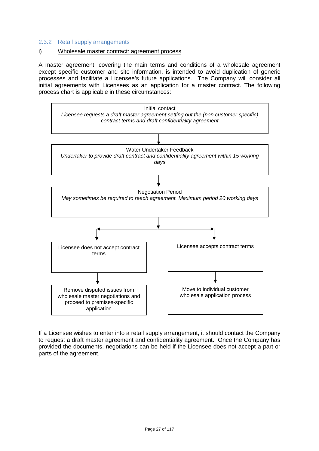# <span id="page-26-0"></span>2.3.2 Retail supply arrangements

#### i) Wholesale master contract: agreement process

A master agreement, covering the main terms and conditions of a wholesale agreement except specific customer and site information, is intended to avoid duplication of generic processes and facilitate a Licensee's future applications. The Company will consider all initial agreements with Licensees as an application for a master contract. The following process chart is applicable in these circumstances:



If a Licensee wishes to enter into a retail supply arrangement, it should contact the Company to request a draft master agreement and confidentiality agreement. Once the Company has provided the documents, negotiations can be held if the Licensee does not accept a part or parts of the agreement.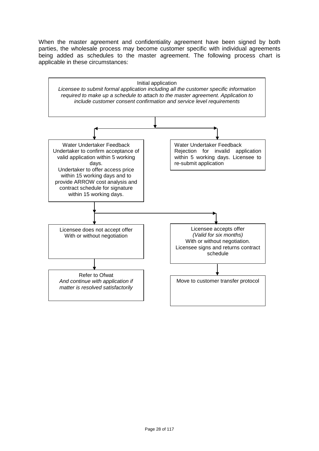When the master agreement and confidentiality agreement have been signed by both parties, the wholesale process may become customer specific with individual agreements being added as schedules to the master agreement. The following process chart is applicable in these circumstances:

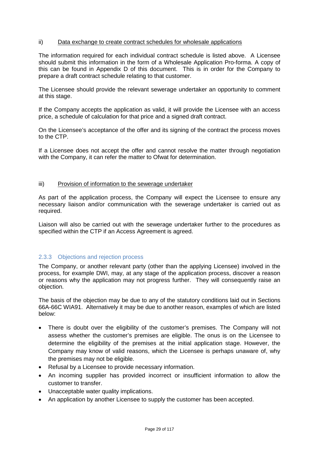#### ii) Data exchange to create contract schedules for wholesale applications

The information required for each individual contract schedule is listed above. A Licensee should submit this information in the form of a Wholesale Application Pro-forma. A copy of this can be found in Appendix D of this document. This is in order for the Company to prepare a draft contract schedule relating to that customer.

The Licensee should provide the relevant sewerage undertaker an opportunity to comment at this stage.

If the Company accepts the application as valid, it will provide the Licensee with an access price, a schedule of calculation for that price and a signed draft contract.

On the Licensee's acceptance of the offer and its signing of the contract the process moves to the CTP.

If a Licensee does not accept the offer and cannot resolve the matter through negotiation with the Company, it can refer the matter to Ofwat for determination.

#### iii) Provision of information to the sewerage undertaker

As part of the application process, the Company will expect the Licensee to ensure any necessary liaison and/or communication with the sewerage undertaker is carried out as required.

Liaison will also be carried out with the sewerage undertaker further to the procedures as specified within the CTP if an Access Agreement is agreed.

# <span id="page-28-0"></span>2.3.3 Objections and rejection process

The Company, or another relevant party (other than the applying Licensee) involved in the process, for example DWI, may, at any stage of the application process, discover a reason or reasons why the application may not progress further. They will consequently raise an objection.

The basis of the objection may be due to any of the statutory conditions laid out in Sections 66A-66C WIA91. Alternatively it may be due to another reason, examples of which are listed below:

- There is doubt over the eligibility of the customer's premises. The Company will not assess whether the customer's premises are eligible. The onus is on the Licensee to determine the eligibility of the premises at the initial application stage. However, the Company may know of valid reasons, which the Licensee is perhaps unaware of, why the premises may not be eligible.
- Refusal by a Licensee to provide necessary information.
- An incoming supplier has provided incorrect or insufficient information to allow the customer to transfer.
- Unacceptable water quality implications.
- An application by another Licensee to supply the customer has been accepted.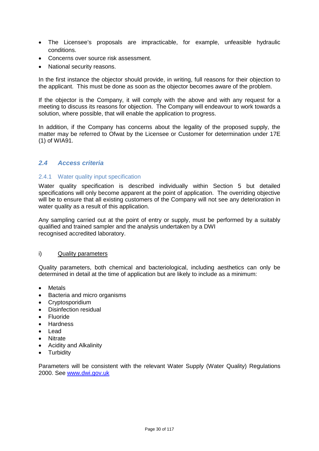- The Licensee's proposals are impracticable, for example, unfeasible hydraulic conditions.
- Concerns over source risk assessment.
- National security reasons.

In the first instance the objector should provide, in writing, full reasons for their objection to the applicant. This must be done as soon as the objector becomes aware of the problem.

If the objector is the Company, it will comply with the above and with any request for a meeting to discuss its reasons for objection. The Company will endeavour to work towards a solution, where possible, that will enable the application to progress.

In addition, if the Company has concerns about the legality of the proposed supply, the matter may be referred to Ofwat by the Licensee or Customer for determination under 17E (1) of WIA91.

# <span id="page-29-0"></span>*2.4 Access criteria*

#### <span id="page-29-1"></span>2.4.1 Water quality input specification

Water quality specification is described individually within Section 5 but detailed specifications will only become apparent at the point of application. The overriding objective will be to ensure that all existing customers of the Company will not see any deterioration in water quality as a result of this application.

Any sampling carried out at the point of entry or supply, must be performed by a suitably qualified and trained sampler and the analysis undertaken by a DWI recognised accredited laboratory.

#### i) Quality parameters

Quality parameters, both chemical and bacteriological, including aesthetics can only be determined in detail at the time of application but are likely to include as a minimum:

- Metals
- Bacteria and micro organisms
- Cryptosporidium
- Disinfection residual
- Fluoride
- Hardness
- Lead
- Nitrate
- Acidity and Alkalinity
- Turbidity

Parameters will be consistent with the relevant Water Supply (Water Quality) Regulations 2000. See [www.dwi.gov.uk](http://www.dwi.gov.uk/)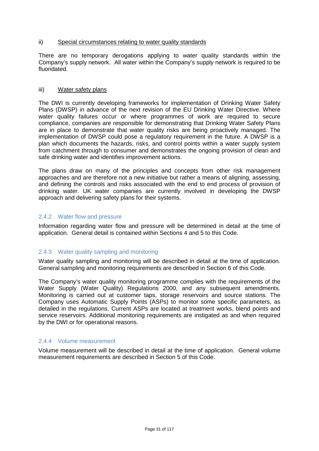#### ii) Special circumstances relating to water quality standards

There are no temporary derogations applying to water quality standards within the Company's supply network. All water within the Company's supply network is required to be fluoridated.

#### iii) Water safety plans

The DWI is currently developing frameworks for implementation of Drinking Water Safety Plans (DWSP) in advance of the next revision of the EU Drinking Water Directive. Where water quality failures occur or where programmes of work are required to secure compliance, companies are responsible for demonstrating that Drinking Water Safety Plans are in place to demonstrate that water quality risks are being proactively managed. The implementation of DWSP could pose a regulatory requirement in the future. A DWSP is a plan which documents the hazards, risks, and control points within a water supply system from catchment through to consumer and demonstrates the ongoing provision of clean and safe drinking water and identifies improvement actions.

The plans draw on many of the principles and concepts from other risk management approaches and are therefore not a new initiative but rather a means of aligning, assessing, and defining the controls and risks associated with the end to end process of provision of drinking water. UK water companies are currently involved in developing the DWSP approach and delivering safety plans for their systems.

# <span id="page-30-0"></span>2.4.2 Water flow and pressure

Information regarding water flow and pressure will be determined in detail at the time of application. General detail is contained within Sections 4 and 5 to this Code.

# <span id="page-30-1"></span>2.4.3 Water quality sampling and monitoring

Water quality sampling and monitoring will be described in detail at the time of application. General sampling and monitoring requirements are described in Section 6 of this Code.

The Company's water quality monitoring programme complies with the requirements of the Water Supply (Water Quality) Regulations 2000, and any subsequent amendments. Monitoring is carried out at customer taps, storage reservoirs and source stations. The Company uses Automatic Supply Points (ASPs) to monitor some specific parameters, as detailed in the regulations. Current ASPs are located at treatment works, blend points and service reservoirs. Additional monitoring requirements are instigated as and when required by the DWI or for operational reasons.

#### <span id="page-30-2"></span>2.4.4 Volume measurement

Volume measurement will be described in detail at the time of application. General volume measurement requirements are described in Section 5 of this Code.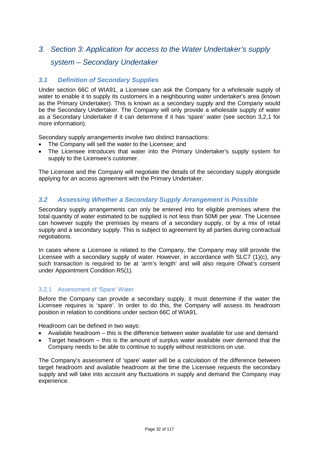# <span id="page-31-0"></span>*3. Section 3: Application for access to the Water Undertaker's supply*

# *system – Secondary Undertaker*

# <span id="page-31-1"></span>*3.1 Definition of Secondary Supplies*

Under section 66C of WIA91, a Licensee can ask the Company for a wholesale supply of water to enable it to supply its customers in a neighbouring water undertaker's area (known as the Primary Undertaker). This is known as a secondary supply and the Company would be the Secondary Undertaker. The Company will only provide a wholesale supply of water as a Secondary Undertaker if it can determine if it has 'spare' water (see section 3,2,1 for more information).

Secondary supply arrangements involve two distinct transactions:

- The Company will sell the water to the Licensee; and
- The Licensee introduces that water into the Primary Undertaker's supply system for supply to the Licensee's customer.

The Licensee and the Company will negotiate the details of the secondary supply alongside applying for an access agreement with the Primary Undertaker.

# <span id="page-31-2"></span>*3.2 Assessing Whether a Secondary Supply Arrangement is Possible*

Secondary supply arrangements can only be entered into for eligible premises where the total quantity of water estimated to be supplied is not less than 50Ml per year. The Licensee can however supply the premises by means of a secondary supply, or by a mix of retail supply and a secondary supply. This is subject to agreement by all parties during contractual negotiations.

In cases where a Licensee is related to the Company, the Company may still provide the Licensee with a secondary supply of water. However, in accordance with SLC7 (1)(c), any such transaction is required to be at 'arm's length' and will also require Ofwat's consent under Appointment Condition R5(1).

# <span id="page-31-3"></span>3.2.1 Assessment of 'Spare' Water

Before the Company can provide a secondary supply, it must determine if the water the Licensee requires is 'spare'. In order to do this, the Company will assess its headroom position in relation to conditions under section 66C of WIA91.

Headroom can be defined in two ways:

- Available headroom this is the difference between water available for use and demand
- Target headroom this is the amount of surplus water available over demand that the Company needs to be able to continue to supply without restrictions on use.

The Company's assessment of 'spare' water will be a calculation of the difference between target headroom and available headroom at the time the Licensee requests the secondary supply and will take into account any fluctuations in supply and demand the Company may experience.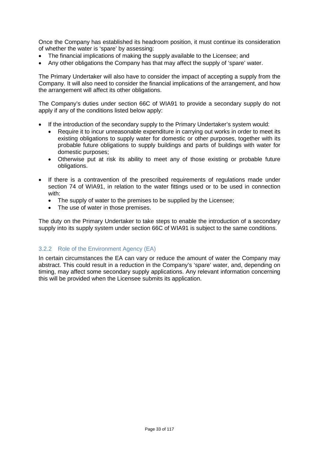Once the Company has established its headroom position, it must continue its consideration of whether the water is 'spare' by assessing:

- The financial implications of making the supply available to the Licensee; and
- Any other obligations the Company has that may affect the supply of 'spare' water.

The Primary Undertaker will also have to consider the impact of accepting a supply from the Company. It will also need to consider the financial implications of the arrangement, and how the arrangement will affect its other obligations.

The Company's duties under section 66C of WIA91 to provide a secondary supply do not apply if any of the conditions listed below apply:

- If the introduction of the secondary supply to the Primary Undertaker's system would:
	- Require it to incur unreasonable expenditure in carrying out works in order to meet its existing obligations to supply water for domestic or other purposes, together with its probable future obligations to supply buildings and parts of buildings with water for domestic purposes;
	- Otherwise put at risk its ability to meet any of those existing or probable future obligations.
- If there is a contravention of the prescribed requirements of regulations made under section 74 of WIA91, in relation to the water fittings used or to be used in connection with:
	- The supply of water to the premises to be supplied by the Licensee;
	- The use of water in those premises.

The duty on the Primary Undertaker to take steps to enable the introduction of a secondary supply into its supply system under section 66C of WIA91 is subject to the same conditions.

# <span id="page-32-0"></span>3.2.2 Role of the Environment Agency (EA)

In certain circumstances the EA can vary or reduce the amount of water the Company may abstract. This could result in a reduction in the Company's 'spare' water, and, depending on timing, may affect some secondary supply applications. Any relevant information concerning this will be provided when the Licensee submits its application.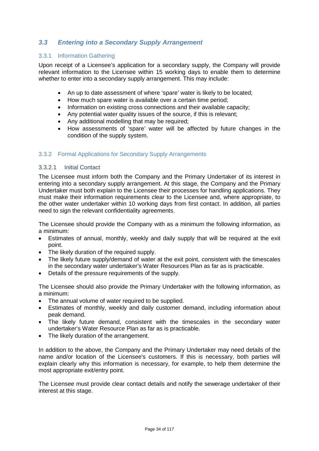# <span id="page-33-0"></span>*3.3 Entering into a Secondary Supply Arrangement*

# <span id="page-33-1"></span>3.3.1 Information Gathering

Upon receipt of a Licensee's application for a secondary supply, the Company will provide relevant information to the Licensee within 15 working days to enable them to determine whether to enter into a secondary supply arrangement. This may include:

- An up to date assessment of where 'spare' water is likely to be located;
- How much spare water is available over a certain time period;
- Information on existing cross connections and their available capacity;
- Any potential water quality issues of the source, if this is relevant;
- Any additional modelling that may be required:
- How assessments of 'spare' water will be affected by future changes in the condition of the supply system.

# <span id="page-33-2"></span>3.3.2 Formal Applications for Secondary Supply Arrangements

#### 3.3.2.1 Initial Contact

The Licensee must inform both the Company and the Primary Undertaker of its interest in entering into a secondary supply arrangement. At this stage, the Company and the Primary Undertaker must both explain to the Licensee their processes for handling applications. They must make their information requirements clear to the Licensee and, where appropriate, to the other water undertaker within 10 working days from first contact. In addition, all parties need to sign the relevant confidentiality agreements.

The Licensee should provide the Company with as a minimum the following information, as a minimum:

- Estimates of annual, monthly, weekly and daily supply that will be required at the exit point.
- The likely duration of the required supply.
- The likely future supply/demand of water at the exit point, consistent with the timescales in the secondary water undertaker's Water Resources Plan as far as is practicable.
- Details of the pressure requirements of the supply.

The Licensee should also provide the Primary Undertaker with the following information, as a minimum:

- The annual volume of water required to be supplied.
- Estimates of monthly, weekly and daily customer demand, including information about peak demand.
- The likely future demand, consistent with the timescales in the secondary water undertaker's Water Resource Plan as far as is practicable.
- The likely duration of the arrangement.

In addition to the above, the Company and the Primary Undertaker may need details of the name and/or location of the Licensee's customers. If this is necessary, both parties will explain clearly why this information is necessary, for example, to help them determine the most appropriate exit/entry point.

The Licensee must provide clear contact details and notify the sewerage undertaker of their interest at this stage.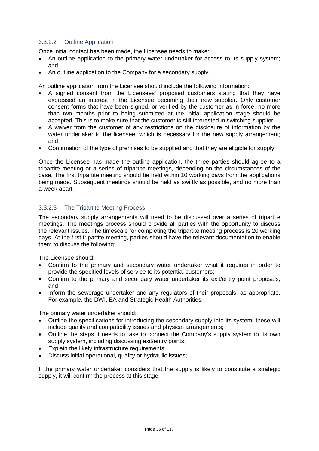# 3.3.2.2 Outline Application

Once initial contact has been made, the Licensee needs to make:

- An outline application to the primary water undertaker for access to its supply system; and
- An outline application to the Company for a secondary supply.

An outline application from the Licensee should include the following information:

- A signed consent from the Licensees' proposed customers stating that they have expressed an interest in the Licensee becoming their new supplier. Only customer consent forms that have been signed, or verified by the customer as in force, no more than two months prior to being submitted at the initial application stage should be accepted. This is to make sure that the customer is still interested in switching supplier.
- A waiver from the customer of any restrictions on the disclosure of information by the water undertaker to the licensee, which is necessary for the new supply arrangement; and
- Confirmation of the type of premises to be supplied and that they are eligible for supply.

Once the Licensee has made the outline application, the three parties should agree to a tripartite meeting or a series of tripartite meetings, depending on the circumstances of the case. The first tripartite meeting should be held within 10 working days from the applications being made. Subsequent meetings should be held as swiftly as possible, and no more than a week apart.

# 3.3.2.3 The Tripartite Meeting Process

The secondary supply arrangements will need to be discussed over a series of tripartite meetings. The meetings process should provide all parties with the opportunity to discuss the relevant issues. The timescale for completing the tripartite meeting process is 20 working days. At the first tripartite meeting, parties should have the relevant documentation to enable them to discuss the following:

The Licensee should:

- Confirm to the primary and secondary water undertaker what it requires in order to provide the specified levels of service to its potential customers;
- Confirm to the primary and secondary water undertaker its exit/entry point proposals; and
- Inform the sewerage undertaker and any regulators of their proposals, as appropriate. For example, the DWI, EA and Strategic Health Authorities.

The primary water undertaker should:

- Outline the specifications for introducing the secondary supply into its system; these will include quality and compatibility issues and physical arrangements;
- Outline the steps it needs to take to connect the Company's supply system to its own supply system, including discussing exit/entry points;
- Explain the likely infrastructure requirements;
- Discuss initial operational, quality or hydraulic issues;

If the primary water undertaker considers that the supply is likely to constitute a strategic supply, it will confirm the process at this stage.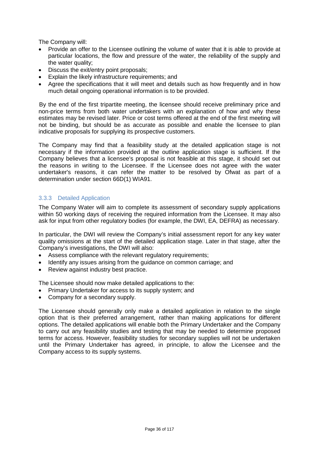The Company will:

- Provide an offer to the Licensee outlining the volume of water that it is able to provide at particular locations, the flow and pressure of the water, the reliability of the supply and the water quality;
- Discuss the exit/entry point proposals;
- Explain the likely infrastructure requirements; and
- Agree the specifications that it will meet and details such as how frequently and in how much detail ongoing operational information is to be provided.

By the end of the first tripartite meeting, the licensee should receive preliminary price and non-price terms from both water undertakers with an explanation of how and why these estimates may be revised later. Price or cost terms offered at the end of the first meeting will not be binding, but should be as accurate as possible and enable the licensee to plan indicative proposals for supplying its prospective customers.

The Company may find that a feasibility study at the detailed application stage is not necessary if the information provided at the outline application stage is sufficient. If the Company believes that a licensee's proposal is not feasible at this stage, it should set out the reasons in writing to the Licensee. If the Licensee does not agree with the water undertaker's reasons, it can refer the matter to be resolved by Ofwat as part of a determination under section 66D(1) WIA91.

# <span id="page-35-0"></span>3.3.3 Detailed Application

The Company Water will aim to complete its assessment of secondary supply applications within 50 working days of receiving the required information from the Licensee. It may also ask for input from other regulatory bodies (for example, the DWI, EA, DEFRA) as necessary.

In particular, the DWI will review the Company's initial assessment report for any key water quality omissions at the start of the detailed application stage. Later in that stage, after the Company's investigations, the DWI will also:

- Assess compliance with the relevant regulatory requirements;
- Identify any issues arising from the guidance on common carriage; and
- Review against industry best practice.

The Licensee should now make detailed applications to the:

- Primary Undertaker for access to its supply system; and
- Company for a secondary supply.

The Licensee should generally only make a detailed application in relation to the single option that is their preferred arrangement, rather than making applications for different options. The detailed applications will enable both the Primary Undertaker and the Company to carry out any feasibility studies and testing that may be needed to determine proposed terms for access. However, feasibility studies for secondary supplies will not be undertaken until the Primary Undertaker has agreed, in principle, to allow the Licensee and the Company access to its supply systems.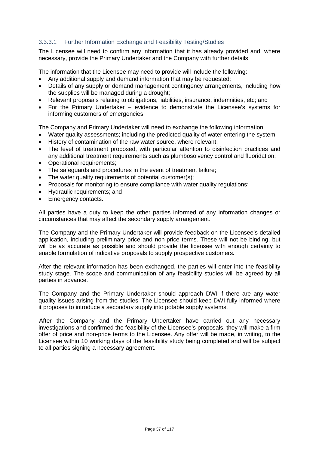# 3.3.3.1 Further Information Exchange and Feasibility Testing/Studies

The Licensee will need to confirm any information that it has already provided and, where necessary, provide the Primary Undertaker and the Company with further details.

The information that the Licensee may need to provide will include the following:

- Any additional supply and demand information that may be requested;
- Details of any supply or demand management contingency arrangements, including how the supplies will be managed during a drought;
- Relevant proposals relating to obligations, liabilities, insurance, indemnities, etc; and
- For the Primary Undertaker evidence to demonstrate the Licensee's systems for informing customers of emergencies.

The Company and Primary Undertaker will need to exchange the following information:

- Water quality assessments; including the predicted quality of water entering the system;
- History of contamination of the raw water source, where relevant;
- The level of treatment proposed, with particular attention to disinfection practices and any additional treatment requirements such as plumbosolvency control and fluoridation;
- Operational requirements;
- The safeguards and procedures in the event of treatment failure;
- The water quality requirements of potential customer(s);
- Proposals for monitoring to ensure compliance with water quality regulations;
- Hydraulic requirements; and
- Emergency contacts.

All parties have a duty to keep the other parties informed of any information changes or circumstances that may affect the secondary supply arrangement.

The Company and the Primary Undertaker will provide feedback on the Licensee's detailed application, including preliminary price and non-price terms. These will not be binding, but will be as accurate as possible and should provide the licensee with enough certainty to enable formulation of indicative proposals to supply prospective customers.

After the relevant information has been exchanged, the parties will enter into the feasibility study stage. The scope and communication of any feasibility studies will be agreed by all parties in advance.

The Company and the Primary Undertaker should approach DWI if there are any water quality issues arising from the studies. The Licensee should keep DWI fully informed where it proposes to introduce a secondary supply into potable supply systems.

 After the Company and the Primary Undertaker have carried out any necessary investigations and confirmed the feasibility of the Licensee's proposals, they will make a firm offer of price and non-price terms to the Licensee. Any offer will be made, in writing, to the Licensee within 10 working days of the feasibility study being completed and will be subject to all parties signing a necessary agreement.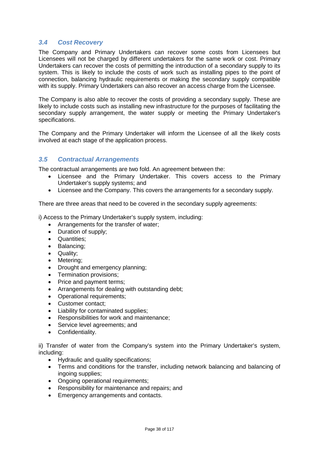# *3.4 Cost Recovery*

The Company and Primary Undertakers can recover some costs from Licensees but Licensees will not be charged by different undertakers for the same work or cost. Primary Undertakers can recover the costs of permitting the introduction of a secondary supply to its system. This is likely to include the costs of work such as installing pipes to the point of connection, balancing hydraulic requirements or making the secondary supply compatible with its supply. Primary Undertakers can also recover an access charge from the Licensee.

The Company is also able to recover the costs of providing a secondary supply. These are likely to include costs such as installing new infrastructure for the purposes of facilitating the secondary supply arrangement, the water supply or meeting the Primary Undertaker's specifications.

The Company and the Primary Undertaker will inform the Licensee of all the likely costs involved at each stage of the application process.

# *3.5 Contractual Arrangements*

The contractual arrangements are two fold. An agreement between the:

- Licensee and the Primary Undertaker. This covers access to the Primary Undertaker's supply systems; and
- Licensee and the Company. This covers the arrangements for a secondary supply.

There are three areas that need to be covered in the secondary supply agreements:

i) Access to the Primary Undertaker's supply system, including:

- Arrangements for the transfer of water;
- Duration of supply;
- Quantities;
- Balancing;
- Quality;
- Metering;
- Drought and emergency planning;
- Termination provisions;
- Price and payment terms;
- Arrangements for dealing with outstanding debt;
- Operational requirements:
- Customer contact;
- Liability for contaminated supplies;
- Responsibilities for work and maintenance;
- Service level agreements; and
- Confidentiality.

ii) Transfer of water from the Company's system into the Primary Undertaker's system, including:

- Hydraulic and quality specifications;
- Terms and conditions for the transfer, including network balancing and balancing of ingoing supplies;
- Ongoing operational requirements:
- Responsibility for maintenance and repairs; and
- Emergency arrangements and contacts.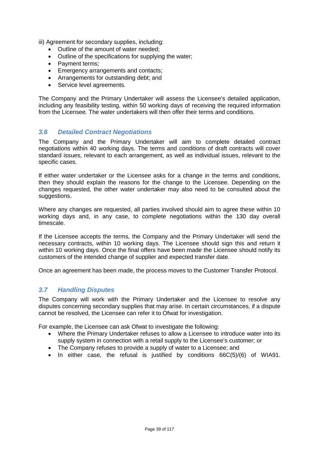iii) Agreement for secondary supplies, including:

- Outline of the amount of water needed;
- Outline of the specifications for supplying the water;
- Payment terms;
- Emergency arrangements and contacts;
- Arrangements for outstanding debt; and
- Service level agreements.

The Company and the Primary Undertaker will assess the Licensee's detailed application, including any feasibility testing, within 50 working days of receiving the required information from the Licensee. The water undertakers will then offer their terms and conditions.

# *3.6 Detailed Contract Negotiations*

The Company and the Primary Undertaker will aim to complete detailed contract negotiations within 40 working days. The terms and conditions of draft contracts will cover standard issues, relevant to each arrangement, as well as individual issues, relevant to the specific cases.

If either water undertaker or the Licensee asks for a change in the terms and conditions, then they should explain the reasons for the change to the Licensee. Depending on the changes requested, the other water undertaker may also need to be consulted about the suggestions.

Where any changes are requested, all parties involved should aim to agree these within 10 working days and, in any case, to complete negotiations within the 130 day overall timescale.

If the Licensee accepts the terms, the Company and the Primary Undertaker will send the necessary contracts, within 10 working days. The Licensee should sign this and return it within 10 working days. Once the final offers have been made the Licensee should notify its customers of the intended change of supplier and expected transfer date.

Once an agreement has been made, the process moves to the Customer Transfer Protocol.

# *3.7 Handling Disputes*

The Company will work with the Primary Undertaker and the Licensee to resolve any disputes concerning secondary supplies that may arise. In certain circumstances, if a dispute cannot be resolved, the Licensee can refer it to Ofwat for investigation.

For example, the Licensee can ask Ofwat to investigate the following:

- Where the Primary Undertaker refuses to allow a Licensee to introduce water into its supply system in connection with a retail supply to the Licensee's customer; or
- The Company refuses to provide a supply of water to a Licensee; and
- In either case, the refusal is justified by conditions 66C(5)/(6) of WIA91.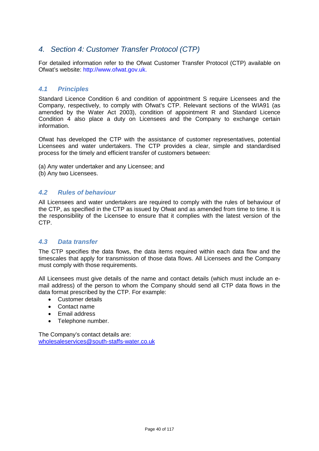# *4. Section 4: Customer Transfer Protocol (CTP)*

For detailed information refer to the Ofwat Customer Transfer Protocol (CTP) available on Ofwat's website: http://www.ofwat.gov.uk.

# *4.1 Principles*

Standard Licence Condition 6 and condition of appointment S require Licensees and the Company, respectively, to comply with Ofwat's CTP. Relevant sections of the WIA91 (as amended by the Water Act 2003), condition of appointment R and Standard Licence Condition 4 also place a duty on Licensees and the Company to exchange certain information.

Ofwat has developed the CTP with the assistance of customer representatives, potential Licensees and water undertakers. The CTP provides a clear, simple and standardised process for the timely and efficient transfer of customers between:

- (a) Any water undertaker and any Licensee; and
- (b) Any two Licensees.

# *4.2 Rules of behaviour*

All Licensees and water undertakers are required to comply with the rules of behaviour of the CTP, as specified in the CTP as issued by Ofwat and as amended from time to time. It is the responsibility of the Licensee to ensure that it complies with the latest version of the CTP.

# *4.3 Data transfer*

The CTP specifies the data flows, the data items required within each data flow and the timescales that apply for transmission of those data flows. All Licensees and the Company must comply with those requirements.

All Licensees must give details of the name and contact details (which must include an email address) of the person to whom the Company should send all CTP data flows in the data format prescribed by the CTP. For example:

- Customer details
- Contact name
- Email address
- Telephone number.

The Company's contact details are: [wholesaleservices@south-staffs-water.co.uk](mailto:wholesaleservices@south-staffs-water.co.uk)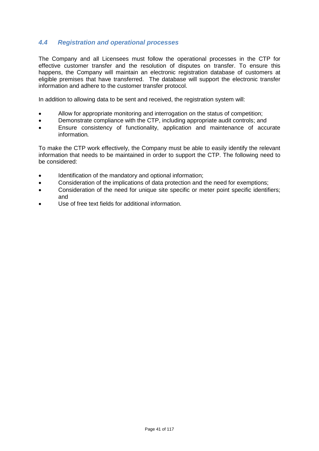# *4.4 Registration and operational processes*

The Company and all Licensees must follow the operational processes in the CTP for effective customer transfer and the resolution of disputes on transfer. To ensure this happens, the Company will maintain an electronic registration database of customers at eligible premises that have transferred. The database will support the electronic transfer information and adhere to the customer transfer protocol.

In addition to allowing data to be sent and received, the registration system will:

- Allow for appropriate monitoring and interrogation on the status of competition;
- Demonstrate compliance with the CTP, including appropriate audit controls; and
- Ensure consistency of functionality, application and maintenance of accurate information*.*

To make the CTP work effectively, the Company must be able to easily identify the relevant information that needs to be maintained in order to support the CTP. The following need to be considered:

- Identification of the mandatory and optional information:
- Consideration of the implications of data protection and the need for exemptions;
- Consideration of the need for unique site specific or meter point specific identifiers; and
- Use of free text fields for additional information.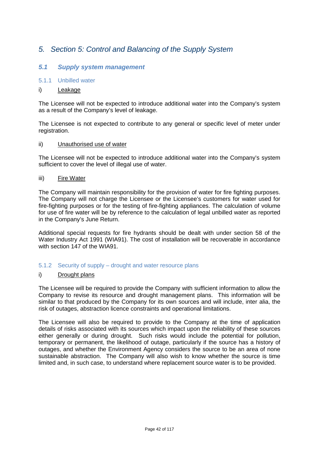# *5. Section 5: Control and Balancing of the Supply System*

# *5.1 Supply system management*

# 5.1.1 Unbilled water

# i) Leakage

The Licensee will not be expected to introduce additional water into the Company's system as a result of the Company's level of leakage.

The Licensee is not expected to contribute to any general or specific level of meter under registration.

### ii) Unauthorised use of water

The Licensee will not be expected to introduce additional water into the Company's system sufficient to cover the level of illegal use of water.

### iii) Fire Water

The Company will maintain responsibility for the provision of water for fire fighting purposes. The Company will not charge the Licensee or the Licensee's customers for water used for fire-fighting purposes or for the testing of fire-fighting appliances. The calculation of volume for use of fire water will be by reference to the calculation of legal unbilled water as reported in the Company's June Return.

Additional special requests for fire hydrants should be dealt with under section 58 of the Water Industry Act 1991 (WIA91). The cost of installation will be recoverable in accordance with section 147 of the WIA91.

### 5.1.2 Security of supply – drought and water resource plans

### i) Drought plans

The Licensee will be required to provide the Company with sufficient information to allow the Company to revise its resource and drought management plans. This information will be similar to that produced by the Company for its own sources and will include, inter alia, the risk of outages, abstraction licence constraints and operational limitations.

The Licensee will also be required to provide to the Company at the time of application details of risks associated with its sources which impact upon the reliability of these sources either generally or during drought. Such risks would include the potential for pollution, temporary or permanent, the likelihood of outage, particularly if the source has a history of outages, and whether the Environment Agency considers the source to be an area of none sustainable abstraction. The Company will also wish to know whether the source is time limited and, in such case, to understand where replacement source water is to be provided.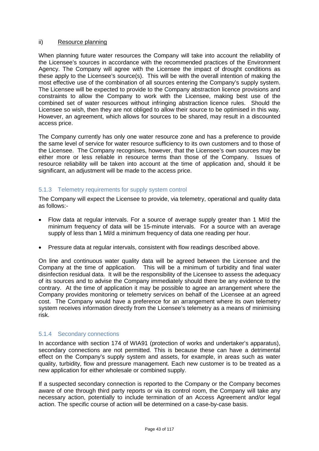## ii) Resource planning

When planning future water resources the Company will take into account the reliability of the Licensee's sources in accordance with the recommended practices of the Environment Agency. The Company will agree with the Licensee the impact of drought conditions as these apply to the Licensee's source(s). This will be with the overall intention of making the most effective use of the combination of all sources entering the Company's supply system. The Licensee will be expected to provide to the Company abstraction licence provisions and constraints to allow the Company to work with the Licensee, making best use of the combined set of water resources without infringing abstraction licence rules. Should the Licensee so wish, then they are not obliged to allow their source to be optimised in this way. However, an agreement, which allows for sources to be shared, may result in a discounted access price.

The Company currently has only one water resource zone and has a preference to provide the same level of service for water resource sufficiency to its own customers and to those of the Licensee. The Company recognises, however, that the Licensee's own sources may be either more or less reliable in resource terms than those of the Company. Issues of resource reliability will be taken into account at the time of application and, should it be significant, an adjustment will be made to the access price.

# 5.1.3 Telemetry requirements for supply system control

The Company will expect the Licensee to provide, via telemetry, operational and quality data as follows:-

- Flow data at regular intervals. For a source of average supply greater than 1 Ml/d the minimum frequency of data will be 15-minute intervals. For a source with an average supply of less than 1 Ml/d a minimum frequency of data one reading per hour.
- Pressure data at regular intervals, consistent with flow readings described above.

On line and continuous water quality data will be agreed between the Licensee and the Company at the time of application. This will be a minimum of turbidity and final water disinfection residual data. It will be the responsibility of the Licensee to assess the adequacy of its sources and to advise the Company immediately should there be any evidence to the contrary. At the time of application it may be possible to agree an arrangement where the Company provides monitoring or telemetry services on behalf of the Licensee at an agreed cost. The Company would have a preference for an arrangement where its own telemetry system receives information directly from the Licensee's telemetry as a means of minimising risk.

# 5.1.4 Secondary connections

In accordance with section 174 of WIA91 (protection of works and undertaker's apparatus), secondary connections are not permitted. This is because these can have a detrimental effect on the Company's supply system and assets, for example, in areas such as water quality, turbidity, flow and pressure management. Each new customer is to be treated as a new application for either wholesale or combined supply.

If a suspected secondary connection is reported to the Company or the Company becomes aware of one through third party reports or via its control room, the Company will take any necessary action, potentially to include termination of an Access Agreement and/or legal action. The specific course of action will be determined on a case-by-case basis.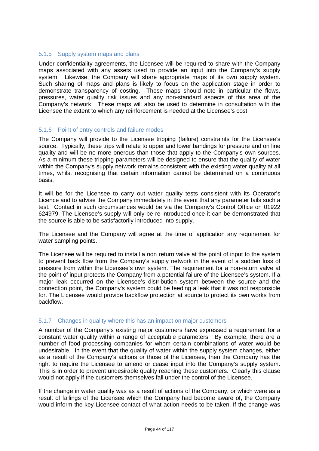# 5.1.5 Supply system maps and plans

Under confidentiality agreements, the Licensee will be required to share with the Company maps associated with any assets used to provide an input into the Company's supply system. Likewise, the Company will share appropriate maps of its own supply system. Such sharing of maps and plans is likely to focus on the application stage in order to demonstrate transparency of costing. These maps should note in particular the flows, pressures, water quality risk issues and any non-standard aspects of this area of the Company's network. These maps will also be used to determine in consultation with the Licensee the extent to which any reinforcement is needed at the Licensee's cost.

## 5.1.6 Point of entry controls and failure modes

The Company will provide to the Licensee tripping (failure) constraints for the Licensee's source. Typically, these trips will relate to upper and lower bandings for pressure and on line quality and will be no more onerous than those that apply to the Company's own sources. As a minimum these tripping parameters will be designed to ensure that the quality of water within the Company's supply network remains consistent with the existing water quality at all times, whilst recognising that certain information cannot be determined on a continuous basis.

It will be for the Licensee to carry out water quality tests consistent with its Operator's Licence and to advise the Company immediately in the event that any parameter fails such a test. Contact in such circumstances would be via the Company's Control Office on 01922 624979. The Licensee's supply will only be re-introduced once it can be demonstrated that the source is able to be satisfactorily introduced into supply.

The Licensee and the Company will agree at the time of application any requirement for water sampling points.

The Licensee will be required to install a non return valve at the point of input to the system to prevent back flow from the Company's supply network in the event of a sudden loss of pressure from within the Licensee's own system. The requirement for a non-return valve at the point of input protects the Company from a potential failure of the Licensee's system. If a major leak occurred on the Licensee's distribution system between the source and the connection point, the Company's system could be feeding a leak that it was not responsible for. The Licensee would provide backflow protection at source to protect its own works from backflow.

# 5.1.7 Changes in quality where this has an impact on major customers

A number of the Company's existing major customers have expressed a requirement for a constant water quality within a range of acceptable parameters. By example, there are a number of food processing companies for whom certain combinations of water would be undesirable. In the event that the quality of water within the supply system changes, either as a result of the Company's actions or those of the Licensee, then the Company has the right to require the Licensee to amend or cease input into the Company's supply system. This is in order to prevent undesirable quality reaching these customers. Clearly this clause would not apply if the customers themselves fall under the control of the Licensee.

If the change in water quality was as a result of actions of the Company, or which were as a result of failings of the Licensee which the Company had become aware of, the Company would inform the key Licensee contact of what action needs to be taken. If the change was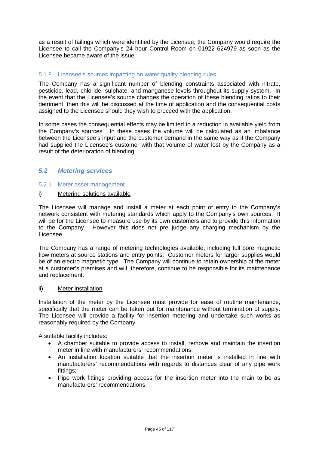as a result of failings which were identified by the Licensee, the Company would require the Licensee to call the Company's 24 hour Control Room on 01922 624979 as soon as the Licensee became aware of the issue.

## 5.1.8 Licensee's sources impacting on water quality blending rules

The Company has a significant number of blending constraints associated with nitrate, pesticide, lead, chloride, sulphate, and manganese levels throughout its supply system. In the event that the Licensee's source changes the operation of these blending ratios to their detriment, then this will be discussed at the time of application and the consequential costs assigned to the Licensee should they wish to proceed with the application.

In some cases the consequential effects may be limited to a reduction in available yield from the Company's sources. In these cases the volume will be calculated as an imbalance between the Licensee's input and the customer demand in the same way as if the Company had supplied the Licensee's customer with that volume of water lost by the Company as a result of the deterioration of blending.

# *5.2 Metering services*

### 5.2.1 Meter asset management

## i) Metering solutions available

The Licensee will manage and install a meter at each point of entry to the Company's network consistent with metering standards which apply to the Company's own sources. It will be for the Licensee to measure use by its own customers and to provide this information to the Company. However this does not pre judge any charging mechanism by the Licensee.

The Company has a range of metering technologies available, including full bore magnetic flow meters at source stations and entry points. Customer meters for larger supplies would be of an electro magnetic type. The Company will continue to retain ownership of the meter at a customer's premises and will, therefore, continue to be responsible for its maintenance and replacement.

### ii) Meter installation

Installation of the meter by the Licensee must provide for ease of routine maintenance, specifically that the meter can be taken out for maintenance without termination of supply. The Licensee will provide a facility for insertion metering and undertake such works as reasonably required by the Company.

A suitable facility includes:

- A chamber suitable to provide access to install, remove and maintain the insertion meter in line with manufacturers' recommendations;
- An installation location suitable that the insertion meter is installed in line with manufacturers' recommendations with regards to distances clear of any pipe work fittings;
- Pipe work fittings providing access for the insertion meter into the main to be as manufacturers' recommendations.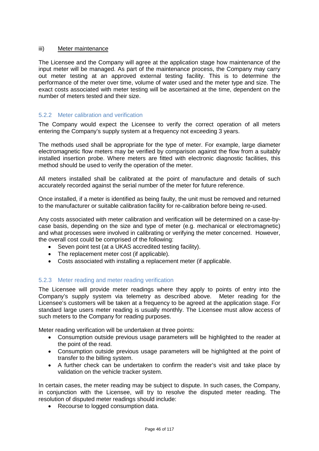# iii) Meter maintenance

The Licensee and the Company will agree at the application stage how maintenance of the input meter will be managed. As part of the maintenance process, the Company may carry out meter testing at an approved external testing facility. This is to determine the performance of the meter over time, volume of water used and the meter type and size. The exact costs associated with meter testing will be ascertained at the time, dependent on the number of meters tested and their size.

# 5.2.2 Meter calibration and verification

The Company would expect the Licensee to verify the correct operation of all meters entering the Company's supply system at a frequency not exceeding 3 years.

The methods used shall be appropriate for the type of meter. For example, large diameter electromagnetic flow meters may be verified by comparison against the flow from a suitably installed insertion probe. Where meters are fitted with electronic diagnostic facilities, this method should be used to verify the operation of the meter.

All meters installed shall be calibrated at the point of manufacture and details of such accurately recorded against the serial number of the meter for future reference.

Once installed, if a meter is identified as being faulty, the unit must be removed and returned to the manufacturer or suitable calibration facility for re-calibration before being re-used.

Any costs associated with meter calibration and verification will be determined on a case-bycase basis, depending on the size and type of meter (e.g. mechanical or electromagnetic) and what processes were involved in calibrating or verifying the meter concerned. However, the overall cost could be comprised of the following:

- Seven point test (at a UKAS accredited testing facility).
- The replacement meter cost (if applicable).
- Costs associated with installing a replacement meter (if applicable.

# 5.2.3 Meter reading and meter reading verification

The Licensee will provide meter readings where they apply to points of entry into the Company's supply system via telemetry as described above. Meter reading for the Licensee's customers will be taken at a frequency to be agreed at the application stage. For standard large users meter reading is usually monthly. The Licensee must allow access of such meters to the Company for reading purposes.

Meter reading verification will be undertaken at three points:

- Consumption outside previous usage parameters will be highlighted to the reader at the point of the read.
- Consumption outside previous usage parameters will be highlighted at the point of transfer to the billing system.
- A further check can be undertaken to confirm the reader's visit and take place by validation on the vehicle tracker system.

In certain cases, the meter reading may be subject to dispute. In such cases, the Company, in conjunction with the Licensee, will try to resolve the disputed meter reading. The resolution of disputed meter readings should include:

• Recourse to logged consumption data.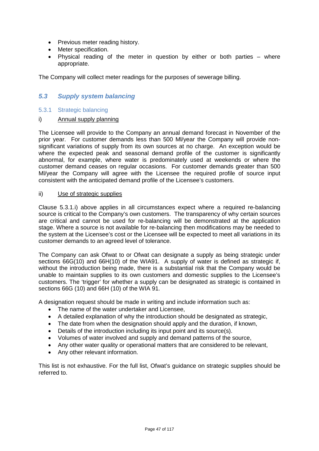- Previous meter reading history.
- Meter specification.
- Physical reading of the meter in question by either or both parties where appropriate.

The Company will collect meter readings for the purposes of sewerage billing.

# *5.3 Supply system balancing*

# 5.3.1 Strategic balancing

i) Annual supply planning

The Licensee will provide to the Company an annual demand forecast in November of the prior year. For customer demands less than 500 Ml/year the Company will provide nonsignificant variations of supply from its own sources at no charge. An exception would be where the expected peak and seasonal demand profile of the customer is significantly abnormal, for example, where water is predominately used at weekends or where the customer demand ceases on regular occasions. For customer demands greater than 500 Ml/year the Company will agree with the Licensee the required profile of source input consistent with the anticipated demand profile of the Licensee's customers.

### ii) Use of strategic supplies

Clause 5.3.1.i) above applies in all circumstances expect where a required re-balancing source is critical to the Company's own customers. The transparency of why certain sources are critical and cannot be used for re-balancing will be demonstrated at the application stage. Where a source is not available for re-balancing then modifications may be needed to the system at the Licensee's cost or the Licensee will be expected to meet all variations in its customer demands to an agreed level of tolerance.

The Company can ask Ofwat to or Ofwat can designate a supply as being strategic under sections 66G(10) and 66H(10) of the WIA91. A supply of water is defined as strategic if, without the introduction being made, there is a substantial risk that the Company would be unable to maintain supplies to its own customers and domestic supplies to the Licensee's customers. The 'trigger' for whether a supply can be designated as strategic is contained in sections 66G (10) and 66H (10) of the WIA 91.

A designation request should be made in writing and include information such as:

- The name of the water undertaker and Licensee,
- A detailed explanation of why the introduction should be designated as strategic,
- The date from when the designation should apply and the duration, if known,
- Details of the introduction including its input point and its source(s).
- Volumes of water involved and supply and demand patterns of the source,
- Any other water quality or operational matters that are considered to be relevant,
- Any other relevant information.

This list is not exhaustive. For the full list, Ofwat's guidance on strategic supplies should be referred to.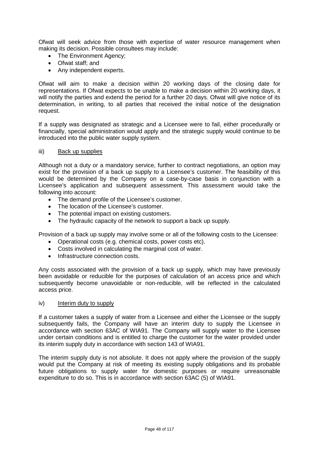Ofwat will seek advice from those with expertise of water resource management when making its decision. Possible consultees may include:

- The Environment Agency;
- Ofwat staff; and
- Any independent experts.

Ofwat will aim to make a decision within 20 working days of the closing date for representations. If Ofwat expects to be unable to make a decision within 20 working days, it will notify the parties and extend the period for a further 20 days. Ofwat will give notice of its determination, in writing, to all parties that received the initial notice of the designation request.

If a supply was designated as strategic and a Licensee were to fail, either procedurally or financially, special administration would apply and the strategic supply would continue to be introduced into the public water supply system.

### iii) Back up supplies

Although not a duty or a mandatory service, further to contract negotiations, an option may exist for the provision of a back up supply to a Licensee's customer. The feasibility of this would be determined by the Company on a case-by-case basis in conjunction with a Licensee's application and subsequent assessment. This assessment would take the following into account:

- The demand profile of the Licensee's customer.
- The location of the Licensee's customer.
- The potential impact on existing customers.
- The hydraulic capacity of the network to support a back up supply.

Provision of a back up supply may involve some or all of the following costs to the Licensee:

- Operational costs (e.g. chemical costs, power costs etc).
- Costs involved in calculating the marginal cost of water.
- Infrastructure connection costs

Any costs associated with the provision of a back up supply, which may have previously been avoidable or reducible for the purposes of calculation of an access price and which subsequently become unavoidable or non-reducible, will be reflected in the calculated access price.

### iv) Interim duty to supply

If a customer takes a supply of water from a Licensee and either the Licensee or the supply subsequently fails, the Company will have an interim duty to supply the Licensee in accordance with section 63AC of WIA91. The Company will supply water to the Licensee under certain conditions and is entitled to charge the customer for the water provided under its interim supply duty in accordance with section 143 of WIA91.

The interim supply duty is not absolute. It does not apply where the provision of the supply would put the Company at risk of meeting its existing supply obligations and its probable future obligations to supply water for domestic purposes or require unreasonable expenditure to do so. This is in accordance with section 63AC (5) of WIA91.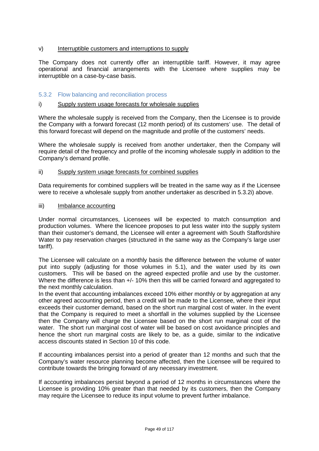# v) Interruptible customers and interruptions to supply

The Company does not currently offer an interruptible tariff. However, it may agree operational and financial arrangements with the Licensee where supplies may be interruptible on a case-by-case basis.

# 5.3.2 Flow balancing and reconciliation process

### i) Supply system usage forecasts for wholesale supplies

Where the wholesale supply is received from the Company, then the Licensee is to provide the Company with a forward forecast (12 month period) of its customers' use. The detail of this forward forecast will depend on the magnitude and profile of the customers' needs.

Where the wholesale supply is received from another undertaker, then the Company will require detail of the frequency and profile of the incoming wholesale supply in addition to the Company's demand profile.

### ii) Supply system usage forecasts for combined supplies

Data requirements for combined suppliers will be treated in the same way as if the Licensee were to receive a wholesale supply from another undertaker as described in 5.3.2i) above.

### iii) Imbalance accounting

Under normal circumstances, Licensees will be expected to match consumption and production volumes. Where the licencee proposes to put less water into the supply system than their customer's demand, the Licensee will enter a agreement with South Staffordshire Water to pay reservation charges (structured in the same way as the Company's large user tariff).

The Licensee will calculate on a monthly basis the difference between the volume of water put into supply (adjusting for those volumes in 5.1), and the water used by its own customers. This will be based on the agreed expected profile and use by the customer. Where the difference is less than  $+/-$  10% then this will be carried forward and aggregated to the next monthly calculation.

In the event that accounting imbalances exceed 10% either monthly or by aggregation at any other agreed accounting period, then a credit will be made to the Licensee, where their input exceeds their customer demand, based on the short run marginal cost of water. In the event that the Company is required to meet a shortfall in the volumes supplied by the Licensee then the Company will charge the Licensee based on the short run marginal cost of the water. The short run marginal cost of water will be based on cost avoidance principles and hence the short run marginal costs are likely to be, as a guide, similar to the indicative access discounts stated in Section 10 of this code.

If accounting imbalances persist into a period of greater than 12 months and such that the Company's water resource planning become affected, then the Licensee will be required to contribute towards the bringing forward of any necessary investment.

If accounting imbalances persist beyond a period of 12 months in circumstances where the Licensee is providing 10% greater than that needed by its customers, then the Company may require the Licensee to reduce its input volume to prevent further imbalance.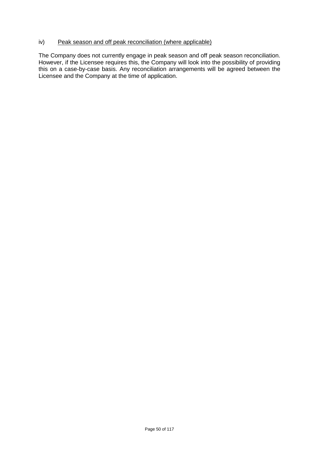# iv) Peak season and off peak reconciliation (where applicable)

The Company does not currently engage in peak season and off peak season reconciliation. However, if the Licensee requires this, the Company will look into the possibility of providing this on a case-by-case basis. Any reconciliation arrangements will be agreed between the Licensee and the Company at the time of application.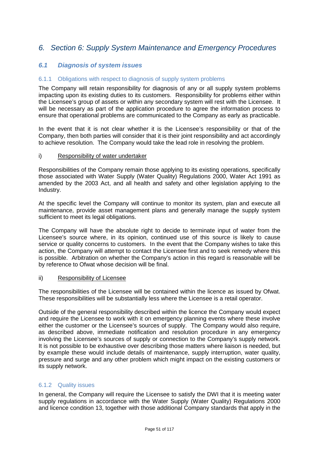# *6. Section 6: Supply System Maintenance and Emergency Procedures*

# *6.1 Diagnosis of system issues*

# 6.1.1 Obligations with respect to diagnosis of supply system problems

The Company will retain responsibility for diagnosis of any or all supply system problems impacting upon its existing duties to its customers. Responsibility for problems either within the Licensee's group of assets or within any secondary system will rest with the Licensee. It will be necessary as part of the application procedure to agree the information process to ensure that operational problems are communicated to the Company as early as practicable.

In the event that it is not clear whether it is the Licensee's responsibility or that of the Company, then both parties will consider that it is their joint responsibility and act accordingly to achieve resolution. The Company would take the lead role in resolving the problem.

### i) Responsibility of water undertaker

Responsibilities of the Company remain those applying to its existing operations, specifically those associated with Water Supply (Water Quality) Regulations 2000, Water Act 1991 as amended by the 2003 Act, and all health and safety and other legislation applying to the Industry.

At the specific level the Company will continue to monitor its system, plan and execute all maintenance, provide asset management plans and generally manage the supply system sufficient to meet its legal obligations.

The Company will have the absolute right to decide to terminate input of water from the Licensee's source where, in its opinion, continued use of this source is likely to cause service or quality concerns to customers. In the event that the Company wishes to take this action, the Company will attempt to contact the Licensee first and to seek remedy where this is possible. Arbitration on whether the Company's action in this regard is reasonable will be by reference to Ofwat whose decision will be final.

### ii) Responsibility of Licensee

The responsibilities of the Licensee will be contained within the licence as issued by Ofwat. These responsibilities will be substantially less where the Licensee is a retail operator.

Outside of the general responsibility described within the licence the Company would expect and require the Licensee to work with it on emergency planning events where these involve either the customer or the Licensee's sources of supply. The Company would also require, as described above, immediate notification and resolution procedure in any emergency involving the Licensee's sources of supply or connection to the Company's supply network. It is not possible to be exhaustive over describing those matters where liaison is needed, but by example these would include details of maintenance, supply interruption, water quality, pressure and surge and any other problem which might impact on the existing customers or its supply network.

# 6.1.2 Quality issues

In general, the Company will require the Licensee to satisfy the DWI that it is meeting water supply regulations in accordance with the Water Supply (Water Quality) Regulations 2000 and licence condition 13, together with those additional Company standards that apply in the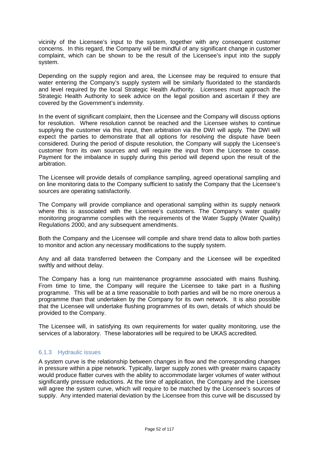vicinity of the Licensee's input to the system, together with any consequent customer concerns. In this regard, the Company will be mindful of any significant change in customer complaint, which can be shown to be the result of the Licensee's input into the supply system.

Depending on the supply region and area, the Licensee may be required to ensure that water entering the Company's supply system will be similarly fluoridated to the standards and level required by the local Strategic Health Authority. Licensees must approach the Strategic Health Authority to seek advice on the legal position and ascertain if they are covered by the Government's indemnity.

In the event of significant complaint, then the Licensee and the Company will discuss options for resolution. Where resolution cannot be reached and the Licensee wishes to continue supplying the customer via this input, then arbitration via the DWI will apply. The DWI will expect the parties to demonstrate that all options for resolving the dispute have been considered. During the period of dispute resolution, the Company will supply the Licensee's customer from its own sources and will require the input from the Licensee to cease. Payment for the imbalance in supply during this period will depend upon the result of the arbitration.

The Licensee will provide details of compliance sampling, agreed operational sampling and on line monitoring data to the Company sufficient to satisfy the Company that the Licensee's sources are operating satisfactorily.

The Company will provide compliance and operational sampling within its supply network where this is associated with the Licensee's customers. The Company's water quality monitoring programme complies with the requirements of the Water Supply (Water Quality) Regulations 2000, and any subsequent amendments.

Both the Company and the Licensee will compile and share trend data to allow both parties to monitor and action any necessary modifications to the supply system.

Any and all data transferred between the Company and the Licensee will be expedited swiftly and without delay.

The Company has a long run maintenance programme associated with mains flushing. From time to time, the Company will require the Licensee to take part in a flushing programme. This will be at a time reasonable to both parties and will be no more onerous a programme than that undertaken by the Company for its own network. It is also possible that the Licensee will undertake flushing programmes of its own, details of which should be provided to the Company.

The Licensee will, in satisfying its own requirements for water quality monitoring, use the services of a laboratory. These laboratories will be required to be UKAS accredited.

# 6.1.3 Hydraulic issues

A system curve is the relationship between changes in flow and the corresponding changes in pressure within a pipe network. Typically, larger supply zones with greater mains capacity would produce flatter curves with the ability to accommodate larger volumes of water without significantly pressure reductions. At the time of application, the Company and the Licensee will agree the system curve, which will require to be matched by the Licensee's sources of supply. Any intended material deviation by the Licensee from this curve will be discussed by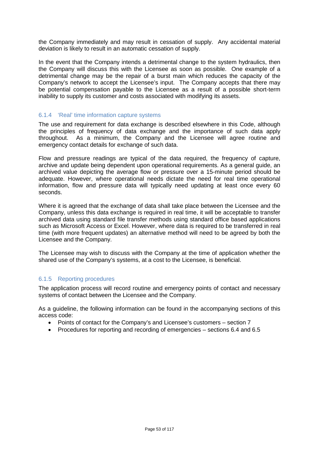the Company immediately and may result in cessation of supply. Any accidental material deviation is likely to result in an automatic cessation of supply.

In the event that the Company intends a detrimental change to the system hydraulics, then the Company will discuss this with the Licensee as soon as possible. One example of a detrimental change may be the repair of a burst main which reduces the capacity of the Company's network to accept the Licensee's input. The Company accepts that there may be potential compensation payable to the Licensee as a result of a possible short-term inability to supply its customer and costs associated with modifying its assets.

# 6.1.4 'Real' time information capture systems

The use and requirement for data exchange is described elsewhere in this Code, although the principles of frequency of data exchange and the importance of such data apply throughout. As a minimum, the Company and the Licensee will agree routine and emergency contact details for exchange of such data.

Flow and pressure readings are typical of the data required, the frequency of capture, archive and update being dependent upon operational requirements. As a general guide, an archived value depicting the average flow or pressure over a 15-minute period should be adequate. However, where operational needs dictate the need for real time operational information, flow and pressure data will typically need updating at least once every 60 seconds.

Where it is agreed that the exchange of data shall take place between the Licensee and the Company, unless this data exchange is required in real time, it will be acceptable to transfer archived data using standard file transfer methods using standard office based applications such as Microsoft Access or Excel. However, where data is required to be transferred in real time (with more frequent updates) an alternative method will need to be agreed by both the Licensee and the Company.

The Licensee may wish to discuss with the Company at the time of application whether the shared use of the Company's systems, at a cost to the Licensee, is beneficial.

# 6.1.5 Reporting procedures

The application process will record routine and emergency points of contact and necessary systems of contact between the Licensee and the Company.

As a guideline, the following information can be found in the accompanying sections of this access code:

- Points of contact for the Company's and Licensee's customers section 7
- Procedures for reporting and recording of emergencies sections 6.4 and 6.5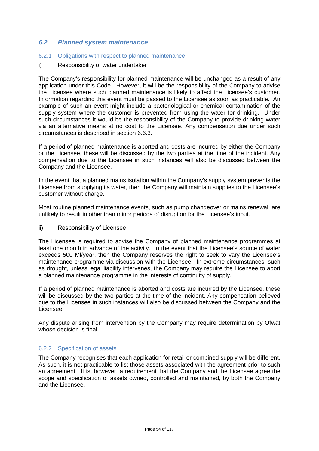# *6.2 Planned system maintenance*

## 6.2.1 Obligations with respect to planned maintenance

## i) Responsibility of water undertaker

The Company's responsibility for planned maintenance will be unchanged as a result of any application under this Code. However, it will be the responsibility of the Company to advise the Licensee where such planned maintenance is likely to affect the Licensee's customer. Information regarding this event must be passed to the Licensee as soon as practicable. An example of such an event might include a bacteriological or chemical contamination of the supply system where the customer is prevented from using the water for drinking. Under such circumstances it would be the responsibility of the Company to provide drinking water via an alternative means at no cost to the Licensee. Any compensation due under such circumstances is described in section 6.6.3.

If a period of planned maintenance is aborted and costs are incurred by either the Company or the Licensee, these will be discussed by the two parties at the time of the incident. Any compensation due to the Licensee in such instances will also be discussed between the Company and the Licensee.

In the event that a planned mains isolation within the Company's supply system prevents the Licensee from supplying its water, then the Company will maintain supplies to the Licensee's customer without charge.

Most routine planned maintenance events, such as pump changeover or mains renewal, are unlikely to result in other than minor periods of disruption for the Licensee's input.

### ii) Responsibility of Licensee

The Licensee is required to advise the Company of planned maintenance programmes at least one month in advance of the activity. In the event that the Licensee's source of water exceeds 500 Ml/year, then the Company reserves the right to seek to vary the Licensee's maintenance programme via discussion with the Licensee. In extreme circumstances, such as drought, unless legal liability intervenes, the Company may require the Licensee to abort a planned maintenance programme in the interests of continuity of supply.

If a period of planned maintenance is aborted and costs are incurred by the Licensee, these will be discussed by the two parties at the time of the incident. Any compensation believed due to the Licensee in such instances will also be discussed between the Company and the Licensee.

Any dispute arising from intervention by the Company may require determination by Ofwat whose decision is final.

### 6.2.2 Specification of assets

The Company recognises that each application for retail or combined supply will be different. As such, it is not practicable to list those assets associated with the agreement prior to such an agreement. It is, however, a requirement that the Company and the Licensee agree the scope and specification of assets owned, controlled and maintained, by both the Company and the Licensee.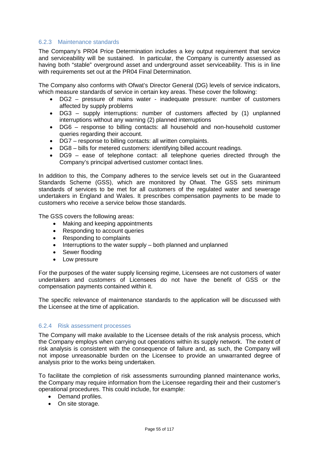# 6.2.3 Maintenance standards

The Company's PR04 Price Determination includes a key output requirement that service and serviceability will be sustained. In particular, the Company is currently assessed as having both "stable" overground asset and underground asset serviceability. This is in line with requirements set out at the PR04 Final Determination.

The Company also conforms with Ofwat's Director General (DG) levels of service indicators, which measure standards of service in certain key areas. These cover the following:

- DG2 pressure of mains water inadequate pressure: number of customers affected by supply problems
- DG3 supply interruptions: number of customers affected by (1) unplanned interruptions without any warning (2) planned interruptions
- DG6 response to billing contacts: all household and non-household customer queries regarding their account.
- DG7 response to billing contacts: all written complaints.
- DG8 bills for metered customers: identifying billed account readings.
- DG9 ease of telephone contact: all telephone queries directed through the Company's principal advertised customer contact lines.

In addition to this, the Company adheres to the service levels set out in the Guaranteed Standards Scheme (GSS), which are monitored by Ofwat. The GSS sets minimum standards of services to be met for all customers of the regulated water and sewerage undertakers in England and Wales. It prescribes compensation payments to be made to customers who receive a service below those standards.

The GSS covers the following areas:

- Making and keeping appointments
- Responding to account queries
- Responding to complaints
- Interruptions to the water supply both planned and unplanned
- Sewer flooding
- Low pressure

For the purposes of the water supply licensing regime, Licensees are not customers of water undertakers and customers of Licensees do not have the benefit of GSS or the compensation payments contained within it.

The specific relevance of maintenance standards to the application will be discussed with the Licensee at the time of application.

### 6.2.4 Risk assessment processes

The Company will make available to the Licensee details of the risk analysis process, which the Company employs when carrying out operations within its supply network. The extent of risk analysis is consistent with the consequence of failure and, as such, the Company will not impose unreasonable burden on the Licensee to provide an unwarranted degree of analysis prior to the works being undertaken.

To facilitate the completion of risk assessments surrounding planned maintenance works, the Company may require information from the Licensee regarding their and their customer's operational procedures. This could include, for example:

- Demand profiles.
- On site storage.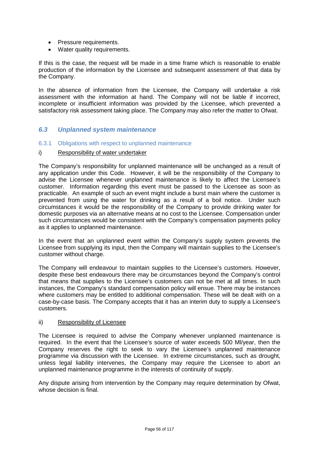- Pressure requirements.
- Water quality requirements.

If this is the case, the request will be made in a time frame which is reasonable to enable production of the information by the Licensee and subsequent assessment of that data by the Company.

In the absence of information from the Licensee, the Company will undertake a risk assessment with the information at hand. The Company will not be liable if incorrect, incomplete or insufficient information was provided by the Licensee, which prevented a satisfactory risk assessment taking place. The Company may also refer the matter to Ofwat.

# *6.3 Unplanned system maintenance*

- 6.3.1 Obligations with respect to unplanned maintenance
- i) Responsibility of water undertaker

The Company's responsibility for unplanned maintenance will be unchanged as a result of any application under this Code. However, it will be the responsibility of the Company to advise the Licensee whenever unplanned maintenance is likely to affect the Licensee's customer. Information regarding this event must be passed to the Licensee as soon as practicable. An example of such an event might include a burst main where the customer is prevented from using the water for drinking as a result of a boil notice. Under such circumstances it would be the responsibility of the Company to provide drinking water for domestic purposes via an alternative means at no cost to the Licensee. Compensation under such circumstances would be consistent with the Company's compensation payments policy as it applies to unplanned maintenance.

In the event that an unplanned event within the Company's supply system prevents the Licensee from supplying its input, then the Company will maintain supplies to the Licensee's customer without charge.

The Company will endeavour to maintain supplies to the Licensee's customers. However, despite these best endeavours there may be circumstances beyond the Company's control that means that supplies to the Licensee's customers can not be met at all times. In such instances, the Company's standard compensation policy will ensue. There may be instances where customers may be entitled to additional compensation. These will be dealt with on a case-by-case basis. The Company accepts that it has an interim duty to supply a Licensee's customers.

### ii) Responsibility of Licensee

The Licensee is required to advise the Company whenever unplanned maintenance is required. In the event that the Licensee's source of water exceeds 500 Ml/year, then the Company reserves the right to seek to vary the Licensee's unplanned maintenance programme via discussion with the Licensee. In extreme circumstances, such as drought, unless legal liability intervenes, the Company may require the Licensee to abort an unplanned maintenance programme in the interests of continuity of supply.

Any dispute arising from intervention by the Company may require determination by Ofwat, whose decision is final.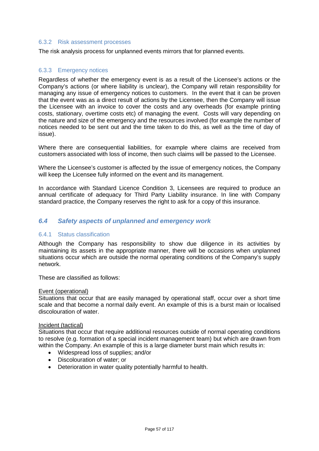### 6.3.2 Risk assessment processes

The risk analysis process for unplanned events mirrors that for planned events.

# 6.3.3 Emergency notices

Regardless of whether the emergency event is as a result of the Licensee's actions or the Company's actions (or where liability is unclear), the Company will retain responsibility for managing any issue of emergency notices to customers. In the event that it can be proven that the event was as a direct result of actions by the Licensee, then the Company will issue the Licensee with an invoice to cover the costs and any overheads (for example printing costs, stationary, overtime costs etc) of managing the event. Costs will vary depending on the nature and size of the emergency and the resources involved (for example the number of notices needed to be sent out and the time taken to do this, as well as the time of day of issue).

Where there are consequential liabilities, for example where claims are received from customers associated with loss of income, then such claims will be passed to the Licensee.

Where the Licensee's customer is affected by the issue of emergency notices, the Company will keep the Licensee fully informed on the event and its management.

In accordance with Standard Licence Condition 3, Licensees are required to produce an annual certificate of adequacy for Third Party Liability insurance. In line with Company standard practice, the Company reserves the right to ask for a copy of this insurance.

# *6.4 Safety aspects of unplanned and emergency work*

### 6.4.1 Status classification

Although the Company has responsibility to show due diligence in its activities by maintaining its assets in the appropriate manner, there will be occasions when unplanned situations occur which are outside the normal operating conditions of the Company's supply network.

These are classified as follows:

#### Event (operational)

Situations that occur that are easily managed by operational staff, occur over a short time scale and that become a normal daily event. An example of this is a burst main or localised discolouration of water.

#### Incident (tactical)

Situations that occur that require additional resources outside of normal operating conditions to resolve (e.g. formation of a special incident management team) but which are drawn from within the Company. An example of this is a large diameter burst main which results in:

- Widespread loss of supplies; and/or
- Discolouration of water; or
- Deterioration in water quality potentially harmful to health.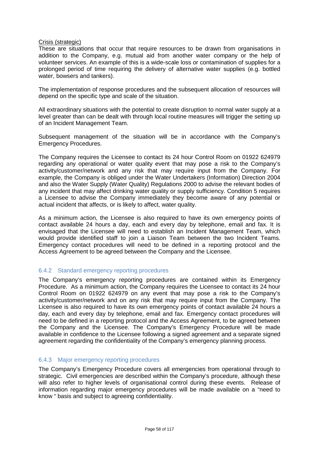## Crisis (strategic)

These are situations that occur that require resources to be drawn from organisations in addition to the Company, e.g. mutual aid from another water company or the help of volunteer services. An example of this is a wide-scale loss or contamination of supplies for a prolonged period of time requiring the delivery of alternative water supplies (e.g. bottled water, bowsers and tankers).

The implementation of response procedures and the subsequent allocation of resources will depend on the specific type and scale of the situation.

All extraordinary situations with the potential to create disruption to normal water supply at a level greater than can be dealt with through local routine measures will trigger the setting up of an Incident Management Team.

Subsequent management of the situation will be in accordance with the Company's Emergency Procedures.

The Company requires the Licensee to contact its 24 hour Control Room on 01922 624979 regarding any operational or water quality event that may pose a risk to the Company's activity/customer/network and any risk that may require input from the Company. For example, the Company is obliged under the Water Undertakers (Information) Direction 2004 and also the Water Supply (Water Quality) Regulations 2000 to advise the relevant bodies of any incident that may affect drinking water quality or supply sufficiency. Condition 5 requires a Licensee to advise the Company immediately they become aware of any potential or actual incident that affects, or is likely to affect, water quality.

As a minimum action, the Licensee is also required to have its own emergency points of contact available 24 hours a day, each and every day by telephone, email and fax. It is envisaged that the Licensee will need to establish an Incident Management Team, which would provide identified staff to join a Liaison Team between the two Incident Teams. Emergency contact procedures will need to be defined in a reporting protocol and the Access Agreement to be agreed between the Company and the Licensee.

# 6.4.2 Standard emergency reporting procedures

The Company's emergency reporting procedures are contained within its Emergency Procedure. As a minimum action, the Company requires the Licensee to contact its 24 hour Control Room on 01922 624979 on any event that may pose a risk to the Company's activity/customer/network and on any risk that may require input from the Company. The Licensee is also required to have its own emergency points of contact available 24 hours a day, each and every day by telephone, email and fax. Emergency contact procedures will need to be defined in a reporting protocol and the Access Agreement, to be agreed between the Company and the Licensee. The Company's Emergency Procedure will be made available in confidence to the Licensee following a signed agreement and a separate signed agreement regarding the confidentiality of the Company's emergency planning process.

# 6.4.3 Major emergency reporting procedures

The Company's Emergency Procedure covers all emergencies from operational through to strategic. Civil emergencies are described within the Company's procedure, although these will also refer to higher levels of organisational control during these events. Release of information regarding major emergency procedures will be made available on a "need to know " basis and subject to agreeing confidentiality.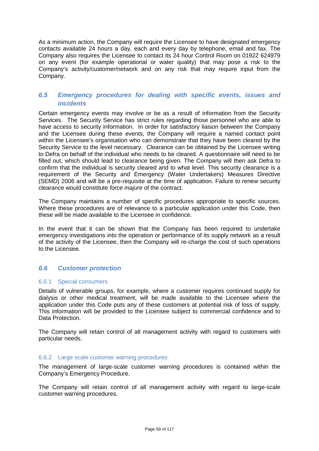As a minimum action, the Company will require the Licensee to have designated emergency contacts available 24 hours a day, each and every day by telephone, email and fax. The Company also requires the Licensee to contact its 24 hour Control Room on 01922 624979 on any event (for example operational or water quality) that may pose a risk to the Company's activity/customer/network and on any risk that may require input from the Company.

# *6.5 Emergency procedures for dealing with specific events, issues and incidents*

Certain emergency events may involve or be as a result of information from the Security Services. The Security Service has strict rules regarding those personnel who are able to have access to security information. In order for satisfactory liaison between the Company and the Licensee during these events, the Company will require a named contact point within the Licensee's organisation who can demonstrate that they have been cleared by the Security Service to the level necessary. Clearance can be obtained by the Licensee writing to Defra on behalf of the individual who needs to be cleared. A questionnaire will need to be filled out, which should lead to clearance being given. The Company will then ask Defra to confirm that the individual is security cleared and to what level. This security clearance is a requirement of the Security and Emergency (Water Undertakers) Measures Directive (SEMD) 2006 and will be a pre-requisite at the time of application. Failure to renew security clearance would constitute *force majure* of the contract.

The Company maintains a number of specific procedures appropriate to specific sources. Where these procedures are of relevance to a particular application under this Code, then these will be made available to the Licensee in confidence.

In the event that it can be shown that the Company has been required to undertake emergency investigations into the operation or performance of its supply network as a result of the activity of the Licensee, then the Company will re-charge the cost of such operations to the Licensee.

# *6.6 Customer protection*

# 6.6.1 Special consumers

Details of vulnerable groups, for example, where a customer requires continued supply for dialysis or other medical treatment, will be made available to the Licensee where the application under this Code puts any of these customers at potential risk of loss of supply. This information will be provided to the Licensee subject to commercial confidence and to Data Protection.

The Company will retain control of all management activity with regard to customers with particular needs.

### 6.6.2 Large scale customer warning procedures

The management of large-scale customer warning procedures is contained within the Company's Emergency Procedure.

The Company will retain control of all management activity with regard to large-scale customer warning procedures.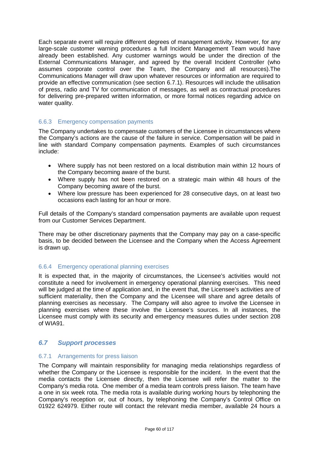Each separate event will require different degrees of management activity. However, for any large-scale customer warning procedures a full Incident Management Team would have already been established. Any customer warnings would be under the direction of the External Communications Manager, and agreed by the overall Incident Controller (who assumes corporate control over the Team, the Company and all resources).The Communications Manager will draw upon whatever resources or information are required to provide an effective communication (see section 6.7.1). Resources will include the utilisation of press, radio and TV for communication of messages, as well as contractual procedures for delivering pre-prepared written information, or more formal notices regarding advice on water quality.

# 6.6.3 Emergency compensation payments

The Company undertakes to compensate customers of the Licensee in circumstances where the Company's actions are the cause of the failure in service. Compensation will be paid in line with standard Company compensation payments. Examples of such circumstances include:

- Where supply has not been restored on a local distribution main within 12 hours of the Company becoming aware of the burst.
- Where supply has not been restored on a strategic main within 48 hours of the Company becoming aware of the burst.
- Where low pressure has been experienced for 28 consecutive days, on at least two occasions each lasting for an hour or more.

Full details of the Company's standard compensation payments are available upon request from our Customer Services Department.

There may be other discretionary payments that the Company may pay on a case-specific basis, to be decided between the Licensee and the Company when the Access Agreement is drawn up.

# 6.6.4 Emergency operational planning exercises

It is expected that, in the majority of circumstances, the Licensee's activities would not constitute a need for involvement in emergency operational planning exercises. This need will be judged at the time of application and, in the event that, the Licensee's activities are of sufficient materiality, then the Company and the Licensee will share and agree details of planning exercises as necessary. The Company will also agree to involve the Licensee in planning exercises where these involve the Licensee's sources. In all instances, the Licensee must comply with its security and emergency measures duties under section 208 of WIA91.

# *6.7 Support processes*

### 6.7.1 Arrangements for press liaison

The Company will maintain responsibility for managing media relationships regardless of whether the Company or the Licensee is responsible for the incident. In the event that the media contacts the Licensee directly, then the Licensee will refer the matter to the Company's media rota. One member of a media team controls press liaison. The team have a one in six week rota. The media rota is available during working hours by telephoning the Company's reception or, out of hours, by telephoning the Company's Control Office on 01922 624979. Either route will contact the relevant media member, available 24 hours a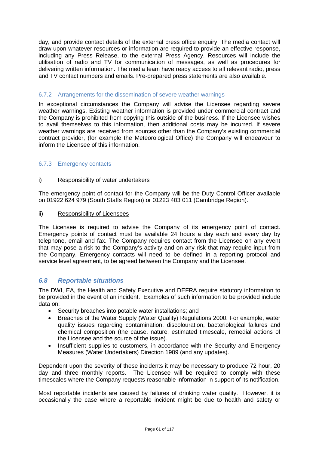day, and provide contact details of the external press office enquiry. The media contact will draw upon whatever resources or information are required to provide an effective response, including any Press Release, to the external Press Agency. Resources will include the utilisation of radio and TV for communication of messages, as well as procedures for delivering written information. The media team have ready access to all relevant radio, press and TV contact numbers and emails. Pre-prepared press statements are also available.

# 6.7.2 Arrangements for the dissemination of severe weather warnings

In exceptional circumstances the Company will advise the Licensee regarding severe weather warnings. Existing weather information is provided under commercial contract and the Company is prohibited from copying this outside of the business. If the Licensee wishes to avail themselves to this information, then additional costs may be incurred. If severe weather warnings are received from sources other than the Company's existing commercial contract provider, (for example the Meteorological Office) the Company will endeavour to inform the Licensee of this information.

# 6.7.3 Emergency contacts

# i) Responsibility of water undertakers

The emergency point of contact for the Company will be the Duty Control Officer available on 01922 624 979 (South Staffs Region) or 01223 403 011 (Cambridge Region).

# ii) Responsibility of Licensees

The Licensee is required to advise the Company of its emergency point of contact. Emergency points of contact must be available 24 hours a day each and every day by telephone, email and fax. The Company requires contact from the Licensee on any event that may pose a risk to the Company's activity and on any risk that may require input from the Company. Emergency contacts will need to be defined in a reporting protocol and service level agreement, to be agreed between the Company and the Licensee.

# *6.8 Reportable situations*

The DWI, EA, the Health and Safety Executive and DEFRA require statutory information to be provided in the event of an incident. Examples of such information to be provided include data on:

- Security breaches into potable water installations; and
- Breaches of the Water Supply (Water Quality) Regulations 2000. For example, water quality issues regarding contamination, discolouration, bacteriological failures and chemical composition (the cause, nature, estimated timescale, remedial actions of the Licensee and the source of the issue).
- Insufficient supplies to customers, in accordance with the Security and Emergency Measures (Water Undertakers) Direction 1989 (and any updates).

Dependent upon the severity of these incidents it may be necessary to produce 72 hour, 20 day and three monthly reports. The Licensee will be required to comply with these timescales where the Company requests reasonable information in support of its notification.

Most reportable incidents are caused by failures of drinking water quality. However, it is occasionally the case where a reportable incident might be due to health and safety or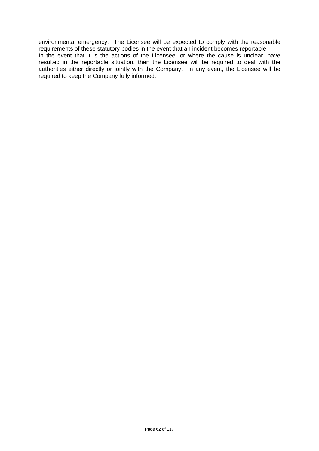environmental emergency. The Licensee will be expected to comply with the reasonable requirements of these statutory bodies in the event that an incident becomes reportable.

In the event that it is the actions of the Licensee, or where the cause is unclear, have resulted in the reportable situation, then the Licensee will be required to deal with the authorities either directly or jointly with the Company. In any event, the Licensee will be required to keep the Company fully informed.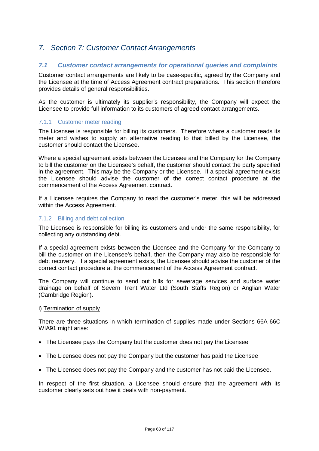# *7. Section 7: Customer Contact Arrangements*

# *7.1 Customer contact arrangements for operational queries and complaints*

Customer contact arrangements are likely to be case-specific, agreed by the Company and the Licensee at the time of Access Agreement contract preparations. This section therefore provides details of general responsibilities.

As the customer is ultimately its supplier's responsibility, the Company will expect the Licensee to provide full information to its customers of agreed contact arrangements.

## 7.1.1 Customer meter reading

The Licensee is responsible for billing its customers. Therefore where a customer reads its meter and wishes to supply an alternative reading to that billed by the Licensee, the customer should contact the Licensee.

Where a special agreement exists between the Licensee and the Company for the Company to bill the customer on the Licensee's behalf, the customer should contact the party specified in the agreement. This may be the Company or the Licensee. If a special agreement exists the Licensee should advise the customer of the correct contact procedure at the commencement of the Access Agreement contract.

If a Licensee requires the Company to read the customer's meter, this will be addressed within the Access Agreement.

## 7.1.2 Billing and debt collection

The Licensee is responsible for billing its customers and under the same responsibility, for collecting any outstanding debt.

If a special agreement exists between the Licensee and the Company for the Company to bill the customer on the Licensee's behalf, then the Company may also be responsible for debt recovery. If a special agreement exists, the Licensee should advise the customer of the correct contact procedure at the commencement of the Access Agreement contract.

The Company will continue to send out bills for sewerage services and surface water drainage on behalf of Severn Trent Water Ltd (South Staffs Region) or Anglian Water (Cambridge Region).

### i) Termination of supply

There are three situations in which termination of supplies made under Sections 66A-66C WIA91 might arise:

- The Licensee pays the Company but the customer does not pay the Licensee
- The Licensee does not pay the Company but the customer has paid the Licensee
- The Licensee does not pay the Company and the customer has not paid the Licensee.

In respect of the first situation, a Licensee should ensure that the agreement with its customer clearly sets out how it deals with non-payment.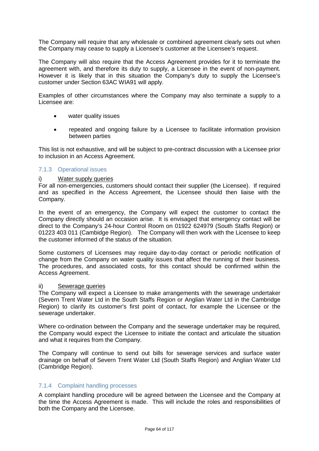The Company will require that any wholesale or combined agreement clearly sets out when the Company may cease to supply a Licensee's customer at the Licensee's request.

The Company will also require that the Access Agreement provides for it to terminate the agreement with, and therefore its duty to supply, a Licensee in the event of non-payment. However it is likely that in this situation the Company's duty to supply the Licensee's customer under Section 63AC WIA91 will apply.

Examples of other circumstances where the Company may also terminate a supply to a Licensee are:

- water quality issues
- repeated and ongoing failure by a Licensee to facilitate information provision between parties

This list is not exhaustive, and will be subject to pre-contract discussion with a Licensee prior to inclusion in an Access Agreement.

## 7.1.3 Operational issues

### i) Water supply queries

For all non-emergencies, customers should contact their supplier (the Licensee). If required and as specified in the Access Agreement, the Licensee should then liaise with the Company.

In the event of an emergency, the Company will expect the customer to contact the Company directly should an occasion arise. It is envisaged that emergency contact will be direct to the Company's 24-hour Control Room on 01922 624979 (South Staffs Region) or 01223 403 011 (Cambidge Region). The Company will then work with the Licensee to keep the customer informed of the status of the situation.

Some customers of Licensees may require day-to-day contact or periodic notification of change from the Company on water quality issues that affect the running of their business. The procedures, and associated costs, for this contact should be confirmed within the Access Agreement.

### ii) Sewerage queries

The Company will expect a Licensee to make arrangements with the sewerage undertaker (Severn Trent Water Ltd in the South Staffs Region or Anglian Water Ltd in the Cambridge Region) to clarify its customer's first point of contact, for example the Licensee or the sewerage undertaker.

Where co-ordination between the Company and the sewerage undertaker may be required, the Company would expect the Licensee to initiate the contact and articulate the situation and what it requires from the Company.

The Company will continue to send out bills for sewerage services and surface water drainage on behalf of Severn Trent Water Ltd (South Staffs Region) and Anglian Water Ltd (Cambridge Region).

## 7.1.4 Complaint handling processes

A complaint handling procedure will be agreed between the Licensee and the Company at the time the Access Agreement is made. This will include the roles and responsibilities of both the Company and the Licensee.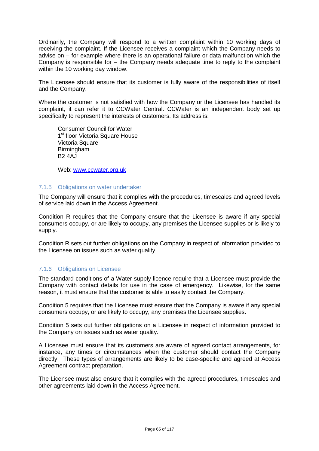Ordinarily, the Company will respond to a written complaint within 10 working days of receiving the complaint. If the Licensee receives a complaint which the Company needs to advise on – for example where there is an operational failure or data malfunction which the Company is responsible for – the Company needs adequate time to reply to the complaint within the 10 working day window.

The Licensee should ensure that its customer is fully aware of the responsibilities of itself and the Company.

Where the customer is not satisfied with how the Company or the Licensee has handled its complaint, it can refer it to CCWater Central. CCWater is an independent body set up specifically to represent the interests of customers. Its address is:

Consumer Council for Water 1<sup>st</sup> floor Victoria Square House Victoria Square Birmingham **B<sub>2</sub>** 4AJ

Web: [www.ccwater.org.uk](http://www.ccwater.org.uk/)

## 7.1.5 Obligations on water undertaker

The Company will ensure that it complies with the procedures, timescales and agreed levels of service laid down in the Access Agreement.

Condition R requires that the Company ensure that the Licensee is aware if any special consumers occupy, or are likely to occupy, any premises the Licensee supplies or is likely to supply.

Condition R sets out further obligations on the Company in respect of information provided to the Licensee on issues such as water quality

# 7.1.6 Obligations on Licensee

The standard conditions of a Water supply licence require that a Licensee must provide the Company with contact details for use in the case of emergency. Likewise, for the same reason, it must ensure that the customer is able to easily contact the Company.

Condition 5 requires that the Licensee must ensure that the Company is aware if any special consumers occupy, or are likely to occupy, any premises the Licensee supplies.

Condition 5 sets out further obligations on a Licensee in respect of information provided to the Company on issues such as water quality.

A Licensee must ensure that its customers are aware of agreed contact arrangements, for instance, any times or circumstances when the customer should contact the Company directly. These types of arrangements are likely to be case-specific and agreed at Access Agreement contract preparation.

The Licensee must also ensure that it complies with the agreed procedures, timescales and other agreements laid down in the Access Agreement.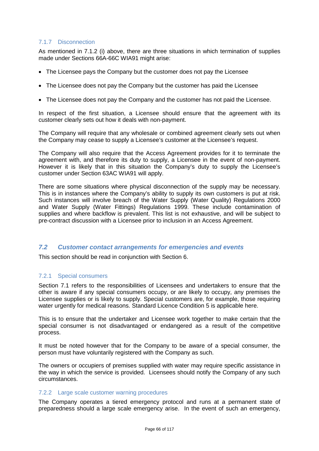# 7.1.7 Disconnection

As mentioned in 7.1.2 (i) above, there are three situations in which termination of supplies made under Sections 66A-66C WIA91 might arise:

- The Licensee pays the Company but the customer does not pay the Licensee
- The Licensee does not pay the Company but the customer has paid the Licensee
- The Licensee does not pay the Company and the customer has not paid the Licensee.

In respect of the first situation, a Licensee should ensure that the agreement with its customer clearly sets out how it deals with non-payment.

The Company will require that any wholesale or combined agreement clearly sets out when the Company may cease to supply a Licensee's customer at the Licensee's request.

The Company will also require that the Access Agreement provides for it to terminate the agreement with, and therefore its duty to supply, a Licensee in the event of non-payment. However it is likely that in this situation the Company's duty to supply the Licensee's customer under Section 63AC WIA91 will apply.

There are some situations where physical disconnection of the supply may be necessary. This is in instances where the Company's ability to supply its own customers is put at risk. Such instances will involve breach of the Water Supply (Water Quality) Regulations 2000 and Water Supply (Water Fittings) Regulations 1999. These include contamination of supplies and where backflow is prevalent. This list is not exhaustive, and will be subject to pre-contract discussion with a Licensee prior to inclusion in an Access Agreement.

### *7.2 Customer contact arrangements for emergencies and events*

This section should be read in conjunction with Section 6.

### 7.2.1 Special consumers

Section 7.1 refers to the responsibilities of Licensees and undertakers to ensure that the other is aware if any special consumers occupy, or are likely to occupy, any premises the Licensee supplies or is likely to supply. Special customers are, for example, those requiring water urgently for medical reasons. Standard Licence Condition 5 is applicable here.

This is to ensure that the undertaker and Licensee work together to make certain that the special consumer is not disadvantaged or endangered as a result of the competitive process.

It must be noted however that for the Company to be aware of a special consumer, the person must have voluntarily registered with the Company as such.

The owners or occupiers of premises supplied with water may require specific assistance in the way in which the service is provided. Licensees should notify the Company of any such circumstances.

### 7.2.2 Large scale customer warning procedures

The Company operates a tiered emergency protocol and runs at a permanent state of preparedness should a large scale emergency arise. In the event of such an emergency,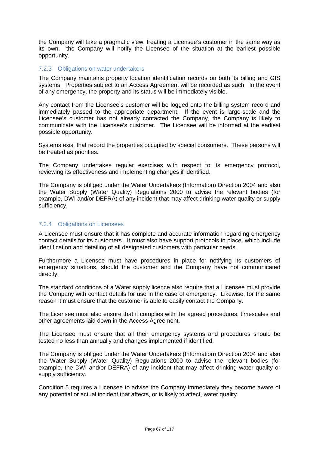the Company will take a pragmatic view, treating a Licensee's customer in the same way as its own. the Company will notify the Licensee of the situation at the earliest possible opportunity.

# 7.2.3 Obligations on water undertakers

The Company maintains property location identification records on both its billing and GIS systems. Properties subject to an Access Agreement will be recorded as such. In the event of any emergency, the property and its status will be immediately visible.

Any contact from the Licensee's customer will be logged onto the billing system record and immediately passed to the appropriate department. If the event is large-scale and the Licensee's customer has not already contacted the Company, the Company is likely to communicate with the Licensee's customer. The Licensee will be informed at the earliest possible opportunity.

Systems exist that record the properties occupied by special consumers. These persons will be treated as priorities.

The Company undertakes regular exercises with respect to its emergency protocol, reviewing its effectiveness and implementing changes if identified.

The Company is obliged under the Water Undertakers (Information) Direction 2004 and also the Water Supply (Water Quality) Regulations 2000 to advise the relevant bodies (for example, DWI and/or DEFRA) of any incident that may affect drinking water quality or supply sufficiency.

## 7.2.4 Obligations on Licensees

A Licensee must ensure that it has complete and accurate information regarding emergency contact details for its customers. It must also have support protocols in place, which include identification and detailing of all designated customers with particular needs.

Furthermore a Licensee must have procedures in place for notifying its customers of emergency situations, should the customer and the Company have not communicated directly.

The standard conditions of a Water supply licence also require that a Licensee must provide the Company with contact details for use in the case of emergency. Likewise, for the same reason it must ensure that the customer is able to easily contact the Company.

The Licensee must also ensure that it complies with the agreed procedures, timescales and other agreements laid down in the Access Agreement.

The Licensee must ensure that all their emergency systems and procedures should be tested no less than annually and changes implemented if identified.

The Company is obliged under the Water Undertakers (Information) Direction 2004 and also the Water Supply (Water Quality) Regulations 2000 to advise the relevant bodies (for example, the DWI and/or DEFRA) of any incident that may affect drinking water quality or supply sufficiency.

Condition 5 requires a Licensee to advise the Company immediately they become aware of any potential or actual incident that affects, or is likely to affect, water quality.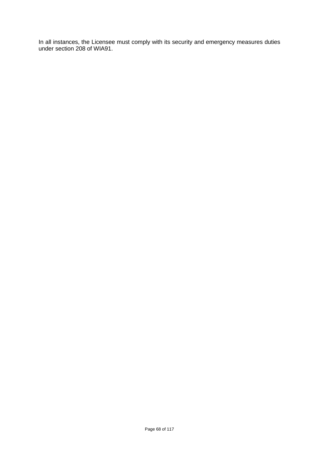In all instances, the Licensee must comply with its security and emergency measures duties under section 208 of WIA91.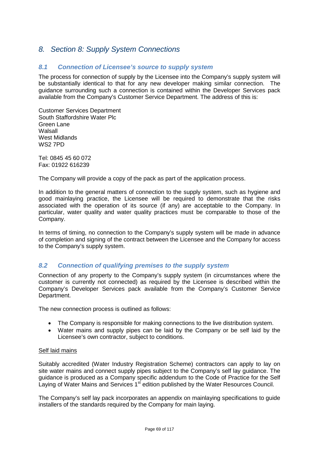# *8. Section 8: Supply System Connections*

# *8.1 Connection of Licensee's source to supply system*

The process for connection of supply by the Licensee into the Company's supply system will be substantially identical to that for any new developer making similar connection. The guidance surrounding such a connection is contained within the Developer Services pack available from the Company's Customer Service Department. The address of this is:

Customer Services Department South Staffordshire Water Plc Green Lane Walsall West Midlands WS2 7PD

Tel: 0845 45 60 072 Fax: 01922 616239

The Company will provide a copy of the pack as part of the application process.

In addition to the general matters of connection to the supply system, such as hygiene and good mainlaying practice, the Licensee will be required to demonstrate that the risks associated with the operation of its source (if any) are acceptable to the Company. In particular, water quality and water quality practices must be comparable to those of the Company.

In terms of timing, no connection to the Company's supply system will be made in advance of completion and signing of the contract between the Licensee and the Company for access to the Company's supply system.

# *8.2 Connection of qualifying premises to the supply system*

Connection of any property to the Company's supply system (in circumstances where the customer is currently not connected) as required by the Licensee is described within the Company's Developer Services pack available from the Company's Customer Service Department.

The new connection process is outlined as follows:

- The Company is responsible for making connections to the live distribution system.
- Water mains and supply pipes can be laid by the Company or be self laid by the Licensee's own contractor, subject to conditions.

### Self laid mains

Suitably accredited (Water Industry Registration Scheme) contractors can apply to lay on site water mains and connect supply pipes subject to the Company's self lay guidance. The guidance is produced as a Company specific addendum to the Code of Practice for the Self Laying of Water Mains and Services 1<sup>st</sup> edition published by the Water Resources Council.

The Company's self lay pack incorporates an appendix on mainlaying specifications to guide installers of the standards required by the Company for main laying.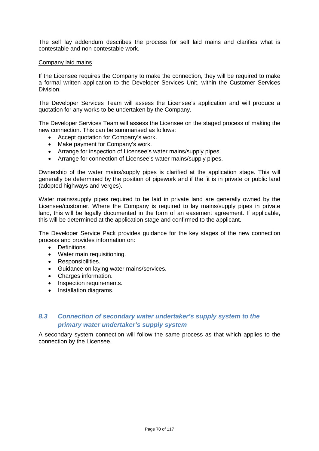The self lay addendum describes the process for self laid mains and clarifies what is contestable and non-contestable work.

### Company laid mains

If the Licensee requires the Company to make the connection, they will be required to make a formal written application to the Developer Services Unit, within the Customer Services Division.

The Developer Services Team will assess the Licensee's application and will produce a quotation for any works to be undertaken by the Company.

The Developer Services Team will assess the Licensee on the staged process of making the new connection. This can be summarised as follows:

- Accept quotation for Company's work.
- Make payment for Company's work.
- Arrange for inspection of Licensee's water mains/supply pipes.
- Arrange for connection of Licensee's water mains/supply pipes.

Ownership of the water mains/supply pipes is clarified at the application stage. This will generally be determined by the position of pipework and if the fit is in private or public land (adopted highways and verges).

Water mains/supply pipes required to be laid in private land are generally owned by the Licensee/customer. Where the Company is required to lay mains/supply pipes in private land, this will be legally documented in the form of an easement agreement. If applicable, this will be determined at the application stage and confirmed to the applicant.

The Developer Service Pack provides guidance for the key stages of the new connection process and provides information on:

- Definitions.
- Water main requisitioning.
- Responsibilities.
- Guidance on laying water mains/services.
- Charges information.
- Inspection requirements.
- Installation diagrams.

# *8.3 Connection of secondary water undertaker's supply system to the primary water undertaker's supply system*

A secondary system connection will follow the same process as that which applies to the connection by the Licensee.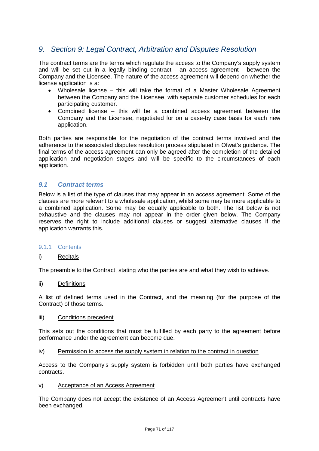# *9. Section 9: Legal Contract, Arbitration and Disputes Resolution*

The contract terms are the terms which regulate the access to the Company's supply system and will be set out in a legally binding contract - an access agreement - between the Company and the Licensee. The nature of the access agreement will depend on whether the license application is a:

- Wholesale license this will take the format of a Master Wholesale Agreement between the Company and the Licensee, with separate customer schedules for each participating customer.
- Combined license this will be a combined access agreement between the Company and the Licensee, negotiated for on a case-by case basis for each new application.

Both parties are responsible for the negotiation of the contract terms involved and the adherence to the associated disputes resolution process stipulated in Ofwat's guidance. The final terms of the access agreement can only be agreed after the completion of the detailed application and negotiation stages and will be specific to the circumstances of each application.

# *9.1 Contract terms*

Below is a list of the type of clauses that may appear in an access agreement. Some of the clauses are more relevant to a wholesale application, whilst some may be more applicable to a combined application. Some may be equally applicable to both. The list below is not exhaustive and the clauses may not appear in the order given below. The Company reserves the right to include additional clauses or suggest alternative clauses if the application warrants this.

### 9.1.1 Contents

### i) Recitals

The preamble to the Contract, stating who the parties are and what they wish to achieve.

### ii) Definitions

A list of defined terms used in the Contract, and the meaning (for the purpose of the Contract) of those terms.

### iii) Conditions precedent

This sets out the conditions that must be fulfilled by each party to the agreement before performance under the agreement can become due.

iv) Permission to access the supply system in relation to the contract in question

Access to the Company's supply system is forbidden until both parties have exchanged contracts.

v) Acceptance of an Access Agreement

The Company does not accept the existence of an Access Agreement until contracts have been exchanged.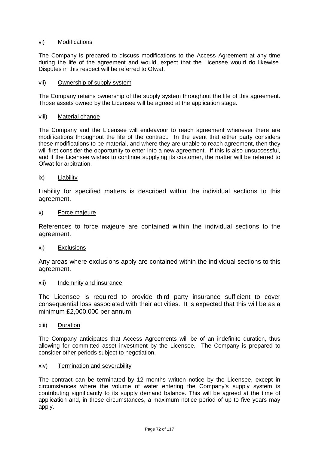## vi) Modifications

The Company is prepared to discuss modifications to the Access Agreement at any time during the life of the agreement and would, expect that the Licensee would do likewise. Disputes in this respect will be referred to Ofwat.

### vii) Ownership of supply system

The Company retains ownership of the supply system throughout the life of this agreement. Those assets owned by the Licensee will be agreed at the application stage.

#### viii) Material change

The Company and the Licensee will endeavour to reach agreement whenever there are modifications throughout the life of the contract. In the event that either party considers these modifications to be material, and where they are unable to reach agreement, then they will first consider the opportunity to enter into a new agreement. If this is also unsuccessful, and if the Licensee wishes to continue supplying its customer, the matter will be referred to Ofwat for arbitration.

### ix) Liability

Liability for specified matters is described within the individual sections to this agreement.

#### x) Force majeure

References to force majeure are contained within the individual sections to the agreement.

### xi) Exclusions

Any areas where exclusions apply are contained within the individual sections to this agreement.

#### xii) Indemnity and insurance

The Licensee is required to provide third party insurance sufficient to cover consequential loss associated with their activities. It is expected that this will be as a minimum £2,000,000 per annum.

#### xiii) Duration

The Company anticipates that Access Agreements will be of an indefinite duration, thus allowing for committed asset investment by the Licensee. The Company is prepared to consider other periods subject to negotiation.

### xiv) Termination and severability

The contract can be terminated by 12 months written notice by the Licensee, except in circumstances where the volume of water entering the Company's supply system is contributing significantly to its supply demand balance. This will be agreed at the time of application and, in these circumstances, a maximum notice period of up to five years may apply.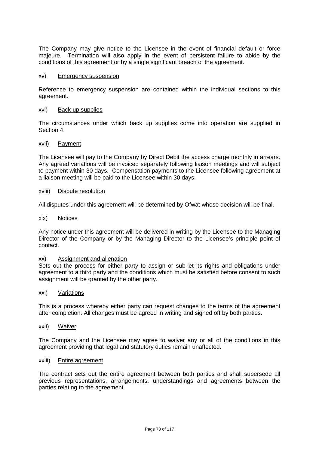The Company may give notice to the Licensee in the event of financial default or force majeure. Termination will also apply in the event of persistent failure to abide by the conditions of this agreement or by a single significant breach of the agreement.

#### xv) Emergency suspension

Reference to emergency suspension are contained within the individual sections to this agreement.

#### xvi) Back up supplies

The circumstances under which back up supplies come into operation are supplied in Section 4.

#### xvii) Payment

The Licensee will pay to the Company by Direct Debit the access charge monthly in arrears. Any agreed variations will be invoiced separately following liaison meetings and will subject to payment within 30 days. Compensation payments to the Licensee following agreement at a liaison meeting will be paid to the Licensee within 30 days.

#### xviii) Dispute resolution

All disputes under this agreement will be determined by Ofwat whose decision will be final.

#### xix) Notices

Any notice under this agreement will be delivered in writing by the Licensee to the Managing Director of the Company or by the Managing Director to the Licensee's principle point of contact.

#### xx) Assignment and alienation

Sets out the process for either party to assign or sub-let its rights and obligations under agreement to a third party and the conditions which must be satisfied before consent to such assignment will be granted by the other party.

#### xxi) Variations

This is a process whereby either party can request changes to the terms of the agreement after completion. All changes must be agreed in writing and signed off by both parties.

#### xxii) Waiver

The Company and the Licensee may agree to waiver any or all of the conditions in this agreement providing that legal and statutory duties remain unaffected.

#### xxiii) Entire agreement

The contract sets out the entire agreement between both parties and shall supersede all previous representations, arrangements, understandings and agreements between the parties relating to the agreement.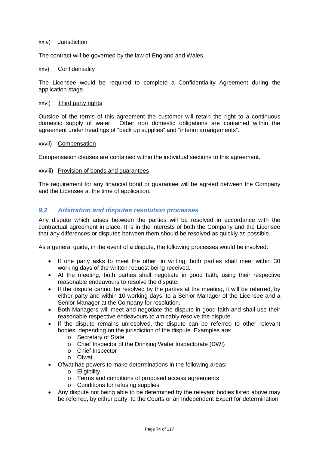#### xxiv) Jurisdiction

The contract will be governed by the law of England and Wales.

#### xxv) Confidentiality

The Licensee would be required to complete a Confidentiality Agreement during the application stage.

#### xxvi) Third party rights

Outside of the terms of this agreement the customer will retain the right to a continuous domestic supply of water. Other non domestic obligations are contained within the agreement under headings of "back up supplies" and "interim arrangements".

#### xxvii) Compensation

Compensation clauses are contained within the individual sections to this agreement.

xxviii) Provision of bonds and guarantees

The requirement for any financial bond or guarantee will be agreed between the Company and the Licensee at the time of application.

## *9.2 Arbitration and disputes resolution processes*

Any dispute which arises between the parties will be resolved in accordance with the contractual agreement in place. It is in the interests of both the Company and the Licensee that any differences or disputes between them should be resolved as quickly as possible.

As a general guide, in the event of a dispute, the following processes would be involved:

- If one party asks to meet the other, in writing, both parties shall meet within 30 working days of the written request being received.
- At the meeting, both parties shall negotiate in good faith, using their respective reasonable endeavours to resolve the dispute.
- If the dispute cannot be resolved by the parties at the meeting, it will be referred, by either party and within 10 working days, to a Senior Manager of the Licensee and a Senior Manager at the Company for resolution.
- Both Managers will meet and negotiate the dispute in good faith and shall use their reasonable respective endeavours to amicably resolve the dispute.
- If the dispute remains unresolved, the dispute can be referred to other relevant bodies, depending on the jurisdiction of the dispute. Examples are:
	- o Secretary of State
	- o Chief Inspector of the Drinking Water Inspectorate (DWI)
	- o Chief Inspector
	- o Ofwat
- Ofwat has powers to make determinations in the following areas:
	- o Eligibility
	- o Terms and conditions of proposed access agreements
	- o Conditions for refusing supplies
- Any dispute not being able to be determined by the relevant bodies listed above may be referred, by either party, to the Courts or an Independent Expert for determination.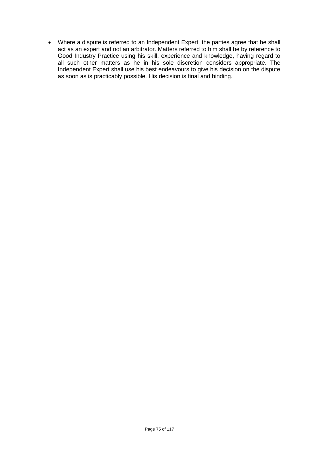• Where a dispute is referred to an Independent Expert, the parties agree that he shall act as an expert and not an arbitrator. Matters referred to him shall be by reference to Good Industry Practice using his skill, experience and knowledge, having regard to all such other matters as he in his sole discretion considers appropriate. The Independent Expert shall use his best endeavours to give his decision on the dispute as soon as is practicably possible. His decision is final and binding.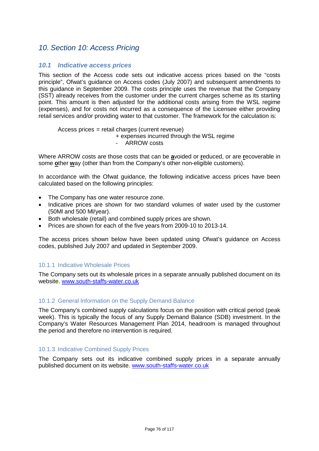# *10. Section 10: Access Pricing*

## *10.1 Indicative access prices*

This section of the Access code sets out indicative access prices based on the "costs principle", Ofwat's guidance on Access codes (July 2007) and subsequent amendments to this guidance in September 2009. The costs principle uses the revenue that the Company (SST) already receives from the customer under the current charges scheme as its starting point. This amount is then adjusted for the additional costs arising from the WSL regime (expenses), and for costs not incurred as a consequence of the Licensee either providing retail services and/or providing water to that customer. The framework for the calculation is:

#### Access prices = retail charges (current revenue) + expenses incurred through the WSL regime

ARROW costs

Where ARROW costs are those costs that can be **a**voided or **r**educed, or are **r**ecoverable in some **o**ther **w**ay (other than from the Company's other non-eligible customers).

In accordance with the Ofwat guidance, the following indicative access prices have been calculated based on the following principles:

- The Company has one water resource zone.
- Indicative prices are shown for two standard volumes of water used by the customer (50Ml and 500 Ml/year).
- Both wholesale (retail) and combined supply prices are shown.
- Prices are shown for each of the five years from 2009-10 to 2013-14.

The access prices shown below have been updated using Ofwat's guidance on Access codes, published July 2007 and updated in September 2009.

## 10.1.1 Indicative Wholesale Prices

The Company sets out its wholesale prices in a separate annually published document on its website. [www.south-staffs-water.co.uk](http://www.south-staffs-water.co.uk/)

#### 10.1.2 General Information on the Supply Demand Balance

The Company's combined supply calculations focus on the position with critical period (peak week). This is typically the focus of any Supply Demand Balance (SDB) investment. In the Company's Water Resources Management Plan 2014, headroom is managed throughout the period and therefore no intervention is required.

## 10.1.3 Indicative Combined Supply Prices

The Company sets out its indicative combined supply prices in a separate annually published document on its website. [www.south-staffs-water.co.uk](http://www.south-staffs-water.co.uk/)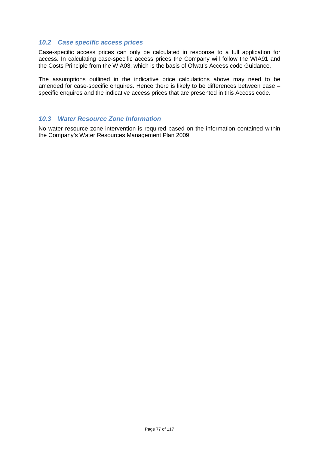## *10.2 Case specific access prices*

Case-specific access prices can only be calculated in response to a full application for access. In calculating case-specific access prices the Company will follow the WIA91 and the Costs Principle from the WIA03, which is the basis of Ofwat's Access code Guidance.

The assumptions outlined in the indicative price calculations above may need to be amended for case-specific enquires. Hence there is likely to be differences between case – specific enquires and the indicative access prices that are presented in this Access code.

## *10.3 Water Resource Zone Information*

No water resource zone intervention is required based on the information contained within the Company's Water Resources Management Plan 2009.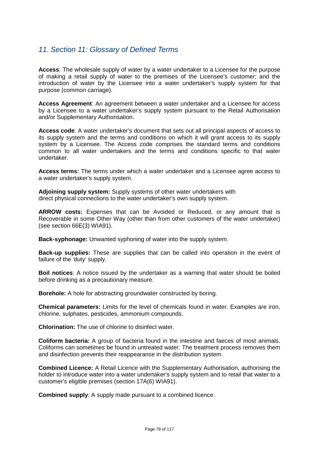# *11. Section 11: Glossary of Defined Terms*

**Access**: The wholesale supply of water by a water undertaker to a Licensee for the purpose of making a retail supply of water to the premises of the Licensee's customer; and the introduction of water by the Licensee into a water undertaker's supply system for that purpose (common carriage).

**Access Agreement**: An agreement between a water undertaker and a Licensee for access by a Licensee to a water undertaker's supply system pursuant to the Retail Authorisation and/or Supplementary Authorisation.

**Access code**: A water undertaker's document that sets out all principal aspects of access to its supply system and the terms and conditions on which it will grant access to its supply system by a Licensee. The Access code comprises the standard terms and conditions common to all water undertakers and the terms and conditions specific to that water undertaker.

**Access terms:** The terms under which a water undertaker and a Licensee agree access to a water undertaker's supply system.

**Adjoining supply system:** Supply systems of other water undertakers with direct physical connections to the water undertaker's own supply system.

**ARROW costs:** Expenses that can be Avoided or Reduced, or any amount that is Recoverable in some Other Way (other than from other customers of the water undertaker) (see section 66E(3) WIA91).

**Back-syphonage:** Unwanted syphoning of water into the supply system.

**Back-up supplies:** These are supplies that can be called into operation in the event of failure of the 'duty' supply.

**Boil notices**: A notice issued by the undertaker as a warning that water should be boiled before drinking as a precautionary measure.

**Borehole:** A hole for abstracting groundwater constructed by boring.

**Chemical parameters:** Limits for the level of chemicals found in water. Examples are iron, chlorine, sulphates, pesticides, ammonium compounds.

**Chlorination:** The use of chlorine to disinfect water.

**Coliform bacteria:** A group of bacteria found in the intestine and faeces of most animals. Coliforms can sometimes be found in untreated water. The treatment process removes them and disinfection prevents their reappearance in the distribution system.

**Combined Licence:** A Retail Licence with the Supplementary Authorisation, authorising the holder to introduce water into a water undertaker's supply system and to retail that water to a customer's eligible premises (section 17A(6) WIA91).

**Combined supply**: A supply made pursuant to a combined licence.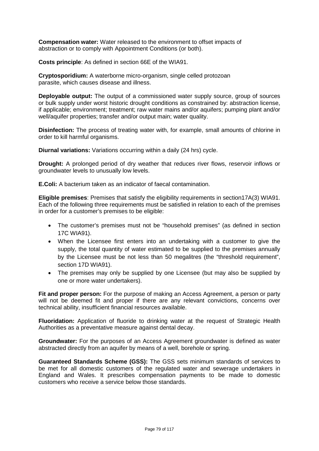**Compensation water:** Water released to the environment to offset impacts of abstraction or to comply with Appointment Conditions (or both).

**Costs principle**: As defined in section 66E of the WIA91.

**Cryptosporidium:** A waterborne micro-organism, single celled protozoan parasite, which causes disease and illness.

**Deployable output:** The output of a commissioned water supply source, group of sources or bulk supply under worst historic drought conditions as constrained by: abstraction license, if applicable; environment; treatment; raw water mains and/or aquifers; pumping plant and/or well/aquifer properties; transfer and/or output main; water quality.

**Disinfection:** The process of treating water with, for example, small amounts of chlorine in order to kill harmful organisms.

**Diurnal variations:** Variations occurring within a daily (24 hrs) cycle.

**Drought:** A prolonged period of dry weather that reduces river flows, reservoir inflows or groundwater levels to unusually low levels.

**E.Coli:** A bacterium taken as an indicator of faecal contamination.

**Eligible premises**: Premises that satisfy the eligibility requirements in section17A(3) WIA91. Each of the following three requirements must be satisfied in relation to each of the premises in order for a customer's premises to be eligible:

- The customer's premises must not be "household premises" (as defined in section 17C WIA91).
- When the Licensee first enters into an undertaking with a customer to give the supply, the total quantity of water estimated to be supplied to the premises annually by the Licensee must be not less than 50 megalitres (the "threshold requirement", section 17D WIA91).
- The premises may only be supplied by one Licensee (but may also be supplied by one or more water undertakers).

Fit and proper person: For the purpose of making an Access Agreement, a person or party will not be deemed fit and proper if there are any relevant convictions, concerns over technical ability, insufficient financial resources available.

**Fluoridation:** Application of fluoride to drinking water at the request of Strategic Health Authorities as a preventative measure against dental decay.

**Groundwater:** For the purposes of an Access Agreement groundwater is defined as water abstracted directly from an aquifer by means of a well, borehole or spring.

**Guaranteed Standards Scheme (GSS):** The GSS sets minimum standards of services to be met for all domestic customers of the regulated water and sewerage undertakers in England and Wales. It prescribes compensation payments to be made to domestic customers who receive a service below those standards.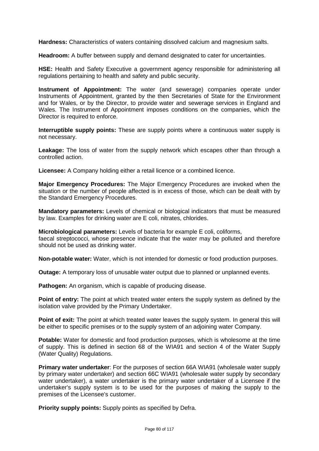**Hardness:** Characteristics of waters containing dissolved calcium and magnesium salts.

**Headroom:** A buffer between supply and demand designated to cater for uncertainties.

**HSE:** Health and Safety Executive a government agency responsible for administering all regulations pertaining to health and safety and public security.

**Instrument of Appointment:** The water (and sewerage) companies operate under Instruments of Appointment, granted by the then Secretaries of State for the Environment and for Wales, or by the Director, to provide water and sewerage services in England and Wales. The Instrument of Appointment imposes conditions on the companies, which the Director is required to enforce.

**Interruptible supply points:** These are supply points where a continuous water supply is not necessary.

**Leakage:** The loss of water from the supply network which escapes other than through a controlled action.

**Licensee:** A Company holding either a retail licence or a combined licence.

**Major Emergency Procedures:** The Major Emergency Procedures are invoked when the situation or the number of people affected is in excess of those, which can be dealt with by the Standard Emergency Procedures.

**Mandatory parameters:** Levels of chemical or biological indicators that must be measured by law. Examples for drinking water are E coli, nitrates, chlorides.

**Microbiological parameters:** Levels of bacteria for example E coli, coliforms, faecal streptococci, whose presence indicate that the water may be polluted and therefore should not be used as drinking water.

**Non-potable water:** Water, which is not intended for domestic or food production purposes.

**Outage:** A temporary loss of unusable water output due to planned or unplanned events.

**Pathogen:** An organism, which is capable of producing disease.

**Point of entry:** The point at which treated water enters the supply system as defined by the isolation valve provided by the Primary Undertaker.

**Point of exit:** The point at which treated water leaves the supply system. In general this will be either to specific premises or to the supply system of an adjoining water Company.

**Potable:** Water for domestic and food production purposes, which is wholesome at the time of supply. This is defined in section 68 of the WIA91 and section 4 of the Water Supply (Water Quality) Regulations.

**Primary water undertaker**: For the purposes of section 66A WIA91 (wholesale water supply by primary water undertaker) and section 66C WIA91 (wholesale water supply by secondary water undertaker), a water undertaker is the primary water undertaker of a Licensee if the undertaker's supply system is to be used for the purposes of making the supply to the premises of the Licensee's customer.

**Priority supply points:** Supply points as specified by Defra.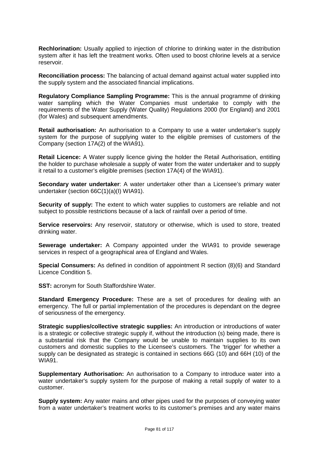**Rechlorination:** Usually applied to injection of chlorine to drinking water in the distribution system after it has left the treatment works. Often used to boost chlorine levels at a service reservoir.

**Reconciliation process:** The balancing of actual demand against actual water supplied into the supply system and the associated financial implications.

**Regulatory Compliance Sampling Programme:** This is the annual programme of drinking water sampling which the Water Companies must undertake to comply with the requirements of the Water Supply (Water Quality) Regulations 2000 (for England) and 2001 (for Wales) and subsequent amendments.

**Retail authorisation:** An authorisation to a Company to use a water undertaker's supply system for the purpose of supplying water to the eligible premises of customers of the Company (section 17A(2) of the WIA91).

**Retail Licence:** A Water supply licence giving the holder the Retail Authorisation, entitling the holder to purchase wholesale a supply of water from the water undertaker and to supply it retail to a customer's eligible premises (section 17A(4) of the WIA91).

**Secondary water undertaker**: A water undertaker other than a Licensee's primary water undertaker (section 66C(1)(a)(I) WIA91).

**Security of supply:** The extent to which water supplies to customers are reliable and not subject to possible restrictions because of a lack of rainfall over a period of time.

**Service reservoirs:** Any reservoir, statutory or otherwise, which is used to store, treated drinking water.

**Sewerage undertaker:** A Company appointed under the WIA91 to provide sewerage services in respect of a geographical area of England and Wales.

**Special Consumers:** As defined in condition of appointment R section (8)(6) and Standard Licence Condition 5.

**SST:** acronym for South Staffordshire Water.

**Standard Emergency Procedure:** These are a set of procedures for dealing with an emergency. The full or partial implementation of the procedures is dependant on the degree of seriousness of the emergency.

**Strategic supplies/collective strategic supplies:** An introduction or introductions of water is a strategic or collective strategic supply if, without the introduction (s) being made, there is a substantial risk that the Company would be unable to maintain supplies to its own customers and domestic supplies to the Licensee's customers. The 'trigger' for whether a supply can be designated as strategic is contained in sections 66G (10) and 66H (10) of the WIA91.

**Supplementary Authorisation:** An authorisation to a Company to introduce water into a water undertaker's supply system for the purpose of making a retail supply of water to a customer.

**Supply system:** Any water mains and other pipes used for the purposes of conveying water from a water undertaker's treatment works to its customer's premises and any water mains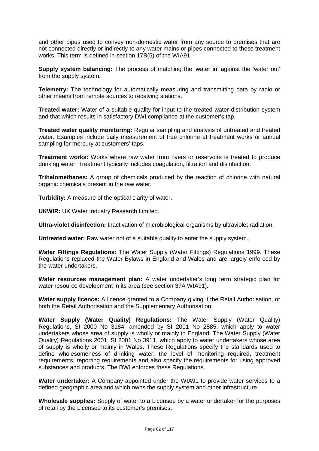and other pipes used to convey non-domestic water from any source to premises that are not connected directly or indirectly to any water mains or pipes connected to those treatment works. This term is defined in section 17B(5) of the WIA91.

**Supply system balancing:** The process of matching the 'water in' against the 'water out' from the supply system.

**Telemetry:** The technology for automatically measuring and transmitting data by radio or other means from remote sources to receiving stations.

**Treated water:** Water of a suitable quality for input to the treated water distribution system and that which results in satisfactory DWI compliance at the customer's tap.

**Treated water quality monitoring:** Regular sampling and analysis of untreated and treated water. Examples include daily measurement of free chlorine at treatment works or annual sampling for mercury at customers' taps.

**Treatment works:** Works where raw water from rivers or reservoirs is treated to produce drinking water. Treatment typically includes coagulation, filtration and disinfection.

**Trihalomethanes:** A group of chemicals produced by the reaction of chlorine with natural organic chemicals present in the raw water.

**Turbidity:** A measure of the optical clarity of water.

**UKWIR:** UK Water Industry Research Limited.

**Ultra-violet disinfection:** Inactivation of microbiological organisms by ultraviolet radiation.

**Untreated water:** Raw water not of a suitable quality to enter the supply system.

**Water Fittings Regulations:** The Water Supply (Water Fittings) Regulations 1999. These Regulations replaced the Water Bylaws in England and Wales and are largely enforced by the water undertakers.

**Water resources management plan:** A water undertaker's long term strategic plan for water resource development in its area (see section 37A WIA91).

**Water supply licence:** A licence granted to a Company giving it the Retail Authorisation, or both the Retail Authorisation and the Supplementary Authorisation.

**Water Supply (Water Quality) Regulations:** The Water Supply (Water Quality) Regulations, SI 2000 No 3184, amended by SI 2001 No 2885, which apply to water undertakers whose area of supply is wholly or mainly in England; The Water Supply (Water Quality) Regulations 2001, SI 2001 No 3911, which apply to water undertakers whose area of supply is wholly or mainly in Wales. These Regulations specify the standards used to define wholesomeness of drinking water, the level of monitoring required, treatment requirements, reporting requirements and also specify the requirements for using approved substances and products. The DWI enforces these Regulations.

**Water undertaker:** A Company appointed under the WIA91 to provide water services to a defined geographic area and which owns the supply system and other infrastructure.

**Wholesale supplies:** Supply of water to a Licensee by a water undertaker for the purposes of retail by the Licensee to its customer's premises.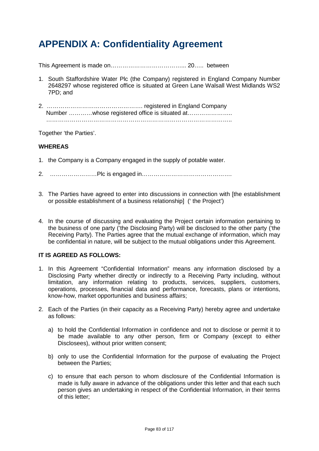# **APPENDIX A: Confidentiality Agreement**

This Agreement is made on………………………………... 20….. between

- 1. South Staffordshire Water Plc (the Company) registered in England Company Number 2648297 whose registered office is situated at Green Lane Walsall West Midlands WS2 7PD; and
- 2. …………………………………………. registered in England Company Number …………whose registered office is situated at………………….. …………………………………………………………………………………..

Together 'the Parties'.

#### **WHEREAS**

- 1. the Company is a Company engaged in the supply of potable water.
- 2. ……………………Plc is engaged in……………………………………….
- 3. The Parties have agreed to enter into discussions in connection with [the establishment or possible establishment of a business relationship] (' the Project')
- 4. In the course of discussing and evaluating the Project certain information pertaining to the business of one party ('the Disclosing Party) will be disclosed to the other party ('the Receiving Party). The Parties agree that the mutual exchange of information, which may be confidential in nature, will be subject to the mutual obligations under this Agreement.

## **IT IS AGREED AS FOLLOWS:**

- 1. In this Agreement "Confidential Information" means any information disclosed by a Disclosing Party whether directly or indirectly to a Receiving Party including, without limitation, any information relating to products, services, suppliers, customers, operations, processes, financial data and performance, forecasts, plans or intentions, know-how, market opportunities and business affairs;
- 2. Each of the Parties (in their capacity as a Receiving Party) hereby agree and undertake as follows:
	- a) to hold the Confidential Information in confidence and not to disclose or permit it to be made available to any other person, firm or Company (except to either Disclosees), without prior written consent;
	- b) only to use the Confidential Information for the purpose of evaluating the Project between the Parties;
	- c) to ensure that each person to whom disclosure of the Confidential Information is made is fully aware in advance of the obligations under this letter and that each such person gives an undertaking in respect of the Confidential Information, in their terms of this letter;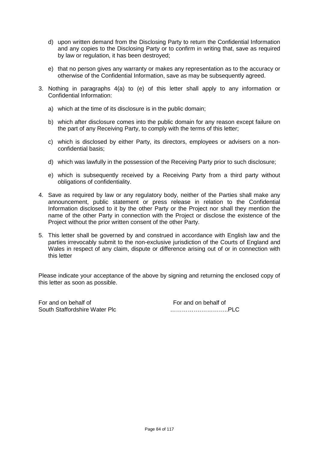- d) upon written demand from the Disclosing Party to return the Confidential Information and any copies to the Disclosing Party or to confirm in writing that, save as required by law or regulation, it has been destroyed;
- e) that no person gives any warranty or makes any representation as to the accuracy or otherwise of the Confidential Information, save as may be subsequently agreed.
- 3. Nothing in paragraphs 4(a) to (e) of this letter shall apply to any information or Confidential Information:
	- a) which at the time of its disclosure is in the public domain;
	- b) which after disclosure comes into the public domain for any reason except failure on the part of any Receiving Party, to comply with the terms of this letter;
	- c) which is disclosed by either Party, its directors, employees or advisers on a nonconfidential basis;
	- d) which was lawfully in the possession of the Receiving Party prior to such disclosure;
	- e) which is subsequently received by a Receiving Party from a third party without obligations of confidentiality.
- 4. Save as required by law or any regulatory body, neither of the Parties shall make any announcement, public statement or press release in relation to the Confidential Information disclosed to it by the other Party or the Project nor shall they mention the name of the other Party in connection with the Project or disclose the existence of the Project without the prior written consent of the other Party.
- 5. This letter shall be governed by and construed in accordance with English law and the parties irrevocably submit to the non-exclusive jurisdiction of the Courts of England and Wales in respect of any claim, dispute or difference arising out of or in connection with this letter

Please indicate your acceptance of the above by signing and returning the enclosed copy of this letter as soon as possible.

For and on behalf of For and on behalf of South Staffordshire Water Plc …………….…………..PLC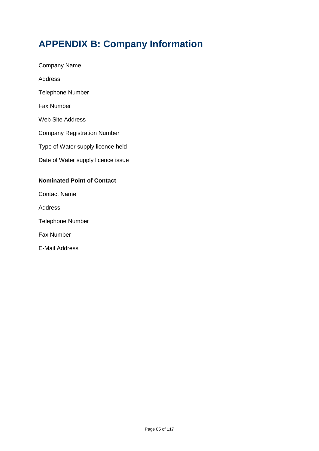# **APPENDIX B: Company Information**

- Company Name Address Telephone Number Fax Number Web Site Address Company Registration Number Type of Water supply licence held Date of Water supply licence issue **Nominated Point of Contact** Contact Name Address
- Telephone Number
- Fax Number
- E-Mail Address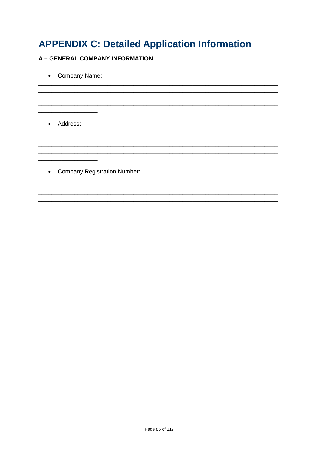# **APPENDIX C: Detailed Application Information**

## **A - GENERAL COMPANY INFORMATION**

• Company Name:-

• Address:-

<u> 1989 - Johann Barn, mars and de Branch Barn, mars and de Branch Barn, mars and de Branch Barn, mars and de Br</u>

• Company Registration Number:-

<u> 1980 - Johann Barn, mars ann an t-Amhain ann an t-Amhain an t-Amhain an t-Amhain an t-Amhain an t-Amhain an t-</u>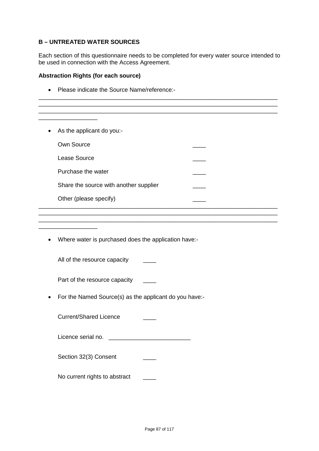## **B – UNTREATED WATER SOURCES**

Each section of this questionnaire needs to be completed for every water source intended to be used in connection with the Access Agreement.

\_\_\_\_\_\_\_\_\_\_\_\_\_\_\_\_\_\_\_\_\_\_\_\_\_\_\_\_\_\_\_\_\_\_\_\_\_\_\_\_\_\_\_\_\_\_\_\_\_\_\_\_\_\_\_\_\_\_\_\_\_\_\_\_\_\_\_\_\_\_\_\_\_ \_\_\_\_\_\_\_\_\_\_\_\_\_\_\_\_\_\_\_\_\_\_\_\_\_\_\_\_\_\_\_\_\_\_\_\_\_\_\_\_\_\_\_\_\_\_\_\_\_\_\_\_\_\_\_\_\_\_\_\_\_\_\_\_\_\_\_\_\_\_\_\_\_

#### **Abstraction Rights (for each source)**

• Please indicate the Source Name/reference:-

| As the applicant do you:-<br>$\bullet$ |  |
|----------------------------------------|--|
| Own Source                             |  |
| Lease Source                           |  |
| Purchase the water                     |  |
| Share the source with another supplier |  |
| Other (please specify)                 |  |
|                                        |  |

\_\_\_\_\_\_\_\_\_\_\_\_\_\_\_\_\_\_\_\_\_\_\_\_\_\_\_\_\_\_\_\_\_\_\_\_\_\_\_\_\_\_\_\_\_\_\_\_\_\_\_\_\_\_\_\_\_\_\_\_\_\_\_\_\_\_\_\_\_\_\_\_\_

• Where water is purchased does the application have:-

All of the resource capacity

\_\_\_\_\_\_\_\_\_\_\_\_\_\_\_\_\_\_

Part of the resource capacity \_\_\_\_

• For the Named Source(s) as the applicant do you have:-

Current/Shared Licence \_\_\_\_

Licence serial no. \_\_\_\_\_\_\_\_\_\_\_\_\_\_\_\_\_\_\_\_\_\_\_\_\_

Section 32(3) Consent \_\_\_\_\_\_

No current rights to abstract \_\_\_\_\_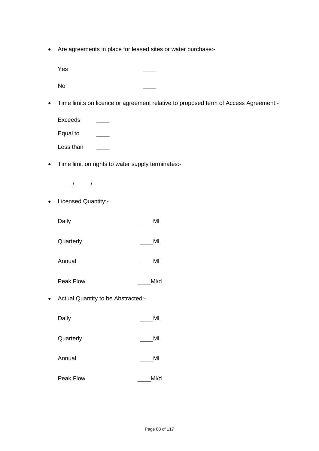• Are agreements in place for leased sites or water purchase:-

Yes \_\_\_\_ No \_\_\_\_

• Time limits on licence or agreement relative to proposed term of Access Agreement:-

Exceeds \_\_\_\_ Equal to \_\_\_\_ Less than

• Time limit on rights to water supply terminates:-



• Licensed Quantity:-

| Daily | MI |
|-------|----|
|       |    |

Quarterly **Quarterly** MI

- Annual MI
- Peak Flow \_\_\_\_\_\_\_MI/d
- Actual Quantity to be Abstracted:-

| Daily | MI |
|-------|----|
|-------|----|

- Quarterly **Quarterly** MI
- Annual \_\_\_\_\_\_\_\_\_\_\_\_\_\_\_\_\_\_\_\_\_\_\_\_\_MI
- Peak Flow MI/d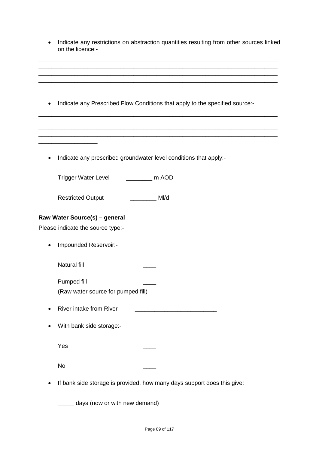| Indicate any restrictions on abstraction quantities resulting from other sources linked<br>on the licence:- |
|-------------------------------------------------------------------------------------------------------------|
|                                                                                                             |
| Indicate any Prescribed Flow Conditions that apply to the specified source:-<br>$\bullet$                   |
|                                                                                                             |
| Indicate any prescribed groundwater level conditions that apply:-                                           |
| $\frac{1}{2}$ m AOD<br>Trigger Water Level                                                                  |
| Ml/d<br><b>Restricted Output</b>                                                                            |
| Raw Water Source(s) - general                                                                               |
| Please indicate the source type:-                                                                           |
| Impounded Reservoir:-                                                                                       |
| <b>Natural fill</b>                                                                                         |
| Pumped fill                                                                                                 |
| (Raw water source for pumped fill)                                                                          |
| <b>River intake from River</b>                                                                              |
| With bank side storage:-                                                                                    |
| Yes                                                                                                         |
| No                                                                                                          |
| If bank side storage is provided, how many days support does this give:                                     |
| days (now or with new demand)                                                                               |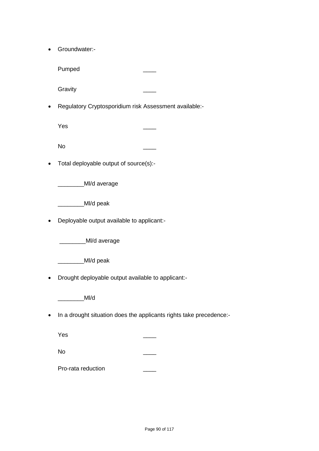• Groundwater:-

Pumped

**Gravity** 

• Regulatory Cryptosporidium risk Assessment available:-

Yes \_\_\_\_

No \_\_\_\_

• Total deployable output of source(s):-

\_\_\_\_\_\_\_\_Ml/d average

\_\_\_\_\_\_\_\_\_\_MI/d peak

• Deployable output available to applicant:-

\_\_\_\_\_\_\_\_\_\_MI/d average

\_\_\_\_\_\_\_\_\_\_MI/d peak

• Drought deployable output available to applicant:-

\_\_\_\_\_\_\_\_Ml/d

• In a drought situation does the applicants rights take precedence:-

Yes \_\_\_\_

No \_\_\_\_

Pro-rata reduction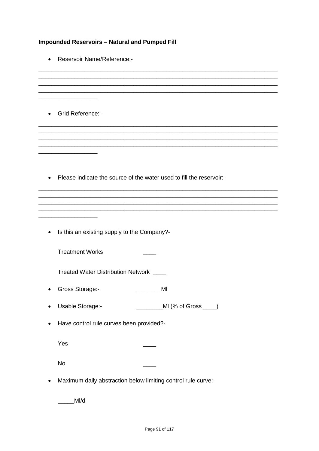## **Impounded Reservoirs - Natural and Pumped Fill**

• Reservoir Name/Reference:-

• Grid Reference:-

• Please indicate the source of the water used to fill the reservoir:-

• Is this an existing supply to the Company?-

**Treatment Works** 

Treated Water Distribution Network \_\_\_\_

- Gross Storage:- **Call Access Storage:-** MI
- Usable Storage:- Camera Control (% of Gross Camera)
- Have control rule curves been provided?-

Yes

**No** 

• Maximum daily abstraction below limiting control rule curve:-

 $M/d$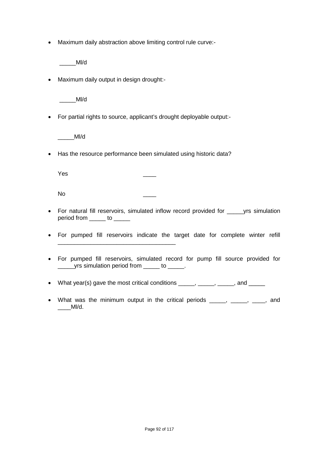• Maximum daily abstraction above limiting control rule curve:-

\_\_\_\_\_Ml/d

• Maximum daily output in design drought:-

\_\_\_\_\_Ml/d

• For partial rights to source, applicant's drought deployable output:-

\_\_\_\_\_Ml/d

• Has the resource performance been simulated using historic data?

\_\_\_\_\_\_\_\_\_\_\_\_\_\_\_\_\_\_\_\_\_\_\_\_\_\_\_\_\_\_\_\_\_\_\_\_

Yes \_\_\_\_

No \_\_\_\_

- For natural fill reservoirs, simulated inflow record provided for yrs simulation period from \_\_\_\_\_\_ to \_\_\_\_\_
- For pumped fill reservoirs indicate the target date for complete winter refill
- For pumped fill reservoirs, simulated record for pump fill source provided for yrs simulation period from \_\_\_\_\_ to \_\_\_\_\_.
- What year(s) gave the most critical conditions \_\_\_\_\_, \_\_\_\_\_, \_\_\_\_\_, and \_\_\_\_\_
- What was the minimum output in the critical periods \_\_\_\_, \_\_\_\_, \_\_\_, and \_\_\_\_Ml/d.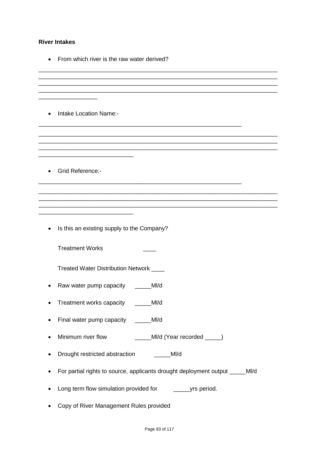#### **River Intakes**

• From which river is the raw water derived?

\_\_\_\_\_\_\_\_\_\_\_\_\_\_\_\_\_\_\_\_\_\_\_\_\_\_\_\_\_\_\_\_\_\_\_\_\_\_\_\_\_\_\_\_\_\_\_\_\_\_\_\_\_\_\_\_\_\_\_\_\_\_\_\_\_\_\_\_\_\_\_\_\_ \_\_\_\_\_\_\_\_\_\_\_\_\_\_\_\_\_\_\_\_\_\_\_\_\_\_\_\_\_\_\_\_\_\_\_\_\_\_\_\_\_\_\_\_\_\_\_\_\_\_\_\_\_\_\_\_\_\_\_\_\_\_\_\_\_\_\_\_\_\_\_\_\_ \_\_\_\_\_\_\_\_\_\_\_\_\_\_\_\_\_\_\_\_\_\_\_\_\_\_\_\_\_\_\_\_\_\_\_\_\_\_\_\_\_\_\_\_\_\_\_\_\_\_\_\_\_\_\_\_\_\_\_\_\_\_\_\_\_\_\_\_\_\_\_\_\_ \_\_\_\_\_\_\_\_\_\_\_\_\_\_\_\_\_\_\_\_\_\_\_\_\_\_\_\_\_\_\_\_\_\_\_\_\_\_\_\_\_\_\_\_\_\_\_\_\_\_\_\_\_\_\_\_\_\_\_\_\_\_\_\_\_\_\_\_\_\_\_\_\_

\_\_\_\_\_\_\_\_\_\_\_\_\_\_\_\_\_\_\_\_\_\_\_\_\_\_\_\_\_\_\_\_\_\_\_\_\_\_\_\_\_\_\_\_\_\_\_\_\_\_\_\_\_\_\_\_\_\_\_\_\_\_\_\_\_\_\_\_\_\_\_\_\_ \_\_\_\_\_\_\_\_\_\_\_\_\_\_\_\_\_\_\_\_\_\_\_\_\_\_\_\_\_\_\_\_\_\_\_\_\_\_\_\_\_\_\_\_\_\_\_\_\_\_\_\_\_\_\_\_\_\_\_\_\_\_\_\_\_\_\_\_\_\_\_\_\_ \_\_\_\_\_\_\_\_\_\_\_\_\_\_\_\_\_\_\_\_\_\_\_\_\_\_\_\_\_\_\_\_\_\_\_\_\_\_\_\_\_\_\_\_\_\_\_\_\_\_\_\_\_\_\_\_\_\_\_\_\_\_\_\_\_\_\_\_\_\_\_\_\_

\_\_\_\_\_\_\_\_\_\_\_\_\_\_\_\_\_\_\_\_\_\_\_\_\_\_\_\_\_\_\_\_\_\_\_\_\_\_\_\_\_\_\_\_\_\_\_\_\_\_\_\_\_\_\_\_\_\_\_\_\_\_\_\_\_\_\_\_\_\_\_\_\_ \_\_\_\_\_\_\_\_\_\_\_\_\_\_\_\_\_\_\_\_\_\_\_\_\_\_\_\_\_\_\_\_\_\_\_\_\_\_\_\_\_\_\_\_\_\_\_\_\_\_\_\_\_\_\_\_\_\_\_\_\_\_\_\_\_\_\_\_\_\_\_\_\_ \_\_\_\_\_\_\_\_\_\_\_\_\_\_\_\_\_\_\_\_\_\_\_\_\_\_\_\_\_\_\_\_\_\_\_\_\_\_\_\_\_\_\_\_\_\_\_\_\_\_\_\_\_\_\_\_\_\_\_\_\_\_\_\_\_\_\_\_\_\_\_\_\_

\_\_\_\_\_\_\_\_\_\_\_\_\_\_\_\_\_\_\_\_\_\_\_\_\_\_\_\_\_\_\_\_\_\_\_\_\_\_\_\_\_\_\_\_\_\_\_\_\_\_\_\_\_\_\_\_\_\_\_\_\_\_

\_\_\_\_\_\_\_\_\_\_\_\_\_\_\_\_\_\_\_\_\_\_\_\_\_\_\_\_\_\_\_\_\_\_\_\_\_\_\_\_\_\_\_\_\_\_\_\_\_\_\_\_\_\_\_\_\_\_\_\_\_\_

• Intake Location Name:-

\_\_\_\_\_\_\_\_\_\_\_\_\_\_\_\_\_\_\_\_\_\_\_\_\_\_\_\_\_

\_\_\_\_\_\_\_\_\_\_\_\_\_\_\_\_\_\_\_\_\_\_\_\_\_\_\_\_\_

 $\overline{\phantom{a}}$  , where  $\overline{\phantom{a}}$  , where  $\overline{\phantom{a}}$ 

• Grid Reference:-

• Is this an existing supply to the Company?

Treatment Works \_\_\_\_\_\_\_\_

Treated Water Distribution Network \_\_\_\_

- Raw water pump capacity \_\_\_\_\_MI/d
- Treatment works capacity \_\_\_\_\_MI/d
- Final water pump capacity \_\_\_\_\_MI/d
- Minimum river flow \_\_\_\_\_Ml/d (Year recorded \_\_\_\_\_)
- Drought restricted abstraction \_\_\_\_\_\_MI/d
- For partial rights to source, applicants drought deployment output \_\_\_\_\_Ml/d
- Long term flow simulation provided for \_\_\_\_\_\_\_\_\_\_yrs period.
- Copy of River Management Rules provided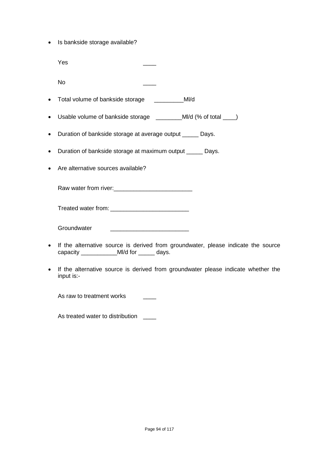• Is bankside storage available?

|           | Yes                                                           |
|-----------|---------------------------------------------------------------|
|           | <b>No</b>                                                     |
|           | MI/d<br>• Total volume of bankside storage                    |
|           |                                                               |
| $\bullet$ | Duration of bankside storage at average output _____<br>Days. |
| $\bullet$ | Duration of bankside storage at maximum output ______ Days.   |
|           | • Are alternative sources available?                          |

Raw water from river:\_\_\_\_\_\_\_\_\_\_\_\_\_\_\_\_\_\_\_\_\_\_\_\_

Treated water from: \_\_\_\_\_\_\_\_\_\_\_\_\_\_\_\_\_\_\_\_\_\_\_\_

Groundwater

- If the alternative source is derived from groundwater, please indicate the source capacity \_\_\_\_\_\_\_\_\_\_\_\_\_MI/d for \_\_\_\_\_\_ days.
- If the alternative source is derived from groundwater please indicate whether the input is:-

As raw to treatment works

As treated water to distribution \_\_\_\_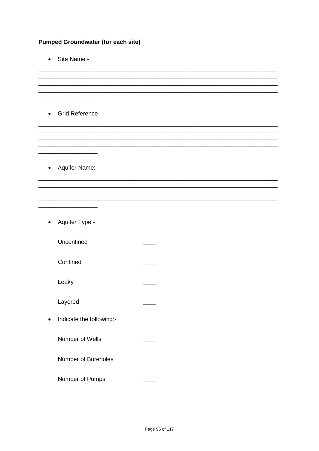## **Pumped Groundwater (for each site)**

• Site Name:-

• Grid Reference

• Aquifer Name:-

• Aquifer Type:-

Unconfined

Confined

Leaky

Layered

• Indicate the following:-

Number of Wells

Number of Boreholes

Number of Pumps

 $\frac{1}{1-\frac{1}{1-\frac{1}{1-\frac{1}{1-\frac{1}{1-\frac{1}{1-\frac{1}{1-\frac{1}{1-\frac{1}{1-\frac{1}{1-\frac{1}{1-\frac{1}{1-\frac{1}{1-\frac{1}{1-\frac{1}{1-\frac{1}{1-\frac{1}{1-\frac{1}{1-\frac{1}{1-\frac{1}{1-\frac{1}{1-\frac{1}{1-\frac{1}{1-\frac{1}{1-\frac{1}{1-\frac{1}{1-\frac{1}{1-\frac{1}{1-\frac{1}{1-\frac{1}{1-\frac{1}{1-\frac{1}{1-\frac{1}{1-\frac{1}{1-\frac{1}{1-\frac{1}{1-\frac{1$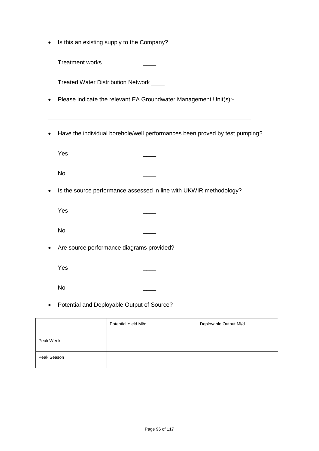• Is this an existing supply to the Company?

Treatment works \_\_\_\_

Treated Water Distribution Network \_\_\_\_

- Please indicate the relevant EA Groundwater Management Unit(s):-
- Have the individual borehole/well performances been proved by test pumping?

\_\_\_\_\_\_\_\_\_\_\_\_\_\_\_\_\_\_\_\_\_\_\_\_\_\_\_\_\_\_\_\_\_\_\_\_\_\_\_\_\_\_\_\_\_\_\_\_\_\_\_\_\_\_\_\_\_\_\_\_\_\_

Yes \_\_\_\_

No \_\_\_\_

• Is the source performance assessed in line with UKWIR methodology?

Yes \_\_\_\_

No \_\_\_\_

• Are source performance diagrams provided?

Yes \_\_\_\_

No \_\_\_\_

• Potential and Deployable Output of Source?

|             | Potential Yield MI/d | Deployable Output MI/d |
|-------------|----------------------|------------------------|
| Peak Week   |                      |                        |
| Peak Season |                      |                        |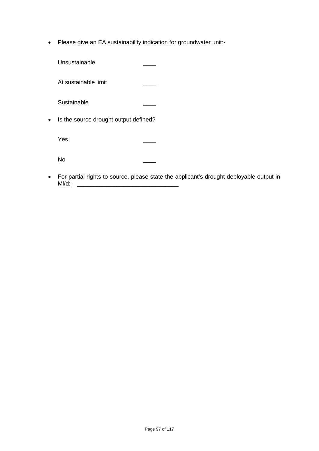• Please give an EA sustainability indication for groundwater unit:-

| Unsustainable                         |  |
|---------------------------------------|--|
| At sustainable limit                  |  |
| Sustainable                           |  |
| Is the source drought output defined? |  |
| Yes                                   |  |
| N٥                                    |  |

• For partial rights to source, please state the applicant's drought deployable output in Ml/d:- \_\_\_\_\_\_\_\_\_\_\_\_\_\_\_\_\_\_\_\_\_\_\_\_\_\_\_\_\_\_\_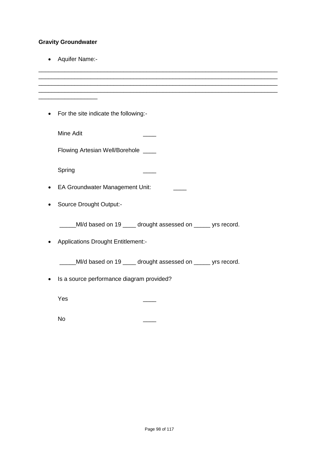# **Gravity Groundwater**

• Aquifer Name:-

| For the site indicate the following:-<br>٠                      |
|-----------------------------------------------------------------|
| <b>Mine Adit</b>                                                |
| Flowing Artesian Well/Borehole ___                              |
| Spring                                                          |
| <b>EA Groundwater Management Unit:</b>                          |
| Source Drought Output:-                                         |
| ____MI/d based on 19 ____ drought assessed on _____ yrs record. |
| <b>Applications Drought Entitlement:-</b>                       |
| MI/d based on 19 ____ drought assessed on _____ yrs record.     |
| Is a source performance diagram provided?                       |
| Yes                                                             |

No \_\_\_\_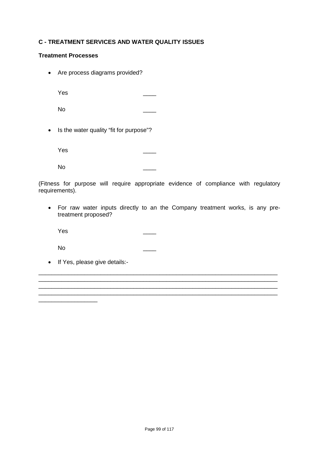## **C - TREATMENT SERVICES AND WATER QUALITY ISSUES**

### **Treatment Processes**

• Are process diagrams provided?

Yes \_\_\_\_

No \_\_\_\_

• Is the water quality "fit for purpose"?

Yes \_\_\_\_

No \_\_\_\_

(Fitness for purpose will require appropriate evidence of compliance with regulatory requirements).

• For raw water inputs directly to an the Company treatment works, is any pretreatment proposed?

\_\_\_\_\_\_\_\_\_\_\_\_\_\_\_\_\_\_\_\_\_\_\_\_\_\_\_\_\_\_\_\_\_\_\_\_\_\_\_\_\_\_\_\_\_\_\_\_\_\_\_\_\_\_\_\_\_\_\_\_\_\_\_\_\_\_\_\_\_\_\_\_\_ \_\_\_\_\_\_\_\_\_\_\_\_\_\_\_\_\_\_\_\_\_\_\_\_\_\_\_\_\_\_\_\_\_\_\_\_\_\_\_\_\_\_\_\_\_\_\_\_\_\_\_\_\_\_\_\_\_\_\_\_\_\_\_\_\_\_\_\_\_\_\_\_\_ \_\_\_\_\_\_\_\_\_\_\_\_\_\_\_\_\_\_\_\_\_\_\_\_\_\_\_\_\_\_\_\_\_\_\_\_\_\_\_\_\_\_\_\_\_\_\_\_\_\_\_\_\_\_\_\_\_\_\_\_\_\_\_\_\_\_\_\_\_\_\_\_\_

Yes \_\_\_\_

No \_\_\_\_

\_\_\_\_\_\_\_\_\_\_\_\_\_\_\_\_\_\_

• If Yes, please give details:-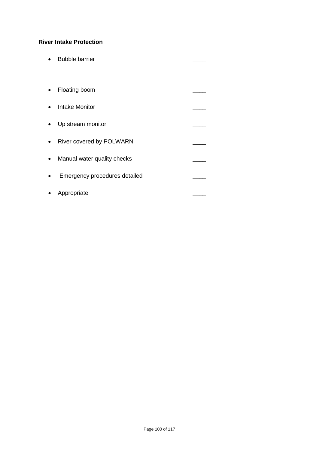## **River Intake Protection**

• Bubble barrier **and the set of the set of the set of the set of the set of the set of the set of the set of the set of the set of the set of the set of the set of the set of the set of the set of the set of the set of th** • Floating boom • Intake Monitor • Up stream monitor • River covered by POLWARN • Manual water quality checks \_\_\_\_ • Emergency procedures detailed \_\_\_\_ • Appropriate \_\_\_\_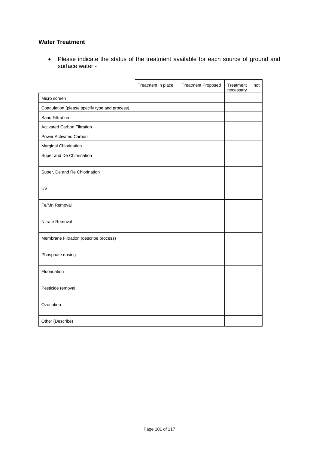## **Water Treatment**

• Please indicate the status of the treatment available for each source of ground and surface water:-

|                                               | Treatment in place | <b>Treatment Proposed</b> | Treatment<br>necessary | not |
|-----------------------------------------------|--------------------|---------------------------|------------------------|-----|
| Micro screen                                  |                    |                           |                        |     |
| Coagulation (please specify type and process) |                    |                           |                        |     |
| Sand Filtration                               |                    |                           |                        |     |
| <b>Activated Carbon Filtration</b>            |                    |                           |                        |     |
| Power Activated Carbon                        |                    |                           |                        |     |
| Marginal Chlorination                         |                    |                           |                        |     |
| Super and De Chlorination                     |                    |                           |                        |     |
| Super, De and Re Chlorination                 |                    |                           |                        |     |
| UV                                            |                    |                           |                        |     |
| Fe/Mn Removal                                 |                    |                           |                        |     |
| Nitrate Removal                               |                    |                           |                        |     |
| Membrane Filtration (describe process)        |                    |                           |                        |     |
| Phosphate dosing                              |                    |                           |                        |     |
| Fluoridation                                  |                    |                           |                        |     |
| Pesticide removal                             |                    |                           |                        |     |
| Ozonation                                     |                    |                           |                        |     |
| Other (Describe)                              |                    |                           |                        |     |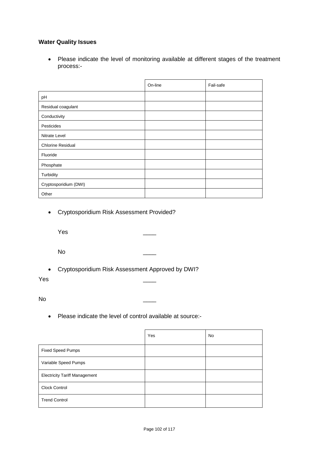## **Water Quality Issues**

• Please indicate the level of monitoring available at different stages of the treatment process:-

|                          | On-line | Fail-safe |
|--------------------------|---------|-----------|
| pH                       |         |           |
| Residual coagulant       |         |           |
| Conductivity             |         |           |
| Pesticides               |         |           |
| Nitrate Level            |         |           |
| <b>Chlorine Residual</b> |         |           |
| Fluoride                 |         |           |
| Phosphate                |         |           |
| Turbidity                |         |           |
| Cryptosporidium (DWI)    |         |           |
| Other                    |         |           |

• Cryptosporidium Risk Assessment Provided?

Yes \_\_\_\_

No \_\_\_\_

• Cryptosporidium Risk Assessment Approved by DWI?

Yes \_\_\_\_

No \_\_\_\_

• Please indicate the level of control available at source:-

|                                      | Yes | No |
|--------------------------------------|-----|----|
| <b>Fixed Speed Pumps</b>             |     |    |
| Variable Speed Pumps                 |     |    |
| <b>Electricity Tariff Management</b> |     |    |
| <b>Clock Control</b>                 |     |    |
| <b>Trend Control</b>                 |     |    |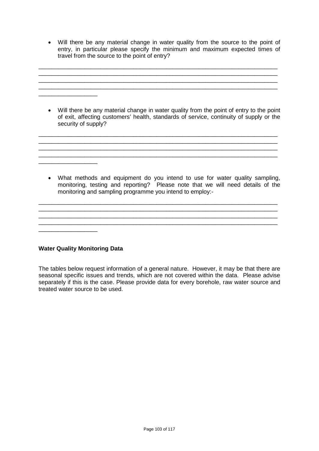• Will there be any material change in water quality from the source to the point of entry, in particular please specify the minimum and maximum expected times of travel from the source to the point of entry?

\_\_\_\_\_\_\_\_\_\_\_\_\_\_\_\_\_\_\_\_\_\_\_\_\_\_\_\_\_\_\_\_\_\_\_\_\_\_\_\_\_\_\_\_\_\_\_\_\_\_\_\_\_\_\_\_\_\_\_\_\_\_\_\_\_\_\_\_\_\_\_\_\_  $\mathcal{L}_\mathcal{L} = \mathcal{L}_\mathcal{L} = \mathcal{L}_\mathcal{L} = \mathcal{L}_\mathcal{L} = \mathcal{L}_\mathcal{L} = \mathcal{L}_\mathcal{L} = \mathcal{L}_\mathcal{L} = \mathcal{L}_\mathcal{L} = \mathcal{L}_\mathcal{L} = \mathcal{L}_\mathcal{L} = \mathcal{L}_\mathcal{L} = \mathcal{L}_\mathcal{L} = \mathcal{L}_\mathcal{L} = \mathcal{L}_\mathcal{L} = \mathcal{L}_\mathcal{L} = \mathcal{L}_\mathcal{L} = \mathcal{L}_\mathcal{L}$  $\mathcal{L}_\text{max}$  , and the contract of the contract of the contract of the contract of the contract of the contract of

• Will there be any material change in water quality from the point of entry to the point of exit, affecting customers' health, standards of service, continuity of supply or the security of supply?

\_\_\_\_\_\_\_\_\_\_\_\_\_\_\_\_\_\_\_\_\_\_\_\_\_\_\_\_\_\_\_\_\_\_\_\_\_\_\_\_\_\_\_\_\_\_\_\_\_\_\_\_\_\_\_\_\_\_\_\_\_\_\_\_\_\_\_\_\_\_\_\_\_

\_\_\_\_\_\_\_\_\_\_\_\_\_\_\_\_\_\_\_\_\_\_\_\_\_\_\_\_\_\_\_\_\_\_\_\_\_\_\_\_\_\_\_\_\_\_\_\_\_\_\_\_\_\_\_\_\_\_\_\_\_\_\_\_\_\_\_\_\_\_\_\_\_ \_\_\_\_\_\_\_\_\_\_\_\_\_\_\_\_\_\_\_\_\_\_\_\_\_\_\_\_\_\_\_\_\_\_\_\_\_\_\_\_\_\_\_\_\_\_\_\_\_\_\_\_\_\_\_\_\_\_\_\_\_\_\_\_\_\_\_\_\_\_\_\_\_

• What methods and equipment do you intend to use for water quality sampling, monitoring, testing and reporting? Please note that we will need details of the monitoring and sampling programme you intend to employ:-

\_\_\_\_\_\_\_\_\_\_\_\_\_\_\_\_\_\_\_\_\_\_\_\_\_\_\_\_\_\_\_\_\_\_\_\_\_\_\_\_\_\_\_\_\_\_\_\_\_\_\_\_\_\_\_\_\_\_\_\_\_\_\_\_\_\_\_\_\_\_\_\_\_ \_\_\_\_\_\_\_\_\_\_\_\_\_\_\_\_\_\_\_\_\_\_\_\_\_\_\_\_\_\_\_\_\_\_\_\_\_\_\_\_\_\_\_\_\_\_\_\_\_\_\_\_\_\_\_\_\_\_\_\_\_\_\_\_\_\_\_\_\_\_\_\_\_  $\_$  ,  $\_$  ,  $\_$  ,  $\_$  ,  $\_$  ,  $\_$  ,  $\_$  ,  $\_$  ,  $\_$  ,  $\_$  ,  $\_$  ,  $\_$  ,  $\_$  ,  $\_$  ,  $\_$  ,  $\_$  ,  $\_$  ,  $\_$  ,  $\_$ \_\_\_\_\_\_\_\_\_\_\_\_\_\_\_\_\_\_\_\_\_\_\_\_\_\_\_\_\_\_\_\_\_\_\_\_\_\_\_\_\_\_\_\_\_\_\_\_\_\_\_\_\_\_\_\_\_\_\_\_\_\_\_\_\_\_\_\_\_\_\_\_\_

**Water Quality Monitoring Data**

 $\frac{1}{2}$  ,  $\frac{1}{2}$  ,  $\frac{1}{2}$  ,  $\frac{1}{2}$  ,  $\frac{1}{2}$  ,  $\frac{1}{2}$  ,  $\frac{1}{2}$  ,  $\frac{1}{2}$  ,  $\frac{1}{2}$  ,  $\frac{1}{2}$  ,  $\frac{1}{2}$  ,  $\frac{1}{2}$  ,  $\frac{1}{2}$  ,  $\frac{1}{2}$  ,  $\frac{1}{2}$  ,  $\frac{1}{2}$  ,  $\frac{1}{2}$  ,  $\frac{1}{2}$  ,  $\frac{1$ 

\_\_\_\_\_\_\_\_\_\_\_\_\_\_\_\_\_\_

\_\_\_\_\_\_\_\_\_\_\_\_\_\_\_\_\_\_

The tables below request information of a general nature. However, it may be that there are seasonal specific issues and trends, which are not covered within the data. Please advise separately if this is the case. Please provide data for every borehole, raw water source and treated water source to be used.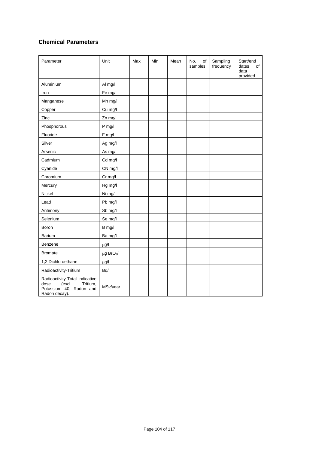## **Chemical Parameters**

| Parameter                                                                                                | Unit                        | Max | Min | Mean | No.<br>of<br>samples | Sampling<br>frequency | Start/end<br>dates<br>of<br>data<br>provided |
|----------------------------------------------------------------------------------------------------------|-----------------------------|-----|-----|------|----------------------|-----------------------|----------------------------------------------|
| Aluminium                                                                                                | Al mg/l                     |     |     |      |                      |                       |                                              |
| Iron                                                                                                     | Fe mg/l                     |     |     |      |                      |                       |                                              |
| Manganese                                                                                                | Mn mg/l                     |     |     |      |                      |                       |                                              |
| Copper                                                                                                   | Cu mg/l                     |     |     |      |                      |                       |                                              |
| Zinc                                                                                                     | Zn mg/l                     |     |     |      |                      |                       |                                              |
| Phosphorous                                                                                              | P mg/l                      |     |     |      |                      |                       |                                              |
| Fluoride                                                                                                 | F mg/l                      |     |     |      |                      |                       |                                              |
| Silver                                                                                                   | Ag mg/l                     |     |     |      |                      |                       |                                              |
| Arsenic                                                                                                  | As mg/l                     |     |     |      |                      |                       |                                              |
| Cadmium                                                                                                  | Cd mg/l                     |     |     |      |                      |                       |                                              |
| Cyanide                                                                                                  | CN mg/l                     |     |     |      |                      |                       |                                              |
| Chromium                                                                                                 | Cr mg/l                     |     |     |      |                      |                       |                                              |
| Mercury                                                                                                  | Hg mg/l                     |     |     |      |                      |                       |                                              |
| Nickel                                                                                                   | Ni mg/l                     |     |     |      |                      |                       |                                              |
| Lead                                                                                                     | Pb mg/l                     |     |     |      |                      |                       |                                              |
| Antimony                                                                                                 | Sb mg/l                     |     |     |      |                      |                       |                                              |
| Selenium                                                                                                 | Se mg/l                     |     |     |      |                      |                       |                                              |
| Boron                                                                                                    | B mg/l                      |     |     |      |                      |                       |                                              |
| Barium                                                                                                   | Ba mg/l                     |     |     |      |                      |                       |                                              |
| Benzene                                                                                                  | $\mu$ g/l                   |     |     |      |                      |                       |                                              |
| <b>Bromate</b>                                                                                           | $\mu$ g BrO <sub>3</sub> /l |     |     |      |                      |                       |                                              |
| 1,2 Dichloroethane                                                                                       | $\mu$ g/l                   |     |     |      |                      |                       |                                              |
| Radioactivity-Tritium                                                                                    | Bq/l                        |     |     |      |                      |                       |                                              |
| Radioactivity-Total indicative<br>(excl.<br>Tritium,<br>dose<br>Potassium 40, Radon and<br>Radon decay). | MSv/year                    |     |     |      |                      |                       |                                              |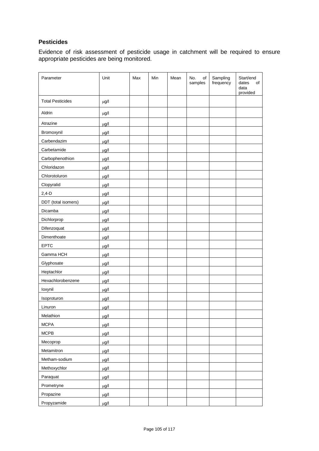## **Pesticides**

Evidence of risk assessment of pesticide usage in catchment will be required to ensure appropriate pesticides are being monitored.

| Parameter               | Unit      | Max | Min | Mean | No.<br>of<br>samples | Sampling<br>frequency | Start/end<br>dates<br>of<br>data<br>provided |
|-------------------------|-----------|-----|-----|------|----------------------|-----------------------|----------------------------------------------|
| <b>Total Pesticides</b> | $\mu$ g/l |     |     |      |                      |                       |                                              |
| Aldrin                  | $\mu$ g/l |     |     |      |                      |                       |                                              |
| Atrazine                | $\mu$ g/l |     |     |      |                      |                       |                                              |
| Bromoxynil              | $\mu$ g/l |     |     |      |                      |                       |                                              |
| Carbendazim             | $\mu$ g/l |     |     |      |                      |                       |                                              |
| Carbetamide             | $\mu$ g/l |     |     |      |                      |                       |                                              |
| Carbophenothion         | $\mu$ g/l |     |     |      |                      |                       |                                              |
| Chloridazon             | $\mu$ g/l |     |     |      |                      |                       |                                              |
| Chlorotoluron           | $\mu$ g/l |     |     |      |                      |                       |                                              |
| Clopyralid              | $\mu$ g/l |     |     |      |                      |                       |                                              |
| $2,4-D$                 | $\mu$ g/l |     |     |      |                      |                       |                                              |
| DDT (total isomers)     | $\mu$ g/l |     |     |      |                      |                       |                                              |
| Dicamba                 | $\mu$ g/l |     |     |      |                      |                       |                                              |
| Dichlorprop             | $\mu$ g/l |     |     |      |                      |                       |                                              |
| Difenzoquat             | $\mu$ g/l |     |     |      |                      |                       |                                              |
| Dimenthoate             | $\mu$ g/l |     |     |      |                      |                       |                                              |
| <b>EPTC</b>             | $\mu$ g/l |     |     |      |                      |                       |                                              |
| Gamma HCH               | $\mu$ g/l |     |     |      |                      |                       |                                              |
| Glyphosate              | $\mu$ g/l |     |     |      |                      |                       |                                              |
| Heptachlor              | $\mu$ g/l |     |     |      |                      |                       |                                              |
| Hexachlorobenzene       | $\mu$ g/l |     |     |      |                      |                       |                                              |
| loxynil                 | $\mu$ g/l |     |     |      |                      |                       |                                              |
| Isoproturon             | $\mu$ g/l |     |     |      |                      |                       |                                              |
| Linuron                 | $\mu$ g/l |     |     |      |                      |                       |                                              |
| Melathion               | $\mu$ g/l |     |     |      |                      |                       |                                              |
| <b>MCPA</b>             | $\mu$ g/l |     |     |      |                      |                       |                                              |
| MCPB                    | $\mu$ g/l |     |     |      |                      |                       |                                              |
| Mecoprop                | $\mu$ g/l |     |     |      |                      |                       |                                              |
| Metamitron              | $\mu$ g/l |     |     |      |                      |                       |                                              |
| Metham-sodium           | $\mu$ g/l |     |     |      |                      |                       |                                              |
| Methoxychlor            | $\mu$ g/l |     |     |      |                      |                       |                                              |
| Paraquat                | $\mu$ g/l |     |     |      |                      |                       |                                              |
| Prometryne              | $\mu$ g/l |     |     |      |                      |                       |                                              |
| Propazine               | $\mu$ g/l |     |     |      |                      |                       |                                              |
| Propyzamide             | $\mu$ g/l |     |     |      |                      |                       |                                              |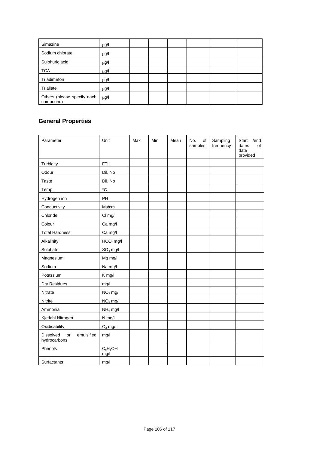| Simazine                                 | $\mu$ g/l |  |  |  |
|------------------------------------------|-----------|--|--|--|
| Sodium chlorate                          | $\mu$ g/l |  |  |  |
| Sulphuric acid                           | $\mu$ g/l |  |  |  |
| <b>TCA</b>                               | $\mu$ g/l |  |  |  |
| Triadimefon                              | $\mu$ g/l |  |  |  |
| Triallate                                | $\mu$ g/l |  |  |  |
| Others (please specify each<br>compound) | $\mu$ g/l |  |  |  |

# **General Properties**

| Parameter                                            | Unit                 | Max | Min | Mean | No.<br>of<br>samples | Sampling<br>frequency | Start<br>/end<br>dates<br>of<br>date<br>provided |
|------------------------------------------------------|----------------------|-----|-----|------|----------------------|-----------------------|--------------------------------------------------|
| Turbidity                                            | <b>FTU</b>           |     |     |      |                      |                       |                                                  |
| Odour                                                | Dil. No              |     |     |      |                      |                       |                                                  |
| Taste                                                | Dil. No              |     |     |      |                      |                       |                                                  |
| Temp.                                                | $^\circ \text{C}$    |     |     |      |                      |                       |                                                  |
| Hydrogen ion                                         | PH                   |     |     |      |                      |                       |                                                  |
| Conductivity                                         | Ms/cm                |     |     |      |                      |                       |                                                  |
| Chloride                                             | CI mg/l              |     |     |      |                      |                       |                                                  |
| Colour                                               | Ca mg/l              |     |     |      |                      |                       |                                                  |
| <b>Total Hardness</b>                                | Ca mg/l              |     |     |      |                      |                       |                                                  |
| Alkalinity                                           | $HCO3$ mg/l          |     |     |      |                      |                       |                                                  |
| Sulphate                                             | $SO4$ mg/l           |     |     |      |                      |                       |                                                  |
| Magnesium                                            | Mg mg/l              |     |     |      |                      |                       |                                                  |
| Sodium                                               | Na mg/l              |     |     |      |                      |                       |                                                  |
| Potassium                                            | K mg/l               |     |     |      |                      |                       |                                                  |
| Dry Residues                                         | mg/l                 |     |     |      |                      |                       |                                                  |
| Nitrate                                              | $NO3$ mg/l           |     |     |      |                      |                       |                                                  |
| Nitrite                                              | $NO2$ mg/l           |     |     |      |                      |                       |                                                  |
| Ammonia                                              | NH <sub>4</sub> mg/l |     |     |      |                      |                       |                                                  |
| Kjedahl Nitrogen                                     | N mg/l               |     |     |      |                      |                       |                                                  |
| Oxidisability                                        | $O2$ mg/l            |     |     |      |                      |                       |                                                  |
| <b>Dissolved</b><br>emulsified<br>or<br>hydrocarbons | mg/l                 |     |     |      |                      |                       |                                                  |
| Phenols                                              | $C_6H_5OH$<br>mg/l   |     |     |      |                      |                       |                                                  |
| Surfactants                                          | mg/l                 |     |     |      |                      |                       |                                                  |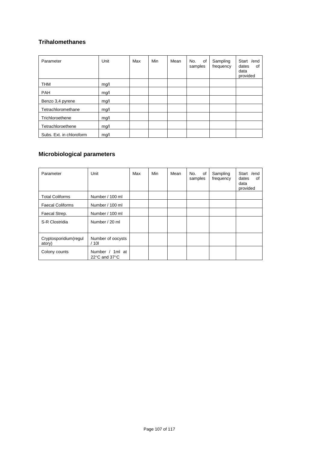# **Trihalomethanes**

| Parameter                | Unit | Max | Min | Mean | No.<br>of<br>samples | Sampling<br>frequency | /end<br>Start<br>dates<br>of<br>data<br>provided |
|--------------------------|------|-----|-----|------|----------------------|-----------------------|--------------------------------------------------|
| <b>THM</b>               | mg/l |     |     |      |                      |                       |                                                  |
| <b>PAH</b>               | mg/l |     |     |      |                      |                       |                                                  |
| Benzo 3,4 pyrene         | mg/l |     |     |      |                      |                       |                                                  |
| Tetrachloromethane       | mg/l |     |     |      |                      |                       |                                                  |
| Trichloroethene          | mg/l |     |     |      |                      |                       |                                                  |
| Tetrachloroethene        | mg/l |     |     |      |                      |                       |                                                  |
| Subs. Ext. in chloroform | mg/l |     |     |      |                      |                       |                                                  |

# **Microbiological parameters**

| Parameter                       | Unit                                                 | Max | Min | Mean | No.<br>0f<br>samples | Sampling<br>frequency | Start / end<br>dates<br>οf<br>data<br>provided |
|---------------------------------|------------------------------------------------------|-----|-----|------|----------------------|-----------------------|------------------------------------------------|
| <b>Total Coliforms</b>          | Number / 100 ml                                      |     |     |      |                      |                       |                                                |
| <b>Faecal Coliforms</b>         | Number / 100 ml                                      |     |     |      |                      |                       |                                                |
| Faecal Strep.                   | Number / 100 ml                                      |     |     |      |                      |                       |                                                |
| S-R Clostridia                  | Number / 20 ml                                       |     |     |      |                      |                       |                                                |
| Cryptosporidium(regul<br>atory) | Number of oocysts<br>/101                            |     |     |      |                      |                       |                                                |
| Colony counts                   | Number / 1ml at<br>22 $\degree$ C and 37 $\degree$ C |     |     |      |                      |                       |                                                |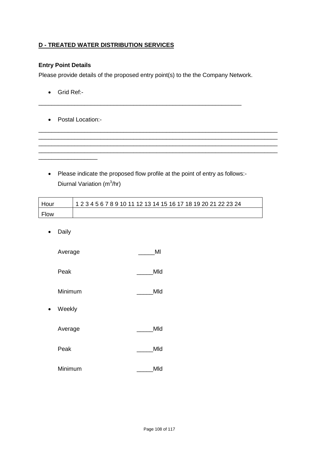## **D - TREATED WATER DISTRIBUTION SERVICES**

## **Entry Point Details**

Please provide details of the proposed entry point(s) to the the Company Network.

\_\_\_\_\_\_\_\_\_\_\_\_\_\_\_\_\_\_\_\_\_\_\_\_\_\_\_\_\_\_\_\_\_\_\_\_\_\_\_\_\_\_\_\_\_\_\_\_\_\_\_\_\_\_\_\_\_\_\_\_\_\_

- Grid Ref:-
- Postal Location:-

\_\_\_\_\_\_\_\_\_\_\_\_\_\_\_\_\_\_

• Please indicate the proposed flow profile at the point of entry as follows:- Diurnal Variation (m<sup>3</sup>/hr)

\_\_\_\_\_\_\_\_\_\_\_\_\_\_\_\_\_\_\_\_\_\_\_\_\_\_\_\_\_\_\_\_\_\_\_\_\_\_\_\_\_\_\_\_\_\_\_\_\_\_\_\_\_\_\_\_\_\_\_\_\_\_\_\_\_\_\_\_\_\_\_\_\_ \_\_\_\_\_\_\_\_\_\_\_\_\_\_\_\_\_\_\_\_\_\_\_\_\_\_\_\_\_\_\_\_\_\_\_\_\_\_\_\_\_\_\_\_\_\_\_\_\_\_\_\_\_\_\_\_\_\_\_\_\_\_\_\_\_\_\_\_\_\_\_\_\_ \_\_\_\_\_\_\_\_\_\_\_\_\_\_\_\_\_\_\_\_\_\_\_\_\_\_\_\_\_\_\_\_\_\_\_\_\_\_\_\_\_\_\_\_\_\_\_\_\_\_\_\_\_\_\_\_\_\_\_\_\_\_\_\_\_\_\_\_\_\_\_\_\_ \_\_\_\_\_\_\_\_\_\_\_\_\_\_\_\_\_\_\_\_\_\_\_\_\_\_\_\_\_\_\_\_\_\_\_\_\_\_\_\_\_\_\_\_\_\_\_\_\_\_\_\_\_\_\_\_\_\_\_\_\_\_\_\_\_\_\_\_\_\_\_\_\_

| Hour | 1 2 3 4 5 6 7 8 9 10 11 12 13 14 15 16 17 18 19 20 21 22 23 24 |
|------|----------------------------------------------------------------|
| Flow |                                                                |

• Daily

Average MI

- Peak Mid
- Minimum Mid
- Weekly

Average \_\_\_\_\_\_\_\_\_\_\_\_\_\_\_\_\_\_\_\_\_\_\_\_\_\_Mld

- Peak Mid
- Minimum \_\_\_\_\_Mld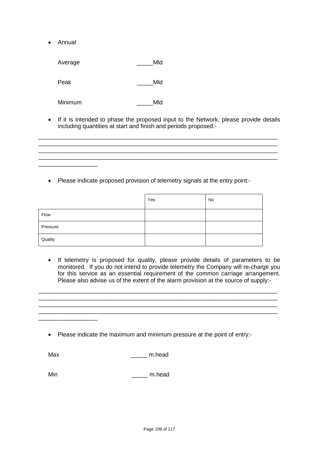• Annual

\_\_\_\_\_\_\_\_\_\_\_\_\_\_\_\_\_\_

Average Mid

Peak Mid

Minimum Mid

• If it is intended to phase the proposed input to the Network, please provide details including quantities at start and finish and periods proposed:-

 $\mathcal{L}_\mathcal{L} = \{ \mathcal{L}_\mathcal{L} = \{ \mathcal{L}_\mathcal{L} = \{ \mathcal{L}_\mathcal{L} = \{ \mathcal{L}_\mathcal{L} = \{ \mathcal{L}_\mathcal{L} = \{ \mathcal{L}_\mathcal{L} = \{ \mathcal{L}_\mathcal{L} = \{ \mathcal{L}_\mathcal{L} = \{ \mathcal{L}_\mathcal{L} = \{ \mathcal{L}_\mathcal{L} = \{ \mathcal{L}_\mathcal{L} = \{ \mathcal{L}_\mathcal{L} = \{ \mathcal{L}_\mathcal{L} = \{ \mathcal{L}_\mathcal{$ 

\_\_\_\_\_\_\_\_\_\_\_\_\_\_\_\_\_\_\_\_\_\_\_\_\_\_\_\_\_\_\_\_\_\_\_\_\_\_\_\_\_\_\_\_\_\_\_\_\_\_\_\_\_\_\_\_\_\_\_\_\_\_\_\_\_\_\_\_\_\_\_\_\_

• Please indicate proposed provision of telemetry signals at the entry point:-

|          | Yes | No |
|----------|-----|----|
| Flow     |     |    |
| Pressure |     |    |
| Quality  |     |    |

• If telemetry is proposed for quality, please provide details of parameters to be monitored. If you do not intend to provide telemetry the Company will re-charge you for this service as an essential requirement of the common carriage arrangement. Please also advise us of the extent of the alarm provision at the source of supply:-

\_\_\_\_\_\_\_\_\_\_\_\_\_\_\_\_\_\_\_\_\_\_\_\_\_\_\_\_\_\_\_\_\_\_\_\_\_\_\_\_\_\_\_\_\_\_\_\_\_\_\_\_\_\_\_\_\_\_\_\_\_\_\_\_\_\_\_\_\_\_\_\_\_ \_\_\_\_\_\_\_\_\_\_\_\_\_\_\_\_\_\_\_\_\_\_\_\_\_\_\_\_\_\_\_\_\_\_\_\_\_\_\_\_\_\_\_\_\_\_\_\_\_\_\_\_\_\_\_\_\_\_\_\_\_\_\_\_\_\_\_\_\_\_\_\_\_ \_\_\_\_\_\_\_\_\_\_\_\_\_\_\_\_\_\_\_\_\_\_\_\_\_\_\_\_\_\_\_\_\_\_\_\_\_\_\_\_\_\_\_\_\_\_\_\_\_\_\_\_\_\_\_\_\_\_\_\_\_\_\_\_\_\_\_\_\_\_\_\_\_ \_\_\_\_\_\_\_\_\_\_\_\_\_\_\_\_\_\_\_\_\_\_\_\_\_\_\_\_\_\_\_\_\_\_\_\_\_\_\_\_\_\_\_\_\_\_\_\_\_\_\_\_\_\_\_\_\_\_\_\_\_\_\_\_\_\_\_\_\_\_\_\_\_

• Please indicate the maximum and minimum pressure at the point of entry:-

\_\_\_\_\_\_\_\_\_\_\_\_\_\_\_\_\_\_

Max m.head

Min \_\_\_\_ m.head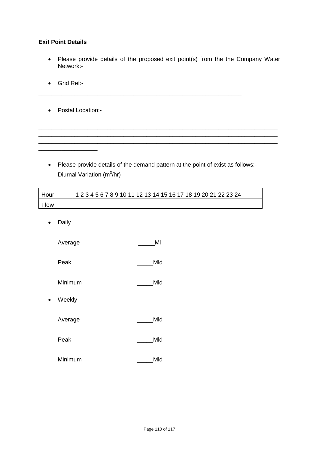### **Exit Point Details**

- Please provide details of the proposed exit point(s) from the the Company Water Network:-
- Grid Ref:-
- Postal Location:-

\_\_\_\_\_\_\_\_\_\_\_\_\_\_\_\_\_\_

• Please provide details of the demand pattern at the point of exist as follows:- Diurnal Variation (m<sup>3</sup>/hr)

\_\_\_\_\_\_\_\_\_\_\_\_\_\_\_\_\_\_\_\_\_\_\_\_\_\_\_\_\_\_\_\_\_\_\_\_\_\_\_\_\_\_\_\_\_\_\_\_\_\_\_\_\_\_\_\_\_\_\_\_\_\_\_\_\_\_\_\_\_\_\_\_\_ \_\_\_\_\_\_\_\_\_\_\_\_\_\_\_\_\_\_\_\_\_\_\_\_\_\_\_\_\_\_\_\_\_\_\_\_\_\_\_\_\_\_\_\_\_\_\_\_\_\_\_\_\_\_\_\_\_\_\_\_\_\_\_\_\_\_\_\_\_\_\_\_\_

\_\_\_\_\_\_\_\_\_\_\_\_\_\_\_\_\_\_\_\_\_\_\_\_\_\_\_\_\_\_\_\_\_\_\_\_\_\_\_\_\_\_\_\_\_\_\_\_\_\_\_\_\_\_\_\_\_\_\_\_\_\_\_\_\_\_\_\_\_\_\_\_\_

\_\_\_\_\_\_\_\_\_\_\_\_\_\_\_\_\_\_\_\_\_\_\_\_\_\_\_\_\_\_\_\_\_\_\_\_\_\_\_\_\_\_\_\_\_\_\_\_\_\_\_\_\_\_\_\_\_\_\_\_\_\_

| Hour | 1 2 3 4 5 6 7 8 9 10 11 12 13 14 15 16 17 18 19 20 21 22 23 24 |
|------|----------------------------------------------------------------|
| Flow |                                                                |

• Daily

| Average |
|---------|
|---------|

- Peak Mid
- Minimum Mid
- Weekly

Average \_\_\_\_\_\_\_\_\_\_\_\_\_\_\_\_\_\_\_\_\_\_\_\_\_\_\_Mld

- Peak Mid
- Minimum \_\_\_\_\_\_\_\_\_Mld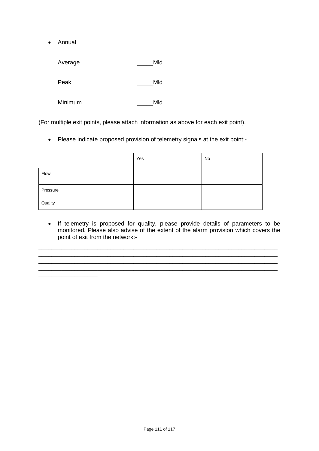• Annual

\_\_\_\_\_\_\_\_\_\_\_\_\_\_\_\_\_\_

| Average | Mld |
|---------|-----|
| Peak    | Mld |
| Minimum | Mld |

(For multiple exit points, please attach information as above for each exit point).

• Please indicate proposed provision of telemetry signals at the exit point:-

|          | Yes | No |
|----------|-----|----|
| Flow     |     |    |
| Pressure |     |    |
| Quality  |     |    |

• If telemetry is proposed for quality, please provide details of parameters to be monitored. Please also advise of the extent of the alarm provision which covers the point of exit from the network:-

\_\_\_\_\_\_\_\_\_\_\_\_\_\_\_\_\_\_\_\_\_\_\_\_\_\_\_\_\_\_\_\_\_\_\_\_\_\_\_\_\_\_\_\_\_\_\_\_\_\_\_\_\_\_\_\_\_\_\_\_\_\_\_\_\_\_\_\_\_\_\_\_\_

\_\_\_\_\_\_\_\_\_\_\_\_\_\_\_\_\_\_\_\_\_\_\_\_\_\_\_\_\_\_\_\_\_\_\_\_\_\_\_\_\_\_\_\_\_\_\_\_\_\_\_\_\_\_\_\_\_\_\_\_\_\_\_\_\_\_\_\_\_\_\_\_\_

\_\_\_\_\_\_\_\_\_\_\_\_\_\_\_\_\_\_\_\_\_\_\_\_\_\_\_\_\_\_\_\_\_\_\_\_\_\_\_\_\_\_\_\_\_\_\_\_\_\_\_\_\_\_\_\_\_\_\_\_\_\_\_\_\_\_\_\_\_\_\_\_\_ \_\_\_\_\_\_\_\_\_\_\_\_\_\_\_\_\_\_\_\_\_\_\_\_\_\_\_\_\_\_\_\_\_\_\_\_\_\_\_\_\_\_\_\_\_\_\_\_\_\_\_\_\_\_\_\_\_\_\_\_\_\_\_\_\_\_\_\_\_\_\_\_\_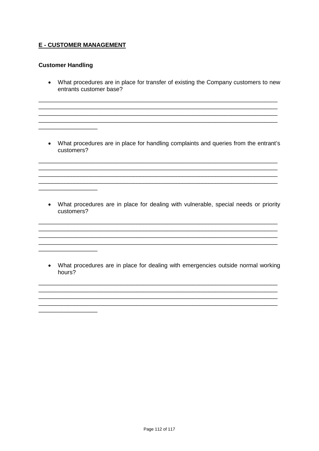# **E - CUSTOMER MANAGEMENT**

### **Customer Handling**

<u> 1980 - Jan Barat III, presenta</u>

• What procedures are in place for transfer of existing the Company customers to new entrants customer base?

• What procedures are in place for handling complaints and queries from the entrant's customers?

• What procedures are in place for dealing with vulnerable, special needs or priority customers?

• What procedures are in place for dealing with emergencies outside normal working hours?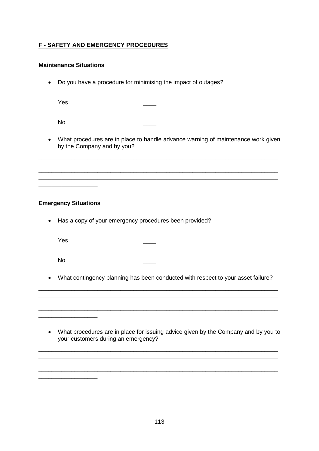# **F - SAFETY AND EMERGENCY PROCEDURES**

# **Maintenance Situations**

• Do you have a procedure for minimising the impact of outages?

Yes \_\_\_\_

No \_\_\_\_

• What procedures are in place to handle advance warning of maintenance work given by the Company and by you?

\_\_\_\_\_\_\_\_\_\_\_\_\_\_\_\_\_\_\_\_\_\_\_\_\_\_\_\_\_\_\_\_\_\_\_\_\_\_\_\_\_\_\_\_\_\_\_\_\_\_\_\_\_\_\_\_\_\_\_\_\_\_\_\_\_\_\_\_\_\_\_\_\_ \_\_\_\_\_\_\_\_\_\_\_\_\_\_\_\_\_\_\_\_\_\_\_\_\_\_\_\_\_\_\_\_\_\_\_\_\_\_\_\_\_\_\_\_\_\_\_\_\_\_\_\_\_\_\_\_\_\_\_\_\_\_\_\_\_\_\_\_\_\_\_\_\_

\_\_\_\_\_\_\_\_\_\_\_\_\_\_\_\_\_\_\_\_\_\_\_\_\_\_\_\_\_\_\_\_\_\_\_\_\_\_\_\_\_\_\_\_\_\_\_\_\_\_\_\_\_\_\_\_\_\_\_\_\_\_\_\_\_\_\_\_\_\_\_\_\_

# **Emergency Situations**

\_\_\_\_\_\_\_\_\_\_\_\_\_\_\_\_\_\_

• Has a copy of your emergency procedures been provided?

Yes \_\_\_\_

No \_\_\_\_

\_\_\_\_\_\_\_\_\_\_\_\_\_\_\_\_\_\_

• What contingency planning has been conducted with respect to your asset failure?

\_\_\_\_\_\_\_\_\_\_\_\_\_\_\_\_\_\_\_\_\_\_\_\_\_\_\_\_\_\_\_\_\_\_\_\_\_\_\_\_\_\_\_\_\_\_\_\_\_\_\_\_\_\_\_\_\_\_\_\_\_\_\_\_\_\_\_\_\_\_\_\_\_ \_\_\_\_\_\_\_\_\_\_\_\_\_\_\_\_\_\_\_\_\_\_\_\_\_\_\_\_\_\_\_\_\_\_\_\_\_\_\_\_\_\_\_\_\_\_\_\_\_\_\_\_\_\_\_\_\_\_\_\_\_\_\_\_\_\_\_\_\_\_\_\_\_

• What procedures are in place for issuing advice given by the Company and by you to your customers during an emergency?

\_\_\_\_\_\_\_\_\_\_\_\_\_\_\_\_\_\_\_\_\_\_\_\_\_\_\_\_\_\_\_\_\_\_\_\_\_\_\_\_\_\_\_\_\_\_\_\_\_\_\_\_\_\_\_\_\_\_\_\_\_\_\_\_\_\_\_\_\_\_\_\_\_  $\mathcal{L}_\text{max}$  and the contract of the contract of the contract of the contract of the contract of the contract of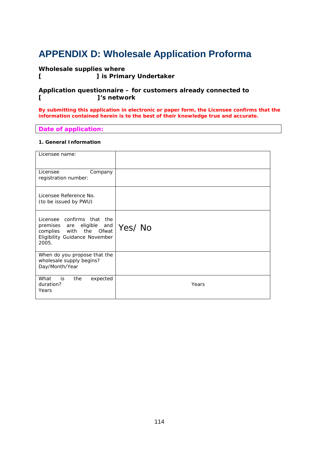# **APPENDIX D: Wholesale Application Proforma**

# **Wholesale supplies where**

**[ ] is Primary Undertaker**

### **Application questionnaire – for customers already connected to [ ]'s network**

**By submitting this application in electronic or paper form, the Licensee confirms that the information contained herein is to the best of their knowledge true and accurate.** 

### **Date of application:**

### **1. General Information**

| Licensee name:                                                                                                               |        |
|------------------------------------------------------------------------------------------------------------------------------|--------|
| Licensee<br>Company<br>registration number:                                                                                  |        |
| Licensee Reference No.<br>(to be issued by PWU)                                                                              |        |
| Licensee confirms that the<br>premises are eligible and<br>complies with the Ofwat<br>Eligibility Guidance November<br>2005. | Yes/No |
| When do you propose that the<br>wholesale supply begins?<br>Day/Month/Year                                                   |        |
| What<br>is is<br>the<br>expected<br>duration?<br>Years                                                                       | Years  |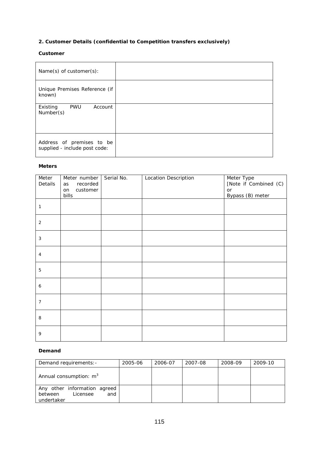# **2. Customer Details (confidential to Competition transfers exclusively)**

### **Customer**

| $Name(s)$ of customer $(s)$ :                              |  |
|------------------------------------------------------------|--|
| Unique Premises Reference (if<br>known)                    |  |
| <b>PWU</b><br>Existing<br>Account<br>Number(s)             |  |
| Address of premises to be<br>supplied - include post code: |  |

#### **Meters**

| Meter<br>Details | Meter number<br>recorded<br>as<br>customer<br>on<br>bills | Serial No. | <b>Location Description</b> | Meter Type<br>[Note if Combined (C)<br>or<br>Bypass (B) meter |
|------------------|-----------------------------------------------------------|------------|-----------------------------|---------------------------------------------------------------|
| 1                |                                                           |            |                             |                                                               |
| $\overline{2}$   |                                                           |            |                             |                                                               |
| 3                |                                                           |            |                             |                                                               |
| $\overline{4}$   |                                                           |            |                             |                                                               |
| 5                |                                                           |            |                             |                                                               |
| 6                |                                                           |            |                             |                                                               |
| 7                |                                                           |            |                             |                                                               |
| 8                |                                                           |            |                             |                                                               |
| 9                |                                                           |            |                             |                                                               |

#### **Demand**

| Demand requirements: -                                                   | 2005-06 | 2006-07 | 2007-08 | 2008-09 | 2009-10 |
|--------------------------------------------------------------------------|---------|---------|---------|---------|---------|
| Annual consumption: $m3$                                                 |         |         |         |         |         |
| Any other information agreed<br>Licensee<br>and<br>between<br>undertaker |         |         |         |         |         |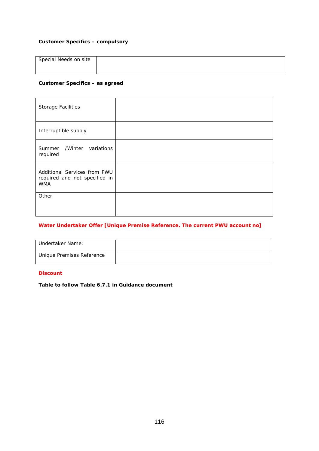### **Customer Specifics – compulsory**

| Special Needs on site |  |
|-----------------------|--|
|                       |  |

### **Customer Specifics – as agreed**

| <b>Storage Facilities</b>                                                   |  |
|-----------------------------------------------------------------------------|--|
| Interruptible supply                                                        |  |
| Summer /Winter variations<br>required                                       |  |
| Additional Services from PWU<br>required and not specified in<br><b>WMA</b> |  |
| Other                                                                       |  |

### **Water Undertaker Offer [Unique Premise Reference. The current PWU account no]**

| Undertaker Name:          |  |
|---------------------------|--|
| Unique Premises Reference |  |

# **Discount**

**Table to follow Table 6.7.1 in Guidance document**